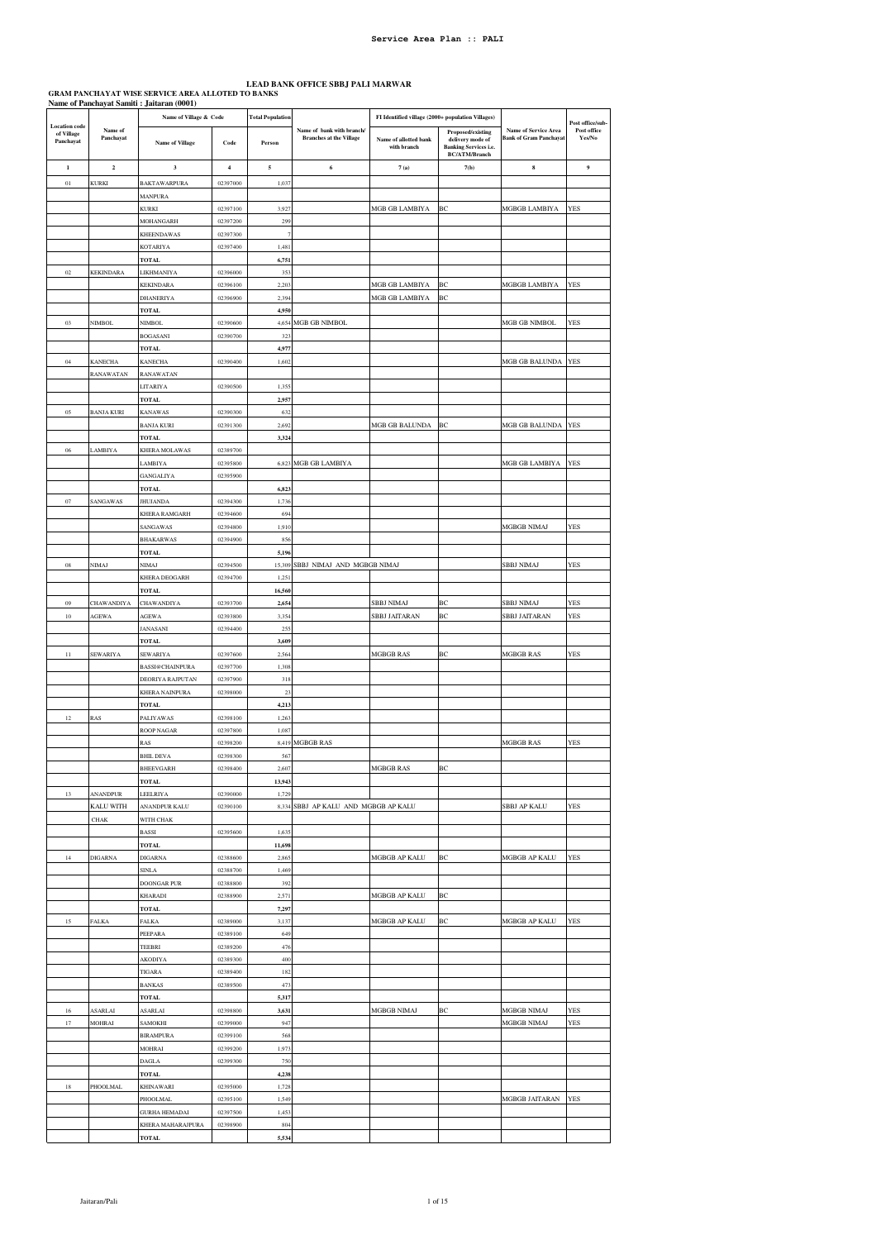## LEAD BANK OFFICE SBBJ PALI MARWAR<br>GRAM PANCHAYAT WISE SERVICE AREA ALLOTED TO BANKS<br>Name of Panchayat Samiti : Jaitaran (0001)

|                                                 |                      | Name of Village & Code           |                      | <b>Total Population</b> |                                                             | FI Identified village (2000+ population Villages) |                                                                                               |                                                              | Post office/sub-      |
|-------------------------------------------------|----------------------|----------------------------------|----------------------|-------------------------|-------------------------------------------------------------|---------------------------------------------------|-----------------------------------------------------------------------------------------------|--------------------------------------------------------------|-----------------------|
| <b>Location</b> code<br>of Village<br>Panchayat | Name of<br>Panchayat | <b>Name of Village</b>           | Code                 | Person                  | Name of bank with branch/<br><b>Branches at the Village</b> | Name of allotted bank<br>with branch              | Proposed/existing<br>delivery mode of<br><b>Banking Services i.e.</b><br><b>BC/ATM/Branch</b> | <b>Name of Service Area</b><br><b>Bank of Gram Panchayat</b> | Post office<br>Yes/No |
| $\mathbf{1}$                                    | $\mathbf 2$          | $\mathbf{3}$                     | $\bf{4}$             | $\sqrt{5}$              | 6                                                           | 7(a)                                              | 7(b)                                                                                          | $\bf8$                                                       | 9                     |
| $0\,l$                                          | KURKI                | BAKTAWARPURA                     | 02397000             | 1,037                   |                                                             |                                                   |                                                                                               |                                                              |                       |
|                                                 |                      | MANPURA                          |                      |                         |                                                             |                                                   |                                                                                               |                                                              |                       |
|                                                 |                      | KURKI                            | 02397100             | 3,927                   |                                                             | MGB GB LAMBIYA                                    | BC                                                                                            | MGBGB LAMBIYA                                                | YES                   |
|                                                 |                      | MOHANGARH                        | 02397200             | 299                     |                                                             |                                                   |                                                                                               |                                                              |                       |
|                                                 |                      | <b>KHEENDAWAS</b>                | 02397300<br>02397400 | 1,481                   |                                                             |                                                   |                                                                                               |                                                              |                       |
|                                                 |                      | KOTARIYA<br>TOTAL                |                      | 6,751                   |                                                             |                                                   |                                                                                               |                                                              |                       |
| 02                                              | <b>KEKINDARA</b>     | LIKHMANIYA                       | 02396000             | 353                     |                                                             |                                                   |                                                                                               |                                                              |                       |
|                                                 |                      | KEKINDARA                        | 02396100             | 2,203                   |                                                             | MGB GB LAMBIYA                                    | BC                                                                                            | MGBGB LAMBIYA                                                | <b>YES</b>            |
|                                                 |                      | DHANERIYA                        | 02396900             | 2,394                   |                                                             | MGB GB LAMBIYA                                    | BC                                                                                            |                                                              |                       |
|                                                 |                      | TOTAL                            |                      | 4,950                   |                                                             |                                                   |                                                                                               |                                                              |                       |
| 0 <sub>3</sub>                                  | NIMBOL               | NIMBOL                           | 02390600             |                         | 4,654 MGB GB NIMBOL                                         |                                                   |                                                                                               | MGB GB NIMBOL                                                | <b>YES</b>            |
|                                                 |                      | <b>BOGASANI</b>                  | 02390700             | 323                     |                                                             |                                                   |                                                                                               |                                                              |                       |
|                                                 |                      | TOTAL                            |                      | 4,977                   |                                                             |                                                   |                                                                                               |                                                              |                       |
| $04\,$                                          | <b>KANECHA</b>       | KANECHA                          | 02390400             | 1,602                   |                                                             |                                                   |                                                                                               | MGB GB BALUNDA                                               | YES                   |
|                                                 | RANAWATAN            | RANAWATAN<br>LITARIYA            | 02390500             | 1,355                   |                                                             |                                                   |                                                                                               |                                                              |                       |
|                                                 |                      | TOTAL                            |                      | 2,957                   |                                                             |                                                   |                                                                                               |                                                              |                       |
| 05                                              | <b>BANJA KURI</b>    | KANAWAS                          | 02390300             | 632                     |                                                             |                                                   |                                                                                               |                                                              |                       |
|                                                 |                      | <b>BANJA KURI</b>                | 02391300             | 2,692                   |                                                             | MGB GB BALUNDA                                    | BC                                                                                            | MGB GB BALUNDA                                               | YES                   |
|                                                 |                      | <b>TOTAL</b>                     |                      | 3,324                   |                                                             |                                                   |                                                                                               |                                                              |                       |
| $06\,$                                          | LAMBIYA              | KHERA MOLAWAS                    | 02389700             |                         |                                                             |                                                   |                                                                                               |                                                              |                       |
|                                                 |                      | LAMBIYA                          | 02395800             |                         | 6,823 MGB GB LAMBIYA                                        |                                                   |                                                                                               | MGB GB LAMBIYA                                               | YES                   |
|                                                 |                      | GANGALIYA                        | 02395900             |                         |                                                             |                                                   |                                                                                               |                                                              |                       |
|                                                 | <b>SANGAWAS</b>      | TOTAL                            |                      | 6,823                   |                                                             |                                                   |                                                                                               |                                                              |                       |
| $07\,$                                          |                      | <b>JHUJANDA</b><br>KHERA RAMGARH | 02394300<br>02394600 | 1,736<br>694            |                                                             |                                                   |                                                                                               |                                                              |                       |
|                                                 |                      | SANGAWAS                         | 02394800             | 1,910                   |                                                             |                                                   |                                                                                               | MGBGB NIMAJ                                                  | YES                   |
|                                                 |                      | <b>BHAKARWAS</b>                 | 02394900             | 856                     |                                                             |                                                   |                                                                                               |                                                              |                       |
|                                                 |                      | <b>TOTAL</b>                     |                      | 5,196                   |                                                             |                                                   |                                                                                               |                                                              |                       |
| ${\bf 08}$                                      | NIMAJ                | NIMAJ                            | 02394500             |                         | 15,309 SBBJ NIMAJ AND MGBGB NIMAJ                           |                                                   |                                                                                               | SBBJ NIMAJ                                                   | YES                   |
|                                                 |                      | KHERA DEOGARH                    | 02394700             | 1,251                   |                                                             |                                                   |                                                                                               |                                                              |                       |
|                                                 |                      | <b>TOTAL</b>                     |                      | 16,560                  |                                                             |                                                   |                                                                                               |                                                              |                       |
| 09                                              | CHAWANDIYA           | <b>CHAWANDIYA</b>                | 02393700             | 2,654                   |                                                             | SBBJ NIMAJ                                        | ВC                                                                                            | SBBJ NIMAJ                                                   | YES                   |
| $10\,$                                          | AGEWA                | AGEWA<br>JANASANI                | 02393800<br>02394400 | 3,354<br>255            |                                                             | SBBJ JAITARAN                                     | BC                                                                                            | SBBJ JAITARAN                                                | <b>YES</b>            |
|                                                 |                      | <b>TOTAL</b>                     |                      | 3,609                   |                                                             |                                                   |                                                                                               |                                                              |                       |
| $11\,$                                          | <b>SEWARIYA</b>      | <b>SEWARIYA</b>                  | 02397600             | 2,564                   |                                                             | <b>MGBGB RAS</b>                                  | ВC                                                                                            | <b>MGBGB RAS</b>                                             | YES                   |
|                                                 |                      | <b>BASSI@CHAINPURA</b>           | 02397700             | 1,308                   |                                                             |                                                   |                                                                                               |                                                              |                       |
|                                                 |                      | DEORIYA RAJPUTAN                 | 02397900             | 318                     |                                                             |                                                   |                                                                                               |                                                              |                       |
|                                                 |                      | KHERA NAINPURA                   | 02398000             | 23                      |                                                             |                                                   |                                                                                               |                                                              |                       |
|                                                 |                      | <b>TOTAL</b>                     |                      | 4,213                   |                                                             |                                                   |                                                                                               |                                                              |                       |
| $12\,$                                          | RAS                  | PALIYAWAS                        | 02398100             | 1,26                    |                                                             |                                                   |                                                                                               |                                                              |                       |
|                                                 |                      | ROOP NAGAR                       | 02397800             | 1,087                   |                                                             |                                                   |                                                                                               |                                                              |                       |
|                                                 |                      | RAS<br><b>BHIL DEVA</b>          | 02398200<br>02398300 | 567                     | 8,419 MGBGB RAS                                             |                                                   |                                                                                               | <b>MGBGB RAS</b>                                             | YES                   |
|                                                 |                      | BHEEVGARH                        | 02398400             | 2,607                   |                                                             | MGBGB RAS                                         | BC                                                                                            |                                                              |                       |
|                                                 |                      | TOTAL                            |                      | 13,943                  |                                                             |                                                   |                                                                                               |                                                              |                       |
| 13                                              | ANANDPUR             | LEELRIYA                         | 02390000             | 1,729                   |                                                             |                                                   |                                                                                               |                                                              |                       |
|                                                 | KALU WITH            | ANANDPUR KALU                    | 02390100             | 8,334                   | SBBJ AP KALU AND MGBGB AP KALU                              |                                                   |                                                                                               | SBBJ AP KALU                                                 | <b>YES</b>            |
|                                                 | <b>CHAK</b>          | WITH CHAK                        |                      |                         |                                                             |                                                   |                                                                                               |                                                              |                       |
|                                                 |                      | BASSI                            | 02395600             | 1,635                   |                                                             |                                                   |                                                                                               |                                                              |                       |
|                                                 |                      | <b>TOTAL</b>                     |                      | 11,698                  |                                                             |                                                   |                                                                                               |                                                              |                       |
| 14                                              | <b>DIGARNA</b>       | <b>DIGARNA</b>                   | 02388600             | 2,865                   |                                                             | MGBGB AP KALU                                     | <b>BC</b>                                                                                     | MGBGB AP KALU                                                | <b>YES</b>            |
|                                                 |                      | <b>SINLA</b>                     | 02388700             | 1,469                   |                                                             |                                                   |                                                                                               |                                                              |                       |
|                                                 |                      | DOONGAR PUR<br>KHARADI           | 02388800<br>02388900 | 392<br>2,571            |                                                             | MGBGB AP KALU                                     | ВC                                                                                            |                                                              |                       |
|                                                 |                      | <b>TOTAL</b>                     |                      | 7,297                   |                                                             |                                                   |                                                                                               |                                                              |                       |
| 15                                              | FALKA                | <b>FALKA</b>                     | 02389000             | 3,137                   |                                                             | MGBGB AP KALU                                     | BC                                                                                            | MGBGB AP KALU                                                | YES                   |
|                                                 |                      | PEEPARA                          | 02389100             | 649                     |                                                             |                                                   |                                                                                               |                                                              |                       |
|                                                 |                      | TEEBRI                           | 02389200             | 476                     |                                                             |                                                   |                                                                                               |                                                              |                       |
|                                                 |                      | AKODIYA                          | 02389300             | 400                     |                                                             |                                                   |                                                                                               |                                                              |                       |
|                                                 |                      | TIGARA                           | 02389400             | 182                     |                                                             |                                                   |                                                                                               |                                                              |                       |
|                                                 |                      | <b>BANKAS</b>                    | 02389500             | 473                     |                                                             |                                                   |                                                                                               |                                                              |                       |
|                                                 |                      | TOTAL                            |                      | 5,317                   |                                                             |                                                   |                                                                                               |                                                              |                       |
| 16<br>17                                        | ASARLAI              | ASARLAI                          | 02398800<br>02399000 | 3,631<br>947            |                                                             | MGBGB NIMAJ                                       | ВC                                                                                            | MGBGB NIMAJ                                                  | YES<br><b>YES</b>     |
|                                                 | MOHRAI               | SAMOKHI<br><b>BIRAMPURA</b>      | 02399100             | 568                     |                                                             |                                                   |                                                                                               | MGBGB NIMAJ                                                  |                       |
|                                                 |                      | MOHRAI                           | 02399200             | 1,973                   |                                                             |                                                   |                                                                                               |                                                              |                       |
|                                                 |                      | DAGLA                            | 02399300             | 750                     |                                                             |                                                   |                                                                                               |                                                              |                       |
|                                                 |                      | <b>TOTAL</b>                     |                      | 4,238                   |                                                             |                                                   |                                                                                               |                                                              |                       |
| 18                                              | PHOOLMAL             | KHINAWARI                        | 02395000             | 1,728                   |                                                             |                                                   |                                                                                               |                                                              |                       |
|                                                 |                      | PHOOLMAL                         | 02395100             | 1,549                   |                                                             |                                                   |                                                                                               | MGBGB JAITARAN                                               | YES                   |
|                                                 |                      | <b>GURHA HEMADAI</b>             | 02397500             | 1,453                   |                                                             |                                                   |                                                                                               |                                                              |                       |
|                                                 |                      | KHERA MAHARAJPURA                | 02398900             | 804                     |                                                             |                                                   |                                                                                               |                                                              |                       |
|                                                 |                      | <b>TOTAL</b>                     |                      | 5,534                   |                                                             |                                                   |                                                                                               |                                                              |                       |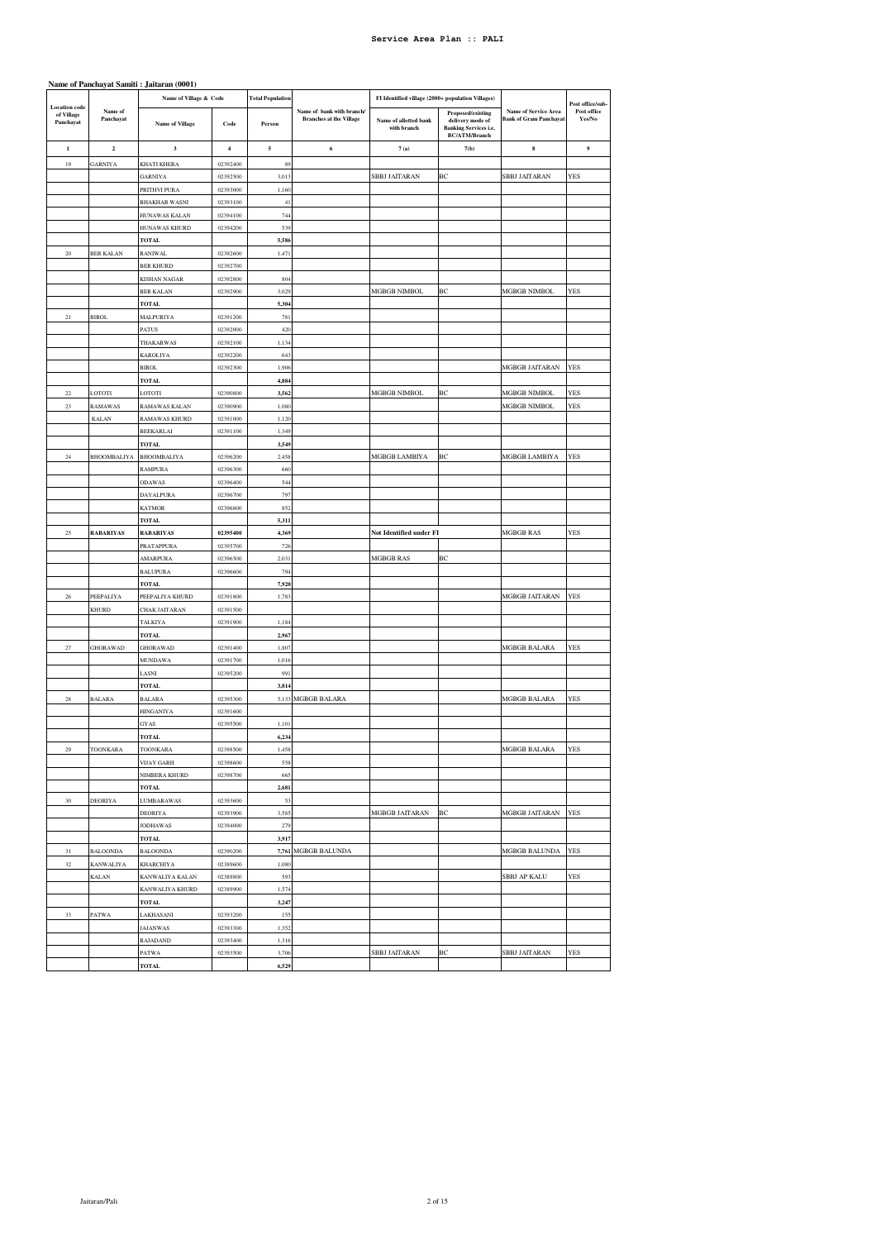|                         | Name of Panchayat Samiti: Jaitaran (0001) |                                   |                      |                         |                                                             |                                                   |                                                                                                      |                                                              |                       |
|-------------------------|-------------------------------------------|-----------------------------------|----------------------|-------------------------|-------------------------------------------------------------|---------------------------------------------------|------------------------------------------------------------------------------------------------------|--------------------------------------------------------------|-----------------------|
| <b>Location</b> code    |                                           | Name of Village & Code            |                      | <b>Total Population</b> |                                                             | FI Identified village (2000+ population Villages) |                                                                                                      |                                                              | Post office/sub-      |
| of Village<br>Panchayat | Name of<br>Panchayat                      | <b>Name of Village</b>            | Code                 | Person                  | Name of bank with branch/<br><b>Branches at the Village</b> | Name of allotted bank<br>with branch              | <b>Proposed/existing</b><br>delivery mode of<br><b>Banking Services i.e.</b><br><b>BC/ATM/Branch</b> | <b>Name of Service Area</b><br><b>Bank of Gram Panchayat</b> | Post office<br>Yes/No |
| 1                       | $\overline{\mathbf{c}}$                   | 3                                 | $\overline{4}$       | 5                       | 6                                                           | 7(a)                                              | 7(b)                                                                                                 | 8                                                            | $\boldsymbol{9}$      |
| 19                      | GARNIYA                                   | KHATI KHERA                       | 02392400             | 89                      |                                                             |                                                   |                                                                                                      |                                                              |                       |
|                         |                                           | GARNIYA                           | 02392500             | 3,013                   |                                                             | SBBJ JAITARAN                                     | ВC                                                                                                   | SBBJ JAITARAN                                                | YES                   |
|                         |                                           | PRITHVI PURA                      | 02393000             | 1,160                   |                                                             |                                                   |                                                                                                      |                                                              |                       |
|                         |                                           | <b>BHAKHAR WASNI</b>              | 02393100             | 41                      |                                                             |                                                   |                                                                                                      |                                                              |                       |
|                         |                                           | HUNAWAS KALAN                     | 02394100             | 744                     |                                                             |                                                   |                                                                                                      |                                                              |                       |
|                         |                                           | HUNAWAS KHURD                     | 02394200             | 539                     |                                                             |                                                   |                                                                                                      |                                                              |                       |
|                         |                                           | TOTAL                             |                      | 5,586                   |                                                             |                                                   |                                                                                                      |                                                              |                       |
| 20                      | <b>BER KALAN</b>                          | <b>RANIWAL</b>                    | 02392600             | 1,471                   |                                                             |                                                   |                                                                                                      |                                                              |                       |
|                         |                                           | <b>BER KHURD</b>                  | 02392700             | 804                     |                                                             |                                                   |                                                                                                      |                                                              |                       |
|                         |                                           | KISHAN NAGAR<br><b>BER KALAN</b>  | 02392800<br>02392900 | 3,029                   |                                                             | MGBGB NIMBOL                                      | BC                                                                                                   | MGBGB NIMBOL                                                 | <b>YES</b>            |
|                         |                                           | <b>TOTAL</b>                      |                      | 5,304                   |                                                             |                                                   |                                                                                                      |                                                              |                       |
| $21\,$                  | <b>BIROL</b>                              | MALPURIYA                         | 02391200             | 781                     |                                                             |                                                   |                                                                                                      |                                                              |                       |
|                         |                                           | PATUS                             | 02392000             | 420                     |                                                             |                                                   |                                                                                                      |                                                              |                       |
|                         |                                           | THAKARWAS                         | 02392100             | 1,134                   |                                                             |                                                   |                                                                                                      |                                                              |                       |
|                         |                                           | <b>KAROLIYA</b>                   | 02392200             | 643                     |                                                             |                                                   |                                                                                                      |                                                              |                       |
|                         |                                           | <b>BIROL</b>                      | 02392300             | 1,906                   |                                                             |                                                   |                                                                                                      | MGBGB JAITARAN                                               | YES                   |
|                         |                                           | TOTAL                             |                      | 4,884                   |                                                             |                                                   |                                                                                                      |                                                              |                       |
| $22\,$                  | LOTOTI                                    | LOTOTI                            | 02390800             | 3,562                   |                                                             | <b>MGBGB NIMBOL</b>                               | ВC                                                                                                   | MGBGB NIMBOL                                                 | YES                   |
| $23\,$                  | RAMAWAS                                   | RAMAWAS KALAN                     | 02390900             | 1,080                   |                                                             |                                                   |                                                                                                      | MGBGB NIMBOL                                                 | <b>YES</b>            |
|                         | KALAN                                     | RAMAWAS KHURD                     | 02391000             | 1,120                   |                                                             |                                                   |                                                                                                      |                                                              |                       |
|                         |                                           | <b>BEEKARLAI</b>                  | 02391100             | 1,349                   |                                                             |                                                   |                                                                                                      |                                                              |                       |
|                         |                                           | <b>TOTAL</b>                      |                      | 3,549                   |                                                             |                                                   |                                                                                                      |                                                              |                       |
| 24                      | <b>BHOOMBALIYA</b>                        | BHOOMBALIYA                       | 02396200             | 2,458                   |                                                             | MGBGB LAMBIYA                                     | BC                                                                                                   | <b>MGBGB LAMBIYA</b>                                         | <b>YES</b>            |
|                         |                                           | RAMPURA                           | 02396300             | 660                     |                                                             |                                                   |                                                                                                      |                                                              |                       |
|                         |                                           | ODAWAS                            | 02396400<br>02396700 | 544<br>797              |                                                             |                                                   |                                                                                                      |                                                              |                       |
|                         |                                           | DAYALPURA<br>KATMOR               | 02396800             | 852                     |                                                             |                                                   |                                                                                                      |                                                              |                       |
|                         |                                           | <b>TOTAL</b>                      |                      | 5,311                   |                                                             |                                                   |                                                                                                      |                                                              |                       |
| 25                      | <b>RABARIYAS</b>                          | <b>RABARIYAS</b>                  | 02395400             | 4,369                   |                                                             | Not Identified under FI                           |                                                                                                      | MGBGB RAS                                                    | YES                   |
|                         |                                           | PRATAPPURA                        | 02395700             | 726                     |                                                             |                                                   |                                                                                                      |                                                              |                       |
|                         |                                           | AMARPURA                          | 02396500             | 2,031                   |                                                             | MGBGB RAS                                         | ВC                                                                                                   |                                                              |                       |
|                         |                                           | <b>BALUPURA</b>                   | 02396600             |                         |                                                             |                                                   |                                                                                                      |                                                              |                       |
|                         |                                           |                                   |                      | 794                     |                                                             |                                                   |                                                                                                      |                                                              |                       |
|                         |                                           | TOTAL                             |                      | 7,920                   |                                                             |                                                   |                                                                                                      |                                                              |                       |
| 26                      | PEEPALIYA                                 | PEEPALIYA KHURD                   | 02391800             | 1,783                   |                                                             |                                                   |                                                                                                      | MGBGB JAITARAN                                               | YES                   |
|                         | <b>KHURD</b>                              | <b>CHAK JAITARAN</b>              | 02391500             |                         |                                                             |                                                   |                                                                                                      |                                                              |                       |
|                         |                                           | TALKIYA                           | 02391900             | 1,184                   |                                                             |                                                   |                                                                                                      |                                                              |                       |
|                         |                                           | <b>TOTAL</b>                      |                      | 2,967                   |                                                             |                                                   |                                                                                                      |                                                              |                       |
| $\sqrt{27}$             | <b>GHORAWAD</b>                           | GHORAWAD                          | 02391400             | 1,807                   |                                                             |                                                   |                                                                                                      | MGBGB BALARA                                                 | YES                   |
|                         |                                           | MUNDAWA                           | 02391700             | 1,016                   |                                                             |                                                   |                                                                                                      |                                                              |                       |
|                         |                                           | LASNI                             | 02395200             | 991                     |                                                             |                                                   |                                                                                                      |                                                              |                       |
|                         |                                           | TOTAL                             |                      | 3,814                   |                                                             |                                                   |                                                                                                      |                                                              |                       |
| $28\,$                  | <b>BALARA</b>                             | <b>BALARA</b><br><b>HINGANIYA</b> | 02395300             | 5,133                   | MGBGB BALARA                                                |                                                   |                                                                                                      | MGBGB BALARA                                                 | YES                   |
|                         |                                           | GYAS                              | 02391600<br>02395500 | 1,101                   |                                                             |                                                   |                                                                                                      |                                                              |                       |
|                         |                                           | <b>TOTAL</b>                      |                      | 6.234                   |                                                             |                                                   |                                                                                                      |                                                              |                       |
| 29                      | <b>TOONKARA</b>                           | TOONKARA                          | 02398500             | 1,458                   |                                                             |                                                   |                                                                                                      | MGBGB BALARA                                                 | YES                   |
|                         |                                           | VIJAY GARH                        | 02398600             | 558                     |                                                             |                                                   |                                                                                                      |                                                              |                       |
|                         |                                           | NIMBERA KHURD                     | 02398700             | 665                     |                                                             |                                                   |                                                                                                      |                                                              |                       |
|                         |                                           | <b>TOTAL</b>                      |                      | 2,681                   |                                                             |                                                   |                                                                                                      |                                                              |                       |
| $30\,$                  | DEORIYA                                   | LUMBARAWAS                        | 02393600             | 53                      |                                                             |                                                   |                                                                                                      |                                                              |                       |
|                         |                                           | DEORIYA                           | 02393900             | 3,585                   |                                                             | MGBGB JAITARAN                                    | BC                                                                                                   | MGBGB JAITARAN                                               | <b>YES</b>            |
|                         |                                           | <b>JODHAWAS</b>                   | 02394000             | 279                     |                                                             |                                                   |                                                                                                      |                                                              |                       |
|                         |                                           | <b>TOTAL</b>                      |                      | 3,917                   |                                                             |                                                   |                                                                                                      |                                                              |                       |
| $31\,$                  | <b>BALOONDA</b>                           | <b>BALOONDA</b>                   | 02390200             |                         | 7,761 MGBGB BALUNDA                                         |                                                   |                                                                                                      | MGBGB BALUNDA                                                | YES                   |
| $32\,$                  | KANWALIYA                                 | KHARCHIYA                         | 02389600             | 1,080                   |                                                             |                                                   |                                                                                                      |                                                              |                       |
|                         | KALAN                                     | KANWALIYA KALAN                   | 02389800             | 593                     |                                                             |                                                   |                                                                                                      | SBBJ AP KALU                                                 | YES                   |
|                         |                                           | KANWALIYA KHURD                   | 02389900             | 1,574                   |                                                             |                                                   |                                                                                                      |                                                              |                       |
|                         |                                           | TOTAL                             |                      | 3,247                   |                                                             |                                                   |                                                                                                      |                                                              |                       |
| 33                      | PATWA                                     | LAKHASANI                         | 02393200             | 155                     |                                                             |                                                   |                                                                                                      |                                                              |                       |
|                         |                                           | JAJANWAS<br>RAJADAND              | 02393300<br>02393400 | 1,352<br>1,316          |                                                             |                                                   |                                                                                                      |                                                              |                       |
|                         |                                           | PATWA                             | 02393500             | 3,706                   |                                                             | SBBJ JAITARAN                                     | ВC                                                                                                   | SBBJ JAITARAN                                                | YES                   |
|                         |                                           | <b>TOTAL</b>                      |                      | 6,529                   |                                                             |                                                   |                                                                                                      |                                                              |                       |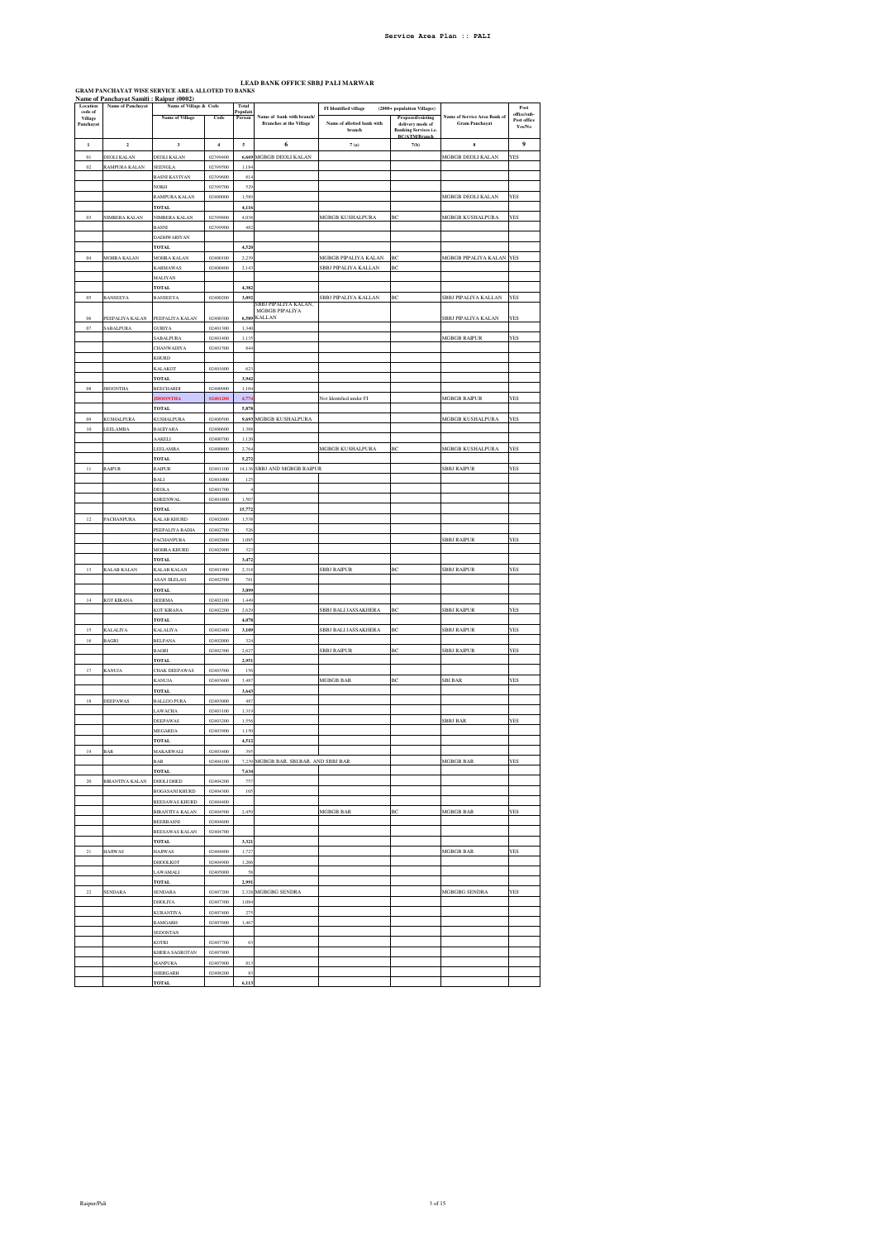**LEAD BANK OFFICE SBBJ PALI MARWAR**<br>SRAM PANCHAYAT WISE SERVICE AREA ALLOTED TO BANKS<br>Name of Panchayat Samiti : Raipur (0002)

|                                | Name of Panchayat Samiti: Raipur (0002) |                                                  |                      |                             |                                         |                                      |                                                                          |                                     |                                               |
|--------------------------------|-----------------------------------------|--------------------------------------------------|----------------------|-----------------------------|-----------------------------------------|--------------------------------------|--------------------------------------------------------------------------|-------------------------------------|-----------------------------------------------|
| Location<br>code of<br>Village | Name of Panchayat                       | Name of Village & Code<br><b>Name of Village</b> | Code                 | Total<br>Populati<br>Person | Name of bank with branch/               | <b>FI</b> Identified village         | (2000+ population Villages)<br>Proposed/existing                         | <b>Name of Service Area Bank of</b> | $\mathbf{Post}$<br>office/sub-<br>Post office |
| Panchayat                      |                                         |                                                  |                      |                             | <b>Branches at the Village</b>          | Name of allotted bank with<br>branch | delivery mode of<br><b>Banking Services i.e.</b><br><b>RC/ATM/Rranch</b> | <b>Gram Panchayat</b>               | Yes/No                                        |
| $\bf{l}$                       | $\mathbf 2$                             | $\overline{\mathbf{3}}$                          | $\boldsymbol{4}$     | 5                           | 6                                       | 7(a)                                 | 7(b)                                                                     | $\bf8$                              | 9                                             |
| $_{01}$                        | <b>DEOLI KALAN</b>                      | <b>DEOLI KALAN</b>                               | 02399400             | 6,669                       | MGBGB DEOLI KALAN                       |                                      |                                                                          | MGBGB DEOLI KALAN                   | YES                                           |
| 02                             | RAMPURA KALAN                           | <b>SEENGLA</b><br><b>BASNI KAVIYAN</b>           | 02399500<br>02399600 | 1.184<br>814                |                                         |                                      |                                                                          |                                     |                                               |
|                                |                                         | <b>NOKH</b>                                      | 02399700             | 529                         |                                         |                                      |                                                                          |                                     |                                               |
|                                |                                         | RAMPURA KALAN                                    | 02400000             | 1,589                       |                                         |                                      |                                                                          | <b>MGBGB DEOLI KALAN</b>            | YES                                           |
|                                |                                         | <b>TOTAL</b>                                     |                      | 4,116                       |                                         |                                      |                                                                          |                                     |                                               |
| $03\,$                         | NIMBERA KALAN                           | NIMBERA KALAN<br><b>BASNI</b>                    | 02399800<br>02399900 | 4,038<br>482                |                                         | MGBGB KUSHALPURA                     | BC                                                                       | MGBGB KUSHALPURA                    | YES                                           |
|                                |                                         | <b>DADHWARIYAN</b>                               |                      |                             |                                         |                                      |                                                                          |                                     |                                               |
|                                |                                         | <b>TOTAL</b>                                     |                      | 4,520                       |                                         |                                      |                                                                          |                                     |                                               |
| 04                             | MOHRA KALAN                             | MOHRA KALAN                                      | 02400100             | 2.239                       |                                         | MGBGB PIPALIYA KALAN                 | ВĊ                                                                       | MGBGB PIPALIYA KALAN                | <b>YES</b>                                    |
|                                |                                         | KARMAWAS<br><b>MALIYAN</b>                       | 02400400             | 2,143                       |                                         | SBBJ PIPALIYA KALLAN                 | BC                                                                       |                                     |                                               |
|                                |                                         | <b>TOTAL</b>                                     |                      | 4,382                       |                                         |                                      |                                                                          |                                     |                                               |
| 05                             | BANSEEYA                                | <b>BANSEEYA</b>                                  | 02400200             | 3,092                       | SBBJ PIPALIYA KALAN.                    | SBBJ PIPALIYA KALLAN                 | ВC                                                                       | SBBJ PIPALIYA KALLAN                | YES                                           |
|                                |                                         |                                                  |                      |                             | <b>MGBGB PIPALIYA</b>                   |                                      |                                                                          |                                     |                                               |
| 06<br>$_{07}$                  | PEEPALIYA KALAN<br><b>SABALPURA</b>     | PEEPALIYA KALAN<br><b>GURIYA</b>                 | 02400300<br>02401300 | 6,589<br>1.340              | <b>KALLAN</b>                           |                                      |                                                                          | <b>SBBJ PIPALIYA KALAN</b>          | YES                                           |
|                                |                                         | SABALPURA                                        | 02401400             | 1,135                       |                                         |                                      |                                                                          | MGBGB RAIPUR                        | YES                                           |
|                                |                                         | CHANWADIYA                                       | 02401500             | 844                         |                                         |                                      |                                                                          |                                     |                                               |
|                                |                                         | KHURD                                            |                      |                             |                                         |                                      |                                                                          |                                     |                                               |
|                                |                                         | KALAKOT<br><b>TOTAL</b>                          | 02401600             | 62<br>3,94                  |                                         |                                      |                                                                          |                                     |                                               |
| $08\,$                         | <b>JHOONTHA</b>                         | <b>BEECHARDI</b>                                 | 02400900             | 1,104                       |                                         |                                      |                                                                          |                                     |                                               |
|                                |                                         | <b>HOONTHA</b>                                   | 02401200             | 4.77                        |                                         | Not Identified under FI              |                                                                          | MGBGB RAIPUR                        | <b>YES</b>                                    |
|                                | KUSHALPURA                              | <b>TOTAL</b>                                     |                      | 5,878<br>9,693              |                                         |                                      |                                                                          | MGBGB KUSHALPURA                    | <b>YES</b>                                    |
| 09<br>$10\,$                   | <b>LEELAMBA</b>                         | <b>KUSHALPURA</b><br><b>BAGIYARA</b>             | 02400500<br>02400600 | 1,388                       | MGBGB KUSHALPURA                        |                                      |                                                                          |                                     |                                               |
|                                |                                         | <b>AKELI</b>                                     | 02400700             | 1,120                       |                                         |                                      |                                                                          |                                     |                                               |
|                                |                                         | <b>EELAMBA</b>                                   | 02400800             | 2,764                       |                                         | MGBGB KUSHALPURA                     | ВĊ                                                                       | MGBGB KUSHALPURA                    | YES                                           |
|                                |                                         | <b>TOTAL</b>                                     | 02401100             | 5,272                       |                                         |                                      |                                                                          |                                     |                                               |
| $11\,$                         | RAIPUR                                  | RAIPUR<br>BALI                                   | 02401000             | 14,136<br>$12^{i}$          | SBBJ AND MGBGB RAIPUR                   |                                      |                                                                          | <b>SBBJ RAIPUR</b>                  | YES                                           |
|                                |                                         | DEOLA                                            | 02401700             |                             |                                         |                                      |                                                                          |                                     |                                               |
|                                |                                         | <b>KHEENWAL</b>                                  | 02401800             | 1,507                       |                                         |                                      |                                                                          |                                     |                                               |
| 12                             |                                         | <b>TOTAL</b>                                     | 02402600             | 15,772                      |                                         |                                      |                                                                          |                                     |                                               |
|                                | PACHANPUR/                              | KALAB KHURD<br>PEEPALIYA BADIA                   | 02402700             | 1,538<br>526                |                                         |                                      |                                                                          |                                     |                                               |
|                                |                                         | PACHANPURA                                       | 02402800             | 1,085                       |                                         |                                      |                                                                          | <b>SBBJ RAIPUR</b>                  | YES                                           |
|                                |                                         | MOHRA KHURD                                      | 02402900             | $32^{1}$                    |                                         |                                      |                                                                          |                                     |                                               |
| 13                             | KALAB KALAN                             | <b>TOTAL</b><br>KALAB KALAN                      | 02401900             | 3,472<br>2,318              |                                         | <b>SBBJ RAIPUR</b>                   | ВC                                                                       | <b>SBBJ RAIPUR</b>                  | YES                                           |
|                                |                                         | ASAN JILELAO                                     | 02402500             | 781                         |                                         |                                      |                                                                          |                                     |                                               |
|                                |                                         | <b>TOTAL</b>                                     |                      | 3,099                       |                                         |                                      |                                                                          |                                     |                                               |
| 14                             | <b>KOT KIRANA</b>                       | SEERMA                                           | 02402100             | 1,449                       |                                         |                                      |                                                                          |                                     |                                               |
|                                |                                         | KOT KIRANA<br><b>TOTAL</b>                       | 02402200             | 2,629<br>4,078              |                                         | SBBJ BALI JASSAKHERA                 | BC                                                                       | <b>SBBJ RAIPUR</b>                  | YES                                           |
| 15                             | KALALIYA                                | <b>KALALIYA</b>                                  | 02402400             | 3,109                       |                                         | SBBJ BALI JASSAKHERA                 | BC                                                                       | <b>SBBJ RAIPUR</b>                  | YES                                           |
| $16\,$                         | <b>BAGRI</b>                            | <b>BELPANA</b>                                   | 02402000             | 32 <sub>6</sub>             |                                         |                                      |                                                                          |                                     |                                               |
|                                |                                         | <b>BAGRI</b>                                     | 02402300             | 2.627                       |                                         | <b>SBBJ RAIPUR</b>                   | BC                                                                       | <b>SBBJ RAIPUR</b>                  | <b>YES</b>                                    |
| $17\,$                         | <b>KANUJA</b>                           | TOTAL<br>CHAK DEEPAWAS                           | 02403500             | 2,951<br>156                |                                         |                                      |                                                                          |                                     |                                               |
|                                |                                         | KANUJA                                           | 02403600             | 3,487                       |                                         | MGBGB BAR                            | BC                                                                       | <b>SBI BAR</b>                      | YES                                           |
|                                |                                         | <b>TOTAL</b>                                     |                      | 3,643                       |                                         |                                      |                                                                          |                                     |                                               |
| $18\,$                         | DEEPAWAS                                | <b>BALLOO PURA</b>                               | 02403000             | 48<br>1,319                 |                                         |                                      |                                                                          |                                     |                                               |
|                                |                                         | LAWACHA<br>DEEPAWAS                              | 02403100<br>02403200 | 1.556                       |                                         |                                      |                                                                          | <b>SBBJ BAR</b>                     | <b>YES</b>                                    |
|                                |                                         | MEGARDA                                          | 02403900             | 1,150                       |                                         |                                      |                                                                          |                                     |                                               |
|                                |                                         | <b>TOTAL</b>                                     |                      | 4,512                       |                                         |                                      |                                                                          |                                     |                                               |
| 19                             | <b>BAR</b>                              | <b>MAKARWALI</b><br><b>BAR</b>                   | 02403400             | 395                         | 7,239 MGBGB BAR, SBI, BAR, AND SBBJ BAR |                                      |                                                                          | MGBGB BAR                           | <b>YES</b>                                    |
|                                |                                         | TOTAL                                            | 02404100             | 7,634                       |                                         |                                      |                                                                          |                                     |                                               |
| $20\,$                         | BIRANTIYA KALAN                         | DHOLI DHED                                       | 02404200             | 757                         |                                         |                                      |                                                                          |                                     |                                               |
|                                |                                         | <b>BOGASANI KHURD</b>                            | 02404300             | 105                         |                                         |                                      |                                                                          |                                     |                                               |
|                                |                                         | <b>BEESAWAS KHURD</b><br><b>BIRANTIYA KALAN</b>  | 02404400<br>02404500 | 2,459                       |                                         | MGBGB BAR                            | ВC                                                                       | MGBGB BAR                           | <b>YES</b>                                    |
|                                |                                         | <b>BEERBASNI</b>                                 | 02404600             |                             |                                         |                                      |                                                                          |                                     |                                               |
|                                |                                         | <b>BEESAWAS KALAN</b>                            | 02404700             |                             |                                         |                                      |                                                                          |                                     |                                               |
|                                |                                         | <b>TOTAL</b>                                     |                      | 3,321                       |                                         |                                      |                                                                          |                                     |                                               |
| $21\,$                         | <b>HAJIWAS</b>                          | <b>HAJIWAS</b><br>DHOOLKOT                       | 02404800<br>02404900 | 1,727<br>1,206              |                                         |                                      |                                                                          | MGBGB BAR                           | YES                                           |
|                                |                                         | <b>AWAMALI</b>                                   | 02405000             | 58                          |                                         |                                      |                                                                          |                                     |                                               |
|                                |                                         | <b>TOTAL</b>                                     |                      | 2,991                       |                                         |                                      |                                                                          |                                     |                                               |
| $22\,$                         | SENDARA                                 | SENDARA                                          | 02407200             | 2,328                       | MGBGBG SENDRA                           |                                      |                                                                          | MGBGBG SENDRA                       | YES                                           |
|                                |                                         | DHOLIYA<br>KURANTIYA                             | 02407300<br>02407400 | 1.084<br>275                |                                         |                                      |                                                                          |                                     |                                               |
|                                |                                         | <b>RAMGARH</b>                                   | 02407600             | 1,467                       |                                         |                                      |                                                                          |                                     |                                               |
|                                |                                         | <b>SEDONTAN</b>                                  |                      |                             |                                         |                                      |                                                                          |                                     |                                               |
|                                |                                         | KOTRI                                            | 02407700             | 63                          |                                         |                                      |                                                                          |                                     |                                               |
|                                |                                         | KHERA SAGROTAN<br>MANPURA                        | 02407800<br>02407900 | 813                         |                                         |                                      |                                                                          |                                     |                                               |
|                                |                                         | SHERGARH                                         | 02408200             | 8 <sup>2</sup>              |                                         |                                      |                                                                          |                                     |                                               |
|                                |                                         | <b>TOTAL</b>                                     |                      | 6,11.                       |                                         |                                      |                                                                          |                                     |                                               |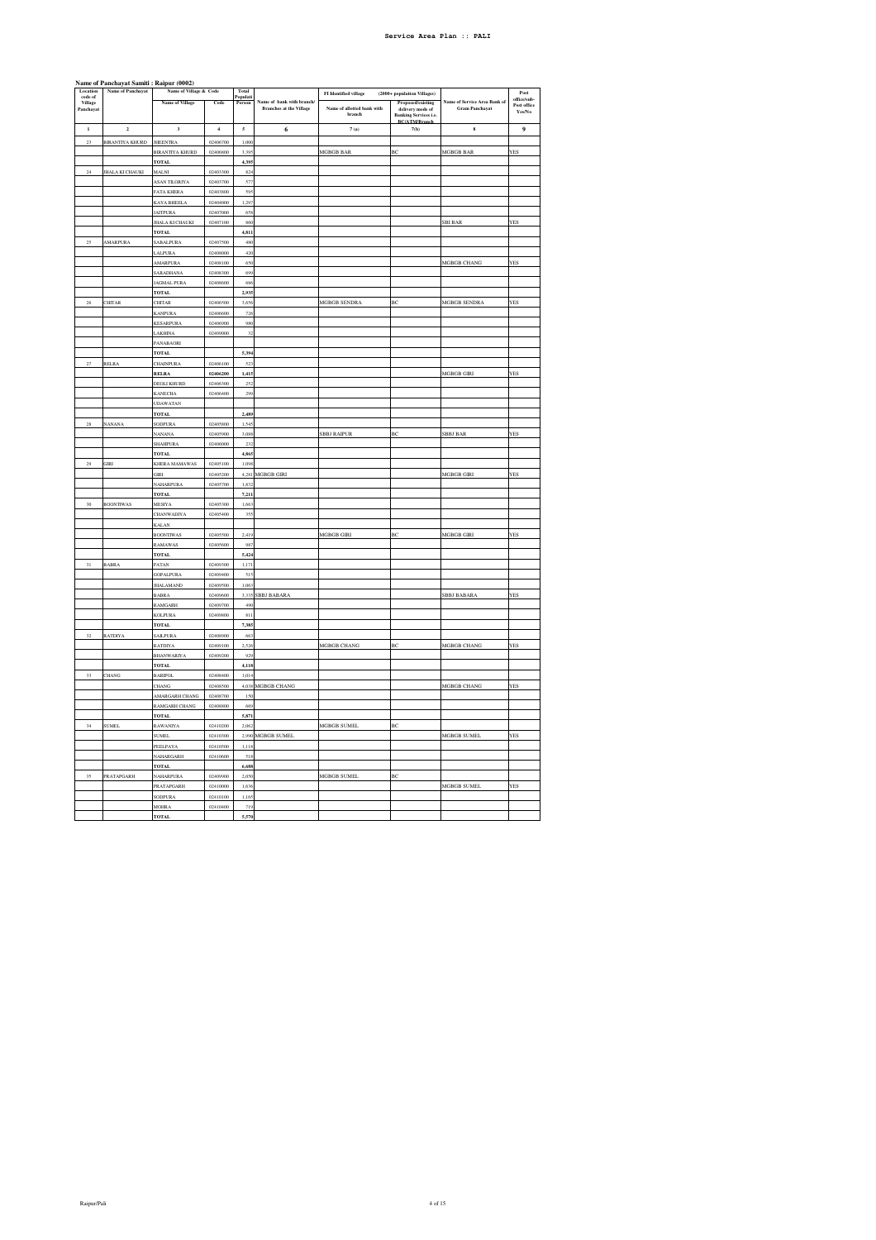|                                | Name of Panchayat Samiti: Raipur (0002) | Name of Village & Code                  |                      | Total              |                                                             |                                      |                                                                                                   |                                           |                       |
|--------------------------------|-----------------------------------------|-----------------------------------------|----------------------|--------------------|-------------------------------------------------------------|--------------------------------------|---------------------------------------------------------------------------------------------------|-------------------------------------------|-----------------------|
| Location<br>code of<br>Village | Name of Panchayat                       |                                         |                      | Populati<br>Person |                                                             | <b>FI</b> Identified village         | (2000+ population Villages)                                                                       |                                           | Post<br>office/sub    |
| Panchayat                      |                                         | Name of Village                         | Code                 |                    | Name of bank with branch/<br><b>Branches at the Village</b> | Name of allotted bank with<br>branch | Proposed/existing<br>delivery mode of<br>Banking Services i.e.<br>BC/ATM/Branch<br>B <sub>2</sub> | of Service Area Bank of<br>Gram Panchayat | Post office<br>Yes/No |
| $\mathbf{1}$                   | $\mathbf 2$                             | $\mathbf 3$                             | $\overline{4}$       | $\mathfrak{s}$     | 6                                                           | 7(a)                                 | 7(b)                                                                                              | $\bf{s}$                                  | $\boldsymbol{9}$      |
| $\overline{23}$                | <b>BIRANTIYA KHURD</b>                  | <b>JHEENTRA</b>                         | 02406700             | 1,000              |                                                             |                                      |                                                                                                   |                                           |                       |
|                                |                                         | <b>BIRANTIYA KHURD</b>                  | 02406800             | 3,395              |                                                             | MGBGB BAR                            | ВC                                                                                                | MGBGB BAR                                 | YES                   |
|                                |                                         | <b>TOTAL</b>                            |                      | 4,395              |                                                             |                                      |                                                                                                   |                                           |                       |
| $\bf 24$                       | <b>JHALA KI CHAUKI</b>                  | <b>MALNI</b>                            | 02403300             | 824                |                                                             |                                      |                                                                                                   |                                           |                       |
|                                |                                         | ASAN TILORIYA                           | 02403700             | 577                |                                                             |                                      |                                                                                                   |                                           |                       |
|                                |                                         | <b>FATA KHERA</b><br><b>KAYA BHEELA</b> | 02403800<br>02404000 | 595<br>1,297       |                                                             |                                      |                                                                                                   |                                           |                       |
|                                |                                         | <b>JAITPURA</b>                         | 02407000             | 658                |                                                             |                                      |                                                                                                   |                                           |                       |
|                                |                                         | <b>JHALA KI CHAUKI</b>                  | 02407100             | 860                |                                                             |                                      |                                                                                                   | <b>SBI BAR</b>                            | YES                   |
|                                |                                         | <b>TOTAL</b>                            |                      | 4.811              |                                                             |                                      |                                                                                                   |                                           |                       |
| 25                             | AMARPURA                                | <b>SABALPURA</b>                        | 02407500             | 480                |                                                             |                                      |                                                                                                   |                                           |                       |
|                                |                                         | <b>LALPURA</b>                          | 02408000             | 420                |                                                             |                                      |                                                                                                   |                                           |                       |
|                                |                                         | <b>MARPURA</b>                          | 02408100             | 650                |                                                             |                                      |                                                                                                   | <b>MGBGB CHANG</b>                        | YES                   |
|                                |                                         | <b>SARADHANA</b>                        | 02408300             | 699                |                                                             |                                      |                                                                                                   |                                           |                       |
|                                |                                         | JAGMAL PURA                             | 02408600             | 686                |                                                             |                                      |                                                                                                   |                                           |                       |
| 26                             | <b>CHITAR</b>                           | <b>TOTAL</b><br><b>CHITAR</b>           | 02406500             | 2,935<br>3,656     |                                                             | MGBGB SENDRA                         | BC                                                                                                | MGBGB SENDRA                              | YES                   |
|                                |                                         | <b>CANPURA</b>                          | 02406600             | 726                |                                                             |                                      |                                                                                                   |                                           |                       |
|                                |                                         | KESARPURA                               | 02406900             | 980                |                                                             |                                      |                                                                                                   |                                           |                       |
|                                |                                         | <b>LAKHINA</b>                          | 02409000             | 32                 |                                                             |                                      |                                                                                                   |                                           |                       |
|                                |                                         | PANABAORI                               |                      |                    |                                                             |                                      |                                                                                                   |                                           |                       |
|                                |                                         | <b>TOTAL</b>                            |                      | 5,394              |                                                             |                                      |                                                                                                   |                                           |                       |
| $\overline{27}$                | RELRA                                   | <b>CHAINPURA</b>                        | 02406100             | 52                 |                                                             |                                      |                                                                                                   |                                           |                       |
|                                |                                         | RELRA                                   | 02406200             | 1,415              |                                                             |                                      |                                                                                                   | MGBGB GIRI                                | YES                   |
|                                |                                         | <b>DEOLI KHURD</b>                      | 02406300             | 252                |                                                             |                                      |                                                                                                   |                                           |                       |
|                                |                                         | <b>KANECHA</b><br><b>UDAWATAN</b>       | 02406400             | 299                |                                                             |                                      |                                                                                                   |                                           |                       |
|                                |                                         | <b>TOTAL</b>                            |                      | 2,489              |                                                             |                                      |                                                                                                   |                                           |                       |
| 28                             | <b>NANANA</b>                           | <b>SODPURA</b>                          | 02405800             | 1.545              |                                                             |                                      |                                                                                                   |                                           |                       |
|                                |                                         | <b>NANANA</b>                           | 02405900             | 3,088              |                                                             | <b>SBBJ RAIPUR</b>                   | BC                                                                                                | SBBJ BAR                                  | YES                   |
|                                |                                         | SHAHPURA                                | 02406000             | 232                |                                                             |                                      |                                                                                                   |                                           |                       |
|                                |                                         | <b>TOTAL</b>                            |                      | 4,865              |                                                             |                                      |                                                                                                   |                                           |                       |
| $\mathbf{29}$                  | GIRI                                    | KHERA MAMAWAS                           | 02405100             | 1,098              |                                                             |                                      |                                                                                                   |                                           |                       |
|                                |                                         | $_{\rm GIRI}$                           | 02405200             |                    | 4,281 MGBGB GIRI                                            |                                      |                                                                                                   | MGBGB GIRI                                | YES                   |
|                                |                                         | <b>NAHARPURA</b><br><b>TOTAL</b>        | 02405700             | 1,832<br>7,211     |                                                             |                                      |                                                                                                   |                                           |                       |
| $30\,$                         | <b>BOONTIWAS</b>                        | MESIYA                                  | 02405300             | 1,663              |                                                             |                                      |                                                                                                   |                                           |                       |
|                                |                                         | <b>CHANWADIYA</b>                       | 02405400             | 355                |                                                             |                                      |                                                                                                   |                                           |                       |
|                                |                                         | <b>KALAN</b>                            |                      |                    |                                                             |                                      |                                                                                                   |                                           |                       |
|                                |                                         | <b>BOONTIWAS</b>                        | 02405500             | 2.41               |                                                             | <b>MGBGB GIRI</b>                    | ВC                                                                                                | MGBGB GIRI                                | <b>YES</b>            |
|                                |                                         | <b>RAMAWAS</b>                          | 02405600             | 98                 |                                                             |                                      |                                                                                                   |                                           |                       |
|                                |                                         | TOTAL                                   |                      | 5,42               |                                                             |                                      |                                                                                                   |                                           |                       |
| 31                             | <b>BABRA</b>                            | PATAN                                   | 02409300             | 1.17               |                                                             |                                      |                                                                                                   |                                           |                       |
|                                |                                         | <b>GOPALPURA</b><br><b>JHALAMAND</b>    | 02409400<br>02409500 | 519<br>1.063       |                                                             |                                      |                                                                                                   |                                           |                       |
|                                |                                         | BABRA                                   | 02409600             |                    | <b>SBBJ BABARA</b>                                          |                                      |                                                                                                   | <b>SBBJ BABARA</b>                        | YES                   |
|                                |                                         | RAMGARH                                 | 02409700             | 49                 |                                                             |                                      |                                                                                                   |                                           |                       |
|                                |                                         | KOLPURA                                 | 02409800             | 811                |                                                             |                                      |                                                                                                   |                                           |                       |
|                                |                                         | TOTAL.                                  |                      | 7,385              |                                                             |                                      |                                                                                                   |                                           |                       |
| 32                             | <b>RATDIYA</b>                          | <b>SAILPURA</b>                         | 02408900             | 663                |                                                             |                                      |                                                                                                   |                                           |                       |
|                                |                                         | RATDIYA                                 | 02409100             | 2,526              |                                                             | MGBGB CHANG                          | BC                                                                                                | MGBGB CHANG                               | YES                   |
|                                |                                         | <b>BHANWARIYA</b>                       | 02409200             | 929                |                                                             |                                      |                                                                                                   |                                           |                       |
|                                |                                         | <b>TOTAL</b>                            |                      | 4,118              |                                                             |                                      |                                                                                                   |                                           |                       |
| 33                             | <b>CHANG</b>                            | <b>BARIPOL</b><br>CHANG                 | 02408400<br>02408500 | 1,014<br>4,038     | MGBGB CHANG                                                 |                                      |                                                                                                   | MGBGB CHANG                               | <b>YES</b>            |
|                                |                                         | AMARGARH CHANG                          | 02408700             | 150                |                                                             |                                      |                                                                                                   |                                           |                       |
|                                |                                         | RAMGARH CHANG                           | 02408800             | 669                |                                                             |                                      |                                                                                                   |                                           |                       |
|                                |                                         | <b>TOTAL</b>                            |                      | 5,871              |                                                             |                                      |                                                                                                   |                                           |                       |
| 34                             | <b>SUMEL</b>                            | RAWANIYA                                | 02410200             | 2,062              |                                                             | MGBGB SUMEL                          | BC                                                                                                |                                           |                       |
|                                |                                         | <b>SUMEL</b>                            | 02410300             |                    | 2,990 MGBGB SUMEL                                           |                                      |                                                                                                   | MGBGB SUMEL                               | YES                   |
|                                |                                         | PEELPAYA                                | 02410500             | 1,118              |                                                             |                                      |                                                                                                   |                                           |                       |
|                                |                                         | NAHARGARH                               | 02410600             | 518                |                                                             |                                      |                                                                                                   |                                           |                       |
|                                |                                         | <b>TOTAL</b>                            |                      | 6,688              |                                                             |                                      |                                                                                                   |                                           |                       |
| $35\,$                         | PRATAPGARH                              | <b>NAHARPURA</b><br>PRATAPGARH          | 02409900<br>02410000 | 2,050<br>1,636     |                                                             | MGBGB SUMEL                          | ВC                                                                                                | MGBGB SUMEL                               | YES                   |
|                                |                                         | SODPURA                                 | 02410100             | 1,165              |                                                             |                                      |                                                                                                   |                                           |                       |
|                                |                                         | <b>MOHRA</b>                            | 02410400             | 719                |                                                             |                                      |                                                                                                   |                                           |                       |
|                                |                                         | <b>TOTAL</b>                            |                      | 5,570              |                                                             |                                      |                                                                                                   |                                           |                       |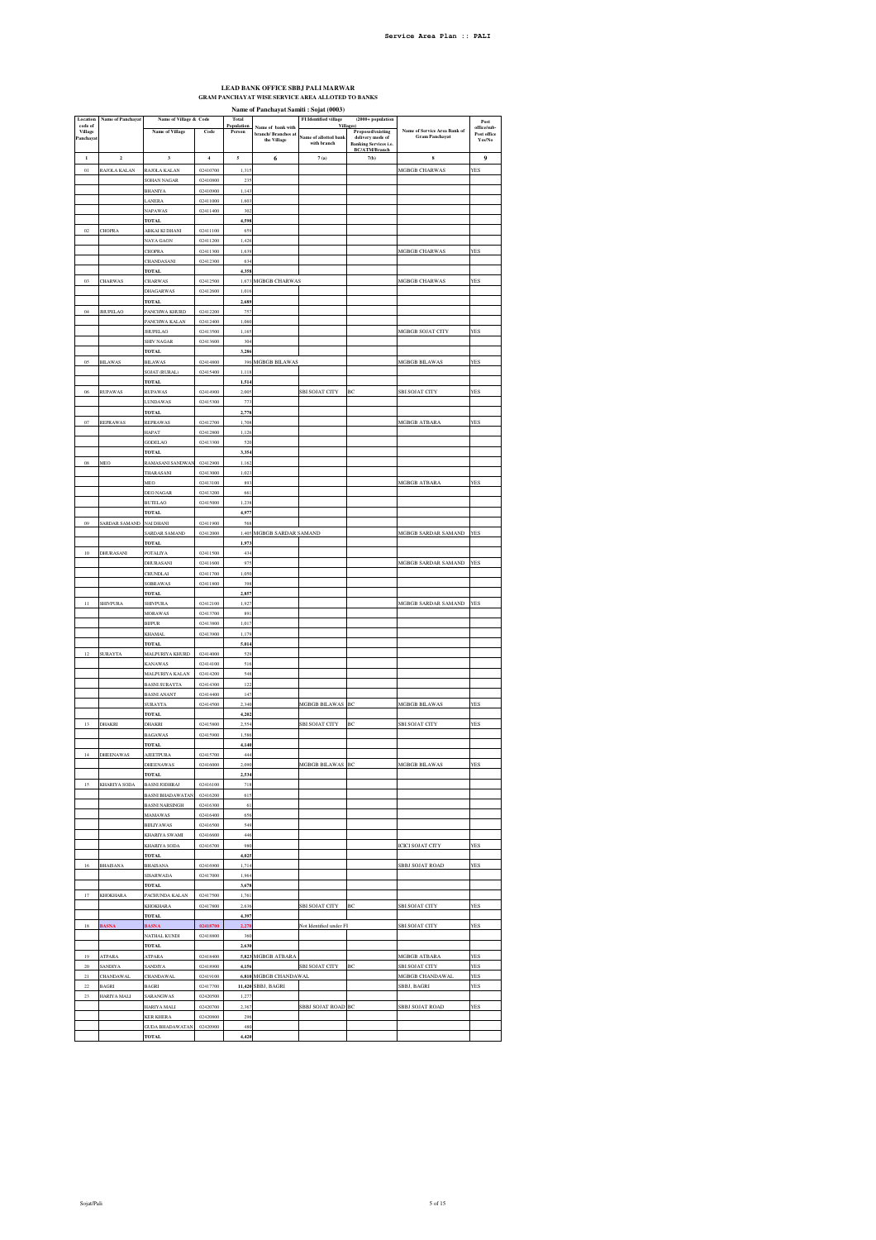## **LEAD BANK OFFICE SBBJ PALI MARWAR GRAM PANCHAYAT WISE SERVICE AREA ALLOTED TO BANKS**

**Name of Panchayat Samiti : Sojat (0003)**

| Location<br>code of | Name of Panchayat    | Name of Village & Code                           |                      | Total                   |                                                         | <b>FI</b> Identified village<br>Villag | $(2000 + population$                                                  |                                                       | Post                                 |
|---------------------|----------------------|--------------------------------------------------|----------------------|-------------------------|---------------------------------------------------------|----------------------------------------|-----------------------------------------------------------------------|-------------------------------------------------------|--------------------------------------|
| Village<br>Panchaya |                      | <b>Name of Village</b>                           | Code                 | Population<br>Person    | Name of bank with<br>branch/ Branches at<br>the Village | Same of allotted bank<br>with branch   | Proposed/existing<br>delivery mode of<br><b>Banking Services i.e.</b> | Name of Service Area Bank of<br><b>Gram Panchayat</b> | office/sub-<br>Post office<br>Yes/No |
| $\bf{l}$            | $\overline{2}$       | $\overline{\mathbf{3}}$                          | $\boldsymbol{4}$     | $\mathfrak s$           | 6                                                       | 7(a)                                   | <b>BC/ATM/Branch</b><br>7(b)                                          | $\bf{s}$                                              | 9                                    |
| $_{01}$             | RAJOLA KALAN         | <b>AJOLA KALAN</b>                               | 02410700             | 1,31                    |                                                         |                                        |                                                                       | MGBGB CHARWAS                                         | YES                                  |
|                     |                      | SOHAN NAGAR                                      | 02410800             | 23'                     |                                                         |                                        |                                                                       |                                                       |                                      |
|                     |                      | <b>BHANIYA</b>                                   | 02410900<br>02411000 | 1,143                   |                                                         |                                        |                                                                       |                                                       |                                      |
|                     |                      | <b>ANFRA</b><br>NAPAWAS                          | 02411400             | 1.60<br>302             |                                                         |                                        |                                                                       |                                                       |                                      |
|                     |                      | <b>TOTAL</b>                                     |                      | 4,598                   |                                                         |                                        |                                                                       |                                                       |                                      |
| $02\,$              | CHOPRA               | ABKAI KI DHANI                                   | 02411100             | 659                     |                                                         |                                        |                                                                       |                                                       |                                      |
|                     |                      | NAYA GAON<br><b>CHOPRA</b>                       | 02411200<br>02411300 | 1,420<br>1,639          |                                                         |                                        |                                                                       | MGBGB CHARWAS                                         | YES                                  |
|                     |                      | CHANDASANI                                       | 02412300             | 63                      |                                                         |                                        |                                                                       |                                                       |                                      |
|                     |                      | TOTAL                                            |                      | 4.35                    |                                                         |                                        |                                                                       |                                                       |                                      |
| 03                  | <b>CHARWAS</b>       | CHARWAS                                          | 02412500             | 1,673                   | MGBGB CHARWAS                                           |                                        |                                                                       | MGBGB CHARWAS                                         | YES                                  |
|                     |                      | DHAGARWAS<br>TOTAL                               | 02412600             | 1.01<br>2,689           |                                                         |                                        |                                                                       |                                                       |                                      |
| $_{04}$             | <b>HUPELAO</b>       | ANCHWA KHURD                                     | 02412200             | 75'                     |                                                         |                                        |                                                                       |                                                       |                                      |
|                     |                      | PANCHWA KALAN                                    | 02412400             | 1,060                   |                                                         |                                        |                                                                       |                                                       |                                      |
|                     |                      | <b>JHUPELAO</b>                                  | 02413500             | 1,16<br>30 <sub>i</sub> |                                                         |                                        |                                                                       | MGBGB SOJAT CITY                                      | YES                                  |
|                     |                      | SHIV NAGAR<br><b>TOTAL</b>                       | 02413600             | 3,286                   |                                                         |                                        |                                                                       |                                                       |                                      |
| 05                  | <b>BILAWAS</b>       | <b>BILAWAS</b>                                   | 02414800             | 396                     | MGBGB BILAWAS                                           |                                        |                                                                       | <b>MGBGB BILAWAS</b>                                  | YES                                  |
|                     |                      | SOJAT (RURAL)                                    | 02415400             | 1,118                   |                                                         |                                        |                                                                       |                                                       |                                      |
| 06                  | RUPAWAS              | TOTAL<br><b>RUPAWAS</b>                          | 02414900             | 1,51<br>2,00            |                                                         | SBI SOJAT CITY                         | BC                                                                    | SBI SOJAT CITY                                        | YES                                  |
|                     |                      | <b>JUNDAWAS</b>                                  | 02415300             | 77                      |                                                         |                                        |                                                                       |                                                       |                                      |
|                     |                      | TOTAL                                            |                      | 2,778                   |                                                         |                                        |                                                                       |                                                       |                                      |
| 07                  | REPRAWAS             | REPRAWAS                                         | 02412700             | 1,70                    |                                                         |                                        |                                                                       | MGBGB ATBARA                                          | YES                                  |
|                     |                      | HAPAT<br>GODELAO                                 | 02412800<br>02413300 | 1.12<br>520             |                                                         |                                        |                                                                       |                                                       |                                      |
|                     |                      | TOTAL                                            |                      | 3.35                    |                                                         |                                        |                                                                       |                                                       |                                      |
| 08                  | MEO                  | RAMASANI SANDWA                                  | 02412900             | 1,162                   |                                                         |                                        |                                                                       |                                                       |                                      |
|                     |                      | THARASANI<br>MEO                                 | 02413000<br>02413100 | 1.02<br>893             |                                                         |                                        |                                                                       | MGBGB ATBARA                                          | YES                                  |
|                     |                      | <b>DEO NAGAR</b>                                 | 02413200             | 66                      |                                                         |                                        |                                                                       |                                                       |                                      |
|                     |                      | <b>BUTELAO</b>                                   | 02415000             | 1.23                    |                                                         |                                        |                                                                       |                                                       |                                      |
|                     |                      | <b>TOTAL</b>                                     |                      | 4,977                   |                                                         |                                        |                                                                       |                                                       |                                      |
| 09                  | <b>SARDAR SAMAND</b> | <b>NAI DHANI</b><br>SARDAR SAMAND                | 02411900<br>02412000 | 568<br>1,405            | MGBGB SARDAR SAMAND                                     |                                        |                                                                       | MGBGB SARDAR SAMAND                                   | YES                                  |
|                     |                      | <b>TOTAL</b>                                     |                      | 1.97                    |                                                         |                                        |                                                                       |                                                       |                                      |
| $10\,$              | DHURASANI            | <b>POTALIYA</b>                                  | 02411500             | 43                      |                                                         |                                        |                                                                       |                                                       |                                      |
|                     |                      | DHURASANI<br><b>HUNDLAI</b>                      | 02411600<br>02411700 | 975<br>1,050            |                                                         |                                        |                                                                       | MGBGB SARDAR SAMAND                                   | YES                                  |
|                     |                      | SOBRAWAS                                         | 02411800             | 398                     |                                                         |                                        |                                                                       |                                                       |                                      |
|                     |                      | TOTAL                                            |                      | 2.85                    |                                                         |                                        |                                                                       |                                                       |                                      |
| $\bar{1}$           | SHIVPURA             | SHIVPURA                                         | 02412100             | 1,927                   |                                                         |                                        |                                                                       | MGBGB SARDAR SAMAND                                   | YES                                  |
|                     |                      | <b>MORAWAS</b><br><b>BUPUR</b>                   | 02413700<br>02413800 | 89<br>1,017             |                                                         |                                        |                                                                       |                                                       |                                      |
|                     |                      | <b>CHAMAL</b>                                    | 02413900             | 1,179                   |                                                         |                                        |                                                                       |                                                       |                                      |
|                     |                      | <b>TOTAL</b>                                     |                      | 5,01                    |                                                         |                                        |                                                                       |                                                       |                                      |
| 12                  | SURAYTA              | MALPURIYA KHURD<br>KANAWAS                       | 02414000<br>02414100 | 529<br>516              |                                                         |                                        |                                                                       |                                                       |                                      |
|                     |                      | MALPURIYA KALAN                                  | 02414200             | 548                     |                                                         |                                        |                                                                       |                                                       |                                      |
|                     |                      | <b>BASNI SURAYTA</b>                             | 02414300             | 122                     |                                                         |                                        |                                                                       |                                                       |                                      |
|                     |                      | <b>BASNI ANANT</b>                               | 02414400             | 147                     |                                                         |                                        |                                                                       |                                                       |                                      |
|                     |                      | <b>SURAYTA</b><br><b>TOTAL</b>                   | 02414500             | 2.340<br>4,20           |                                                         | <b>MGBGB BILAWAS</b>                   | BC                                                                    | MGBGB BILAWAS                                         | <b>YES</b>                           |
| $13\,$              | DHAKRI               | DHAKRI                                           | 02415800             | 2,55                    |                                                         | SBI SOJAT CITY                         | ВC                                                                    | SBI SOJAT CITY                                        | YES                                  |
|                     |                      | <b>BAGAWAS</b>                                   | 02415900             | 1,586                   |                                                         |                                        |                                                                       |                                                       |                                      |
|                     |                      | <b>TOTAL</b>                                     |                      | 4,146                   |                                                         |                                        |                                                                       |                                                       |                                      |
| 14                  | DHEENAWAS            | <b>NJEETPURA</b><br>DHEENAWAS                    | 02415700<br>02416000 | 44<br>2,090             |                                                         | MGBGB BILAWAS BC                       |                                                                       | MGBGB BILAWAS                                         | YES                                  |
|                     |                      | <b>OTAL</b>                                      |                      | 2.53                    |                                                         |                                        |                                                                       |                                                       |                                      |
| 15                  | KHARIYA SODA         | <b>BASNI JODHRAJ</b>                             | 02416100             | 718                     |                                                         |                                        |                                                                       |                                                       |                                      |
|                     |                      | <b>BASNI BHADAWATAN</b><br><b>BASNI NARSINGH</b> | 02416200<br>02416300 | 615<br>61               |                                                         |                                        |                                                                       |                                                       |                                      |
|                     |                      | MAMAWAS                                          | 02416400             | 65                      |                                                         |                                        |                                                                       |                                                       |                                      |
|                     |                      | <b>BIJLIYAWAS</b>                                | 02416500             | 549                     |                                                         |                                        |                                                                       |                                                       |                                      |
|                     |                      | KHARIYA SWAMI                                    | 02416600             | 446                     |                                                         |                                        |                                                                       |                                                       |                                      |
|                     |                      | KHARIYA SODA<br><b>TOTAL</b>                     | 02416700             | 980<br>4,025            |                                                         |                                        |                                                                       | ICICI SOJAT CITY                                      | YES                                  |
| 16                  | BHAISANA             | BHAISANA                                         | 02416900             | 1,71                    |                                                         |                                        |                                                                       | <b>SBBJ SOJAT ROAD</b>                                | YES                                  |
|                     |                      | SISARWADA                                        | 02417000             | 1,964                   |                                                         |                                        |                                                                       |                                                       |                                      |
|                     |                      | <b>FOTAL</b>                                     |                      | 3,678                   |                                                         |                                        |                                                                       |                                                       |                                      |
| 17                  | KHOKHARA             | PACHUNDA KALAN<br>KHOKHARA                       | 02417500<br>02417800 | 1,76<br>2,63            |                                                         | SBI SOJAT CITY                         | BC                                                                    | SBI SOJAT CITY                                        | YES                                  |
|                     |                      | <b>TOTAL</b>                                     |                      | 4,397                   |                                                         |                                        |                                                                       |                                                       |                                      |
| $1\,\mathrm{s}$     | BASNA                | <b>ASNA</b>                                      | 02418700             | 2,27                    |                                                         | Not Identified under FI                |                                                                       | SBI SOJAT CITY                                        | YES                                  |
|                     |                      | NATHAL KUNDI                                     | 02418800             | 360                     |                                                         |                                        |                                                                       |                                                       |                                      |
| 19                  | ATPARA               | <b>TOTAL</b><br><b>ATPARA</b>                    | 02418400             | 2,630<br>5,823          | MGBGB ATBARA                                            |                                        |                                                                       | MGBGB ATBARA                                          | <b>YES</b>                           |
| 20                  |                      |                                                  | 02418900             | 4,15                    |                                                         | SBI SOJAT CITY                         | BC                                                                    | SBI SOJAT CITY                                        | YES                                  |
|                     | SANDIYA              | SANDIYA                                          |                      |                         |                                                         |                                        |                                                                       |                                                       |                                      |
| $2\sqrt{1}$         | CHANDAWAL            | CHANDAWAL                                        | 02419100             |                         | 6,810 MGBGB CHANDAWAL                                   |                                        |                                                                       | MGBGB CHANDAWAL                                       | YES                                  |
| $\bf{22}$           | <b>BAGRI</b>         | <b>BAGRI</b>                                     | 02417700             |                         | 11,420 SBBJ, BAGRI                                      |                                        |                                                                       | SBBJ, BAGRI                                           | YES                                  |
| 23                  | HARIYA MALI          | <b>ARANGWAS</b><br>HARIYA MALI                   | 02420500<br>02420700 | 1,27<br>2.367           |                                                         | SBBJ SOJAT ROAD BC                     |                                                                       |                                                       | YES                                  |
|                     |                      | <b>KER KHERA</b>                                 | 02420800             | 296                     |                                                         |                                        |                                                                       | SBBJ SOJAT ROAD                                       |                                      |
|                     |                      | <b>GUDA BHADAWATAN</b><br><b>TOTAL</b>           | 02420900             | 480<br>4,420            |                                                         |                                        |                                                                       |                                                       |                                      |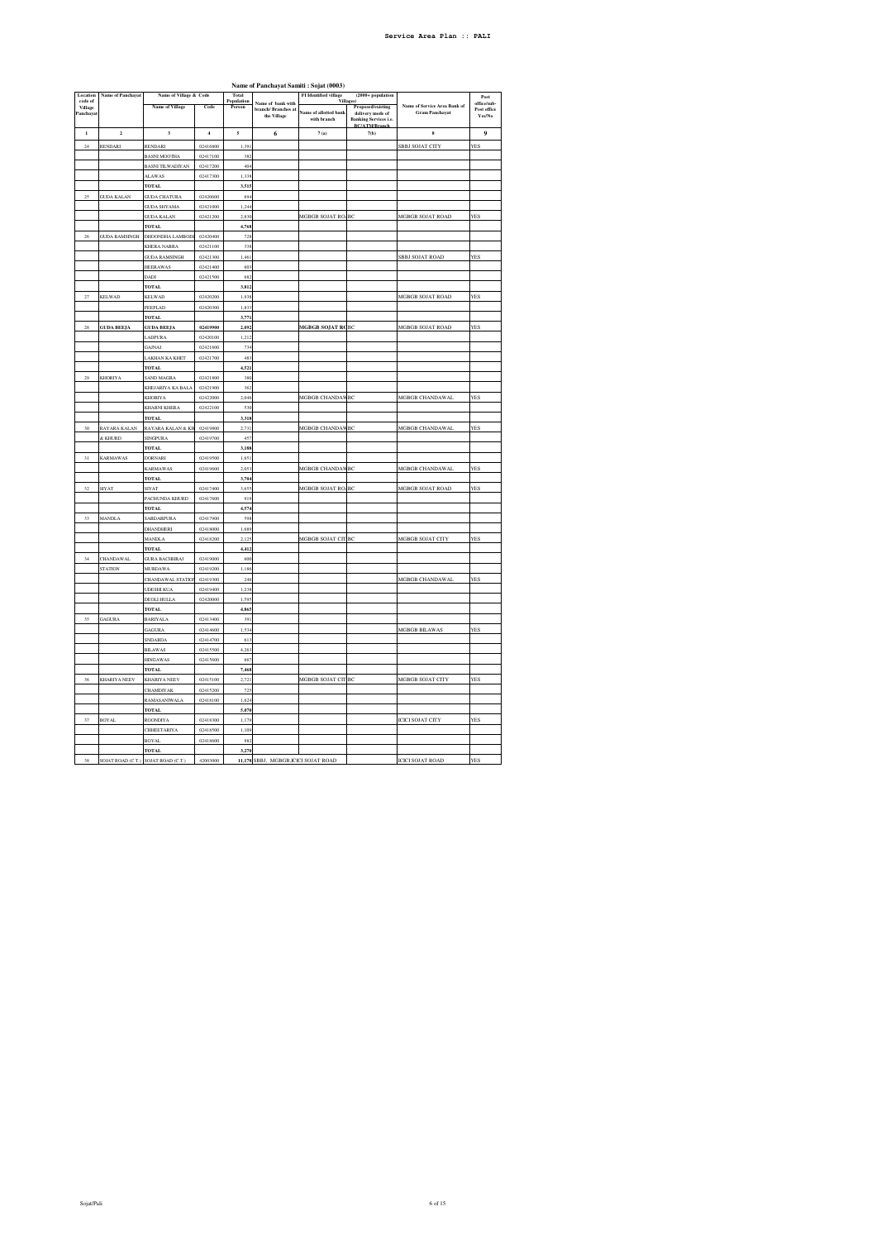|                    | Name of Panchayat Samiti: Sojat (0003) |                                     |                      |                         |                                             |                                             |                                                                          |                              |                           |
|--------------------|----------------------------------------|-------------------------------------|----------------------|-------------------------|---------------------------------------------|---------------------------------------------|--------------------------------------------------------------------------|------------------------------|---------------------------|
| Location           | Name of Panchayat                      | Name of Village & Code              |                      | Total                   |                                             | <b>FI</b> Identified village<br>Villa       | $(2000 + population)$                                                    |                              | Post                      |
| code of<br>Village |                                        | Name of Village                     | Code                 | Population<br>Person    | Name of bank with<br><b>branch/Branches</b> |                                             | Proposed/existing                                                        | Name of Service Area Bank of | office/sub<br>Post office |
| Panchavat          |                                        |                                     |                      |                         | the Village                                 | <b>Same of allotted bank</b><br>with branch | delivery mode of<br><b>Banking Services i.e.</b><br><b>BC/ATM/Branch</b> | <b>Gram Panchayat</b>        | Yes/No                    |
| $\mathbf{I}$       | $\mathbf 2$                            | $\overline{\mathbf{3}}$             | $\overline{4}$       | $\overline{\mathbf{5}}$ | 6                                           | 7(a)                                        | 7(b)                                                                     | $\bf{s}$                     | $\boldsymbol{9}$          |
| $^{24}$            | RENDARI                                | RENDARI                             | 02416800             | 1,39                    |                                             |                                             |                                                                          | SBBJ SOJAT CITY              | YES                       |
|                    |                                        | <b>BASNI MOOTHA</b>                 | 02417100             | 382                     |                                             |                                             |                                                                          |                              |                           |
|                    |                                        | BASNI TILWADIYAN                    | 02417200             | 404                     |                                             |                                             |                                                                          |                              |                           |
|                    |                                        | <b>ALAWAS</b>                       | 02417300             | 1,338                   |                                             |                                             |                                                                          |                              |                           |
|                    |                                        | TOTAL                               |                      | 3.515                   |                                             |                                             |                                                                          |                              |                           |
| 25                 | <b>JUDA KALAN</b>                      | <b>GUDA CHATURA</b>                 | 02420600             | 694                     |                                             |                                             |                                                                          |                              |                           |
|                    |                                        | <b>GUDA SHYAMA</b>                  | 02421000             | 1.244                   |                                             |                                             |                                                                          |                              |                           |
|                    |                                        | <b>GUDA KALAN</b>                   | 02421200             | 2,830                   |                                             | MGBGB SOJAT ROABC                           |                                                                          | MGBGB SOJAT ROAD             | YES                       |
|                    |                                        | <b>TOTAL</b>                        |                      | 4,768                   |                                             |                                             |                                                                          |                              |                           |
| 26                 | <b>GUDA RAMSINGH</b>                   | DHOONDHA LAMBODI                    | 02420400             | 728                     |                                             |                                             |                                                                          |                              |                           |
|                    |                                        | KHERA NABRA                         | 02421100             | 338                     |                                             |                                             |                                                                          |                              |                           |
|                    |                                        | <b>GUDA RAMSINGH</b>                | 02421300             | 1,461                   |                                             |                                             |                                                                          | SBBJ SOJAT ROAD              | YES                       |
|                    |                                        | <b>HEERAWAS</b>                     | 02421400             | 603                     |                                             |                                             |                                                                          |                              |                           |
|                    |                                        | DADI                                | 02421500             | 682                     |                                             |                                             |                                                                          |                              |                           |
|                    |                                        | <b>TOTAL</b>                        |                      | 3,812                   |                                             |                                             |                                                                          |                              |                           |
| 27                 | <b>KELWAD</b>                          | <b>KELWAD</b>                       | 02420200             | 1.93                    |                                             |                                             |                                                                          | MGBGB SOJAT ROAD             | <b>YES</b>                |
|                    |                                        | PEEPLAD                             | 02420300             | 1,833                   |                                             |                                             |                                                                          |                              |                           |
|                    |                                        | <b>TOTAL</b>                        |                      | 3,771                   |                                             |                                             |                                                                          |                              |                           |
| 28                 | <b>GUDA BEEJA</b>                      | <b>GUDA BEEJA</b>                   | 02419900             | 2,092                   |                                             | MGBGB SOJAT ROBC                            |                                                                          | MGBGB SOJAT ROAD             | YES                       |
|                    |                                        | LADPURA                             | 02420100             | 1,212                   |                                             |                                             |                                                                          |                              |                           |
|                    |                                        | GAJNAI                              | 02421600             | 734                     |                                             |                                             |                                                                          |                              |                           |
|                    |                                        | LAKHAN KA KHET                      | 02421700             | 483                     |                                             |                                             |                                                                          |                              |                           |
|                    |                                        | <b>TOTAL</b>                        |                      | 4.521                   |                                             |                                             |                                                                          |                              |                           |
| 29                 | KHORIYA                                |                                     |                      | 380                     |                                             |                                             |                                                                          |                              |                           |
|                    |                                        | SAND MAGRA<br>KHEJARIYA KA BALA     | 02421800<br>02421900 | 36 <sup>2</sup>         |                                             |                                             |                                                                          |                              |                           |
|                    |                                        |                                     |                      | 2,046                   |                                             |                                             |                                                                          |                              | YES                       |
|                    |                                        | KHORIYA<br>KHARNI KHERA             | 02422000<br>02422100 | 530                     |                                             | MGBGB CHANDAWBC                             |                                                                          | MGBGB CHANDAWAL              |                           |
|                    |                                        |                                     |                      |                         |                                             |                                             |                                                                          |                              |                           |
| 30                 |                                        | TOTAL                               |                      | 3,318<br>2,731          |                                             | MGBGB CHANDAWBC                             |                                                                          | MGBGB CHANDAWAL              | YES                       |
|                    | RAYARA KALAN                           | RAYARA KALAN & KH                   | 02419800             |                         |                                             |                                             |                                                                          |                              |                           |
|                    | & KHURD                                | <b>SINGPURA</b>                     | 02419700             | 457                     |                                             |                                             |                                                                          |                              |                           |
| 31                 |                                        | TOTAL<br>DORNARI                    | 02419500             | 3,188<br>1.651          |                                             |                                             |                                                                          |                              |                           |
|                    | <b>KARMAWAS</b>                        |                                     |                      |                         |                                             |                                             |                                                                          |                              | <b>YES</b>                |
|                    |                                        | <b>KARMAWAS</b><br><b>TOTAL</b>     | 02419600             | 2,053<br>3,704          |                                             | MGBGB CHANDAWBC                             |                                                                          | MGBGB CHANDAWAL              |                           |
| 32                 | <b>SIYAT</b>                           | SIYAT                               | 02417400             | 3,655                   |                                             | MGBGB SOJAT ROABC                           |                                                                          | MGBGB SOJAT ROAD             | YES                       |
|                    |                                        | PACHUNDA KHURD                      | 02417600             | 919                     |                                             |                                             |                                                                          |                              |                           |
|                    |                                        | TOTAL                               |                      | 4,574                   |                                             |                                             |                                                                          |                              |                           |
| 33                 | <b>MANDLA</b>                          | SARDARPURA                          | 02417900             | 598                     |                                             |                                             |                                                                          |                              |                           |
|                    |                                        |                                     | 02418000             | 1.689                   |                                             |                                             |                                                                          |                              |                           |
|                    |                                        | <b>DHANDHERI</b><br><b>MANDLA</b>   | 02418200             | 2,125                   |                                             | MGBGB SOJAT CIT BC                          |                                                                          | MGBGB SOJAT CITY             | YES                       |
|                    |                                        | <b>TOTAL</b>                        |                      | 4,412                   |                                             |                                             |                                                                          |                              |                           |
| 34                 | <b>CHANDAWAL</b>                       | <b>GURA BACHHRAJ</b>                | 02419000             | 600                     |                                             |                                             |                                                                          |                              |                           |
|                    | <b>STATION</b>                         |                                     | 02419200             | 1.186                   |                                             |                                             |                                                                          |                              |                           |
|                    |                                        | <b>MURDAWA</b><br>CHANDAWAL STATION | 02419300             | 246                     |                                             |                                             |                                                                          | MGBGB CHANDAWAL              | YES                       |
|                    |                                        | <b>UDESHI KUA</b>                   | 02419400             | 1,238                   |                                             |                                             |                                                                          |                              |                           |
|                    |                                        | DEOLI HULLA                         | 02420000             | 1.595                   |                                             |                                             |                                                                          |                              |                           |
|                    |                                        | TOTAL                               |                      | 4,86                    |                                             |                                             |                                                                          |                              |                           |
| 35                 | GAGURA                                 | <b>BARIYALA</b>                     | 02413400             | 391                     |                                             |                                             |                                                                          |                              |                           |
|                    |                                        | GAGURA                              | 02414600             | 1,534                   |                                             |                                             |                                                                          | MGBGB BILAWAS                | YES                       |
|                    |                                        | SNDARDA                             | 02414700             | 613                     |                                             |                                             |                                                                          |                              |                           |
|                    |                                        | <b>BILAWAS</b>                      | 02415500             | 4,26                    |                                             |                                             |                                                                          |                              |                           |
|                    |                                        | <b>HINGAWAS</b>                     | 02415600             | 667                     |                                             |                                             |                                                                          |                              |                           |
|                    |                                        | <b>TOTAL</b>                        |                      | 7,468                   |                                             |                                             |                                                                          |                              |                           |
| 36                 | KHARIYA NEEV                           | KHARIYA NEEV                        | 02415100             | 2,721                   |                                             | MGBGB SOJAT CIT BC                          |                                                                          | MGBGB SOJAT CITY             | YES                       |
|                    |                                        | CHAMDIYAK                           | 02415200             | 725                     |                                             |                                             |                                                                          |                              |                           |
|                    |                                        |                                     |                      | 1,624                   |                                             |                                             |                                                                          |                              |                           |
|                    |                                        | RAMASANIWALA                        | 02418100             | 5.070                   |                                             |                                             |                                                                          |                              |                           |
| 37                 | BOYAL                                  | TOTAL<br>ROONDIYA                   | 02418300             | 1,179                   |                                             |                                             |                                                                          | <b>ICICI SOJAT CITY</b>      | <b>YES</b>                |
|                    |                                        | CHHEETARIYA                         | 02418500             | 1,109                   |                                             |                                             |                                                                          |                              |                           |
|                    |                                        |                                     |                      | 98                      |                                             |                                             |                                                                          |                              |                           |
|                    |                                        | BOYAL<br><b>TOTAL</b>               | 02418600             | 3,270                   |                                             |                                             |                                                                          |                              |                           |
| 38                 | SOJAT ROAD (C.T.) SOJAT ROAD (C.T.)    |                                     | 42003000             |                         | 11,178 SBBJ, MGBGB, ICICI SOJAT ROAD        |                                             |                                                                          | <b>ICICI SOLAT ROAD</b>      | <b>YES</b>                |
|                    |                                        |                                     |                      |                         |                                             |                                             |                                                                          |                              |                           |

## **Name of Panchayat Samiti : Sojat (0003)**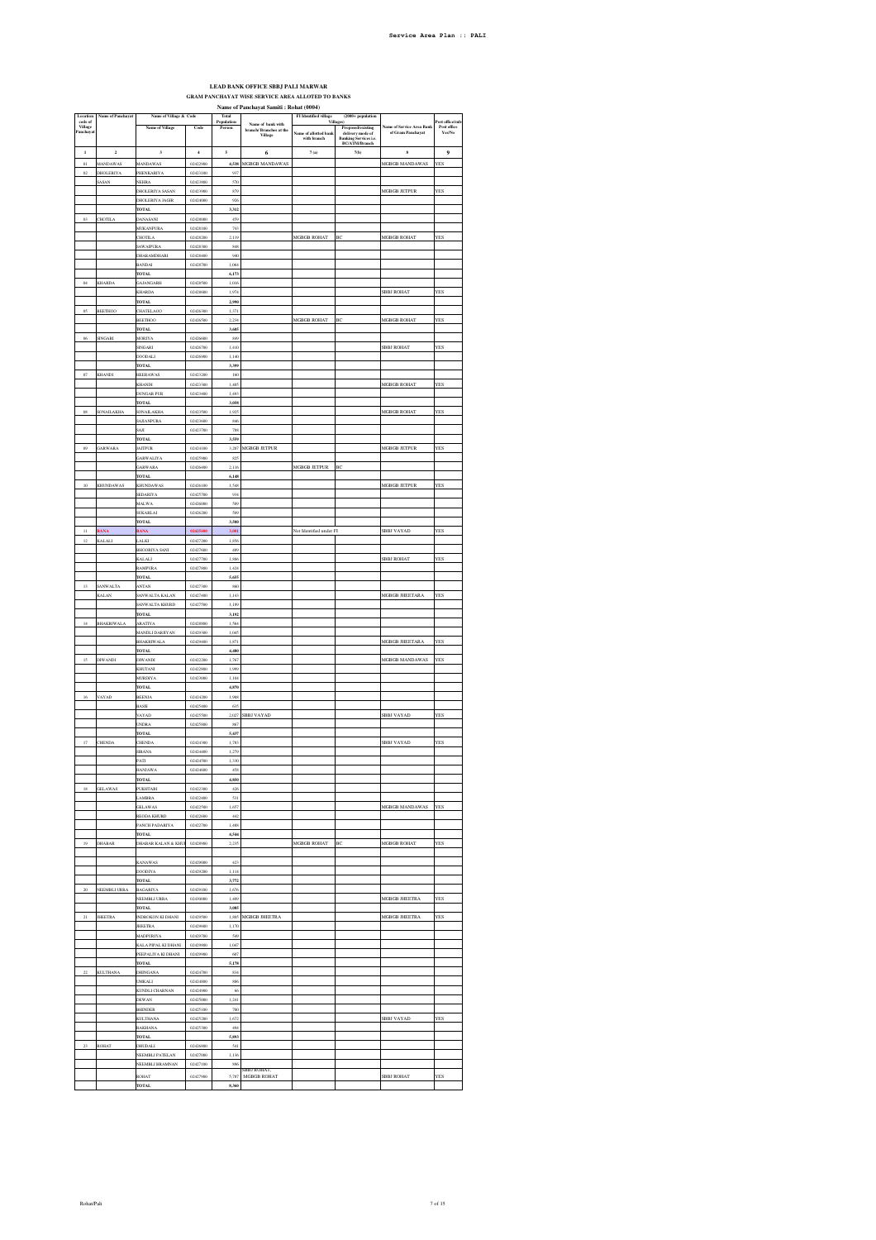# **LEAD BANK OFFICE SBBJ PALI MARWAR GRAM PANCHAYAT WISE SERVICE AREA ALLOTED TO BANKS Name of Panchayat Samiti : Rohat (0004) FI Identified village (2000+ population**

| Location<br>code of  | Name of Panchayat | Name of Village & Code               |                      | Total<br>Population      |                                                         | FI Identified village<br>Villa | (2000+ population                             |                                              | Post office/sub       |
|----------------------|-------------------|--------------------------------------|----------------------|--------------------------|---------------------------------------------------------|--------------------------------|-----------------------------------------------|----------------------------------------------|-----------------------|
| Village<br>Panchayat |                   | Name of Village                      | Code                 | Person                   | Name of bank with<br>branch/ Branches at the<br>Village | <b>Name of allotted bank</b>   | Proposed/existing<br>delivery mode of         | me of Service Area Bani<br>of Gram Panchayat | Post office<br>Yes/No |
|                      |                   |                                      |                      |                          |                                                         | with branch                    | <b>Banking Services i.e.</b><br>BC/ATM/Branch |                                              |                       |
| $\mathbf{I}$         | $\overline{a}$    | 3                                    | $\ddot{ }$           | $\overline{\phantom{a}}$ | 6                                                       | 7(a)                           | 7(b)                                          | $\bf{s}$                                     | $\ddot{\mathbf{Q}}$   |
| $_{01}$              | MANDAWAS          | MANDAWAS                             | 02422900             | 4,538                    | MGBGB MANDAWAS                                          |                                |                                               | MGBGB MANDAWAS                               | YES                   |
| $_{02}$              | DHOLERIYA         | PHENKARIYA                           | 02423100             | 937                      |                                                         |                                |                                               |                                              |                       |
|                      | SASAN             | <b>NEHRA</b>                         | 02423800             | 570                      |                                                         |                                |                                               |                                              |                       |
|                      |                   | <b>DHOLERIYA SASAN</b>               | 02423900             | 879                      |                                                         |                                |                                               | MGBGB JETPUR                                 | YES                   |
|                      |                   | DHOLERIYA JAGIR<br>TOTAL             | 02424000             | 926<br>3.312             |                                                         |                                |                                               |                                              |                       |
| O3                   | <b>HOTILA</b>     | <b>JANASANI</b>                      | 02428000             | 459                      |                                                         |                                |                                               |                                              |                       |
|                      |                   | MUKANPURA                            | 02428100             | 743                      |                                                         |                                |                                               |                                              |                       |
|                      |                   | <b>CHOTILA</b>                       | 02428200             | 2,119                    |                                                         | MGBGB ROHAT                    | BC                                            | MGBGB ROHAT                                  | YES                   |
|                      |                   | <b>SAWAIPURA</b>                     | 02428300             | 848                      |                                                         |                                |                                               |                                              |                       |
|                      |                   | DHARAMDHARI                          | 02428400             | 940                      |                                                         |                                |                                               |                                              |                       |
|                      |                   | <b>BANDAL</b>                        | 02428700             | 1.064                    |                                                         |                                |                                               |                                              |                       |
| $_{04}$              | <b>KHARDA</b>     | <b>TOTAL</b><br><b>JAJANGARH</b>     | 02428500             | 6,173<br>1,016           |                                                         |                                |                                               |                                              |                       |
|                      |                   | KHARDA                               | 02428600             | 1,974                    |                                                         |                                |                                               | SBBJ ROHAT                                   | YES                   |
|                      |                   | TOTAL                                |                      | 2,990                    |                                                         |                                |                                               |                                              |                       |
| $\alpha$             | <b>BEETHOO</b>    | CHATELAOO                            | 02426300             | 1,371                    |                                                         |                                |                                               |                                              |                       |
|                      |                   | <b>BEETHOO</b>                       | 02426500             | 2.234                    |                                                         | <b>MGBGB ROHAT</b>             | BC                                            | MGBGB ROHAT                                  | <b>YES</b>            |
|                      |                   | <b>TOTA</b>                          |                      | 3,605                    |                                                         |                                |                                               |                                              |                       |
| $\alpha$             | <b>INGARI</b>     | MORIY/                               | 02426600             | 849                      |                                                         |                                |                                               |                                              | YES                   |
|                      |                   | SINGARI<br><b>DOODALI</b>            | 02426700<br>02426900 | 1,410<br>1,140           |                                                         |                                |                                               | SBBJ ROHAT                                   |                       |
|                      |                   | <b>TOTAL</b>                         |                      | 3,399                    |                                                         |                                |                                               |                                              |                       |
| $_{07}$              | KHANDI            | <b>HEERAWAS</b>                      | 02423200             | 160                      |                                                         |                                |                                               |                                              |                       |
|                      |                   | <b>KHANDI</b>                        | 02423300             | 1,405                    |                                                         |                                |                                               | <b>MGBGB ROHAT</b>                           | <b>YES</b>            |
|                      |                   | <b>DUNGAR PUR</b>                    | 02423400             | 1,493                    |                                                         |                                |                                               |                                              |                       |
|                      |                   | <b>TOTAL</b>                         |                      | 3,058                    |                                                         |                                |                                               |                                              |                       |
| $_{\rm OS}$          | SONAILAKHA        | <b>SONAILAKHA</b>                    | 02423500             | 1,925                    |                                                         |                                |                                               | MGBGB ROHAT                                  | <b>YES</b>            |
|                      |                   | SAJIANPURA<br>SAJI                   | 02423600<br>02423700 | 846<br>788               |                                                         |                                |                                               |                                              |                       |
|                      |                   | <b>TOTAL</b>                         |                      | 3.559                    |                                                         |                                |                                               |                                              |                       |
| 09                   | <b>ARWARA</b>     | <b>IAITPUR</b>                       | 02424100             | 3,207                    | MGBGB JETPUR                                            |                                |                                               | MGBGB JETPUR                                 | YES                   |
|                      |                   | <b>JARWALIYA</b>                     | 02425900             | 82!                      |                                                         |                                |                                               |                                              |                       |
|                      |                   | GARWARA                              | 02426400             | 2,116                    |                                                         | MGBGB JETPUR                   | BC                                            |                                              |                       |
|                      |                   | <b>TOTAL</b>                         |                      | 6,148                    |                                                         |                                |                                               |                                              |                       |
| 10                   | <b>KHUNDAWAS</b>  | <b>KHUNDAWAS</b><br>SEDARIYA         | 02426100<br>02425700 | 1,548<br>934             |                                                         |                                |                                               | <b>MGBGB JETPUR</b>                          | YES                   |
|                      |                   | MALWA                                | 02426000             | 509                      |                                                         |                                |                                               |                                              |                       |
|                      |                   | <b>SUKARLAI</b>                      | 02426200             | 509                      |                                                         |                                |                                               |                                              |                       |
|                      |                   | <b>TOTAL</b>                         |                      | 3,500                    |                                                         |                                |                                               |                                              |                       |
| $\mathbf{H}$         | <b>EANA</b>       | EANA                                 | 02425600             | 3,001                    |                                                         | Not Identified under FI        |                                               | SBBJ VAYAD                                   | YES                   |
| 12                   | KALALI            | LALKI                                | 02427200             | 1,856                    |                                                         |                                |                                               |                                              |                       |
|                      |                   | <b>BHOORIYA SANI</b>                 | 02427600             | 489                      |                                                         |                                |                                               |                                              |                       |
|                      |                   | GAL AL                               | 02427700             | 1,886                    |                                                         |                                |                                               | SBBJ ROHAT                                   | YES                   |
|                      |                   | <b>RAMPURA</b><br><b>TOTAL</b>       | 02427800             | 1,424<br>5,655           |                                                         |                                |                                               |                                              |                       |
| 13                   | <b>SANWALTA</b>   | ANTAN                                | 02427300             | 860                      |                                                         |                                |                                               |                                              |                       |
|                      | <b>KALAN</b>      | SANWALTA KALAN                       | 02427400             | 1,143                    |                                                         |                                |                                               | MGBGB JHEETARA                               | YES                   |
|                      |                   | SANWALTA KHURD                       | 02427500             | 1.189                    |                                                         |                                |                                               |                                              |                       |
|                      |                   | <b>TOTAL</b>                         |                      | 3,192                    |                                                         |                                |                                               |                                              |                       |
| $^{14}$              | <b>BHAKRIWALA</b> | ARATIYA                              | 02428800             | 1,564                    |                                                         |                                |                                               |                                              |                       |
|                      |                   | MANDLI DARJIYAN<br><b>BHAKRIWALA</b> | 02429300<br>02429400 | 1,045<br>1,871           |                                                         |                                |                                               | MGBGB JHEETARA                               | <b>YES</b>            |
|                      |                   | TOTAL                                |                      | 4,480                    |                                                         |                                |                                               |                                              |                       |
| 15                   | DIWANDI           | <b>DIWANDI</b>                       | 02422200             | 1.767                    |                                                         |                                |                                               | <b>MGBGB MANDAWAS</b>                        | YES                   |
|                      |                   | <b>KHUTANI</b>                       | 02422800             | 1,999                    |                                                         |                                |                                               |                                              |                       |
|                      |                   | <b>IURDIYA</b>                       | 02423000             | 1,104                    |                                                         |                                |                                               |                                              |                       |
|                      |                   | <b>TOTAL</b>                         |                      | 4,870                    |                                                         |                                |                                               |                                              |                       |
| 16                   | VAYAD             | BEENJA                               | 02424200             | 1,908                    |                                                         |                                |                                               |                                              |                       |
|                      |                   | <b>BASSI</b><br>VAYAD                | 02425400<br>02425500 | 635<br>2,027             | <b>SBBJ VAYAD</b>                                       |                                |                                               | SBBJ VAYAD                                   | YES                   |
|                      |                   | <b>UNDRA</b>                         | 02425800             | 867                      |                                                         |                                |                                               |                                              |                       |
|                      |                   | <b>TOTAL</b>                         |                      | 5,437                    |                                                         |                                |                                               |                                              |                       |
| 17                   | CHENDA            | <b>HENDA</b>                         | 02424300             | 1,783                    |                                                         |                                |                                               | SBBJ VAYAD                                   | YES                   |
|                      |                   | <b>SIRANA</b>                        | 02424400             | 1,279                    |                                                         |                                |                                               |                                              |                       |
|                      |                   | PATI                                 | 02424500             | 1,330                    |                                                         |                                |                                               |                                              |                       |
|                      |                   | <b>HANJAWA</b>                       | 02424600             | 458<br>4,850             |                                                         |                                |                                               |                                              |                       |
| 18                   | <b>JELAWAS</b>    | <b>TOTAL</b><br>PUKHTARI             | 02422300             | 426                      |                                                         |                                |                                               |                                              |                       |
|                      |                   | LAMBRA                               | 02422400             | 531                      |                                                         |                                |                                               |                                              |                       |
|                      |                   | <b>GELAWAS</b>                       | 02422500             | 1,657                    |                                                         |                                |                                               | MGBGB MANDAWAS                               | <b>YES</b>            |
|                      |                   | REODA KHURD                          | 02422600             | 442                      |                                                         |                                |                                               |                                              |                       |
|                      |                   | PANCH PADARIYA                       | 02422700             | 1,488                    |                                                         |                                |                                               |                                              |                       |
|                      |                   | <b>TOTAL</b>                         |                      | 4,544                    |                                                         |                                |                                               |                                              |                       |
| $^{\rm 19}$          | DHABAR            | DHABAR KALAN & KHU                   | 02428900             | 2,235                    |                                                         | MGBGB ROHAT                    | ВC                                            | MGBGB ROHAT                                  | YES                   |
|                      |                   | <b>KANAWAS</b>                       | 02429000             | 423                      |                                                         |                                |                                               |                                              |                       |
|                      |                   | <b>DOODIYA</b>                       | 02429200             | 1,114                    |                                                         |                                |                                               |                                              |                       |
|                      |                   | <b>TOTAL</b>                         |                      | 3,772                    |                                                         |                                |                                               |                                              |                       |
| 20                   | NEEMBLI URRA      | <b>BAGARIYA</b>                      | 02429100             | 1.676                    |                                                         |                                |                                               |                                              |                       |
|                      |                   | NEEMBLI URRA                         | 02430000             | 1,409                    |                                                         |                                |                                               | MGBGB JHEETRA                                | YES                   |
|                      |                   | <b>TOTAL</b>                         |                      | 3,085                    |                                                         |                                |                                               |                                              |                       |
| $_{\rm 21}$          | <b>JHEETRA</b>    | INDROKON KI DHANI<br><b>JHEETRA</b>  | 02429500<br>02429600 | $1.805\,$<br>1,170       | MGBGB JHEETRA                                           |                                |                                               | MGBGB JHEETRA                                | YES                   |
|                      |                   | MADPURIYA                            | 02429700             | 549                      |                                                         |                                |                                               |                                              |                       |
|                      |                   | KALA PIPAL KI DHANI                  | 02429800             | 1,047                    |                                                         |                                |                                               |                                              |                       |
|                      |                   | PEEPALIYA KI DHANI                   | 02429900             | 607                      |                                                         |                                |                                               |                                              |                       |
|                      |                   | TOTAL                                |                      | 5,178                    |                                                         |                                |                                               |                                              |                       |
| $22\,$               | <b>KULTHANA</b>   | <b>DHINGANA</b>                      | 02424700             | $834\,$                  |                                                         |                                |                                               |                                              |                       |
|                      |                   | <b>UMKALI</b>                        | 02424800             | 886                      |                                                         |                                |                                               |                                              |                       |
|                      |                   | KUNDLI CHARNAN                       | 02424900             | 66                       |                                                         |                                |                                               |                                              |                       |
|                      |                   | <b>DEWAN</b><br><b>BHINDER</b>       | 02425000<br>02425100 | 1.241<br>700             |                                                         |                                |                                               |                                              |                       |
|                      |                   | <b>KULTHANA</b>                      | 02425200             | 1,672                    |                                                         |                                |                                               | SBBJ VAYAD                                   | YES                   |
|                      |                   | <b>EAKHANA</b>                       | 02425300             | 494                      |                                                         |                                |                                               |                                              |                       |
|                      |                   | TOTAL                                |                      | 5,893                    |                                                         |                                |                                               |                                              |                       |
| 23                   | <b>ROHAT</b>      | DHUDALI                              | 02426800             | 541                      |                                                         |                                |                                               |                                              |                       |
|                      |                   | NEEMBLI PATELAN                      | 02427000             | 1,136                    |                                                         |                                |                                               |                                              |                       |
|                      |                   | NEEMBLI BRAMNAN                      | 02427100             | 896                      | SBBJ ROHAT,                                             |                                |                                               |                                              |                       |
|                      |                   | ROHAT                                | 02427900             | 5,787                    | MGBGB ROHAT                                             |                                |                                               | <b>SBBJ ROHAT</b>                            | YES                   |
|                      |                   | <b>TOTAL</b>                         |                      | 8,360                    |                                                         |                                |                                               |                                              |                       |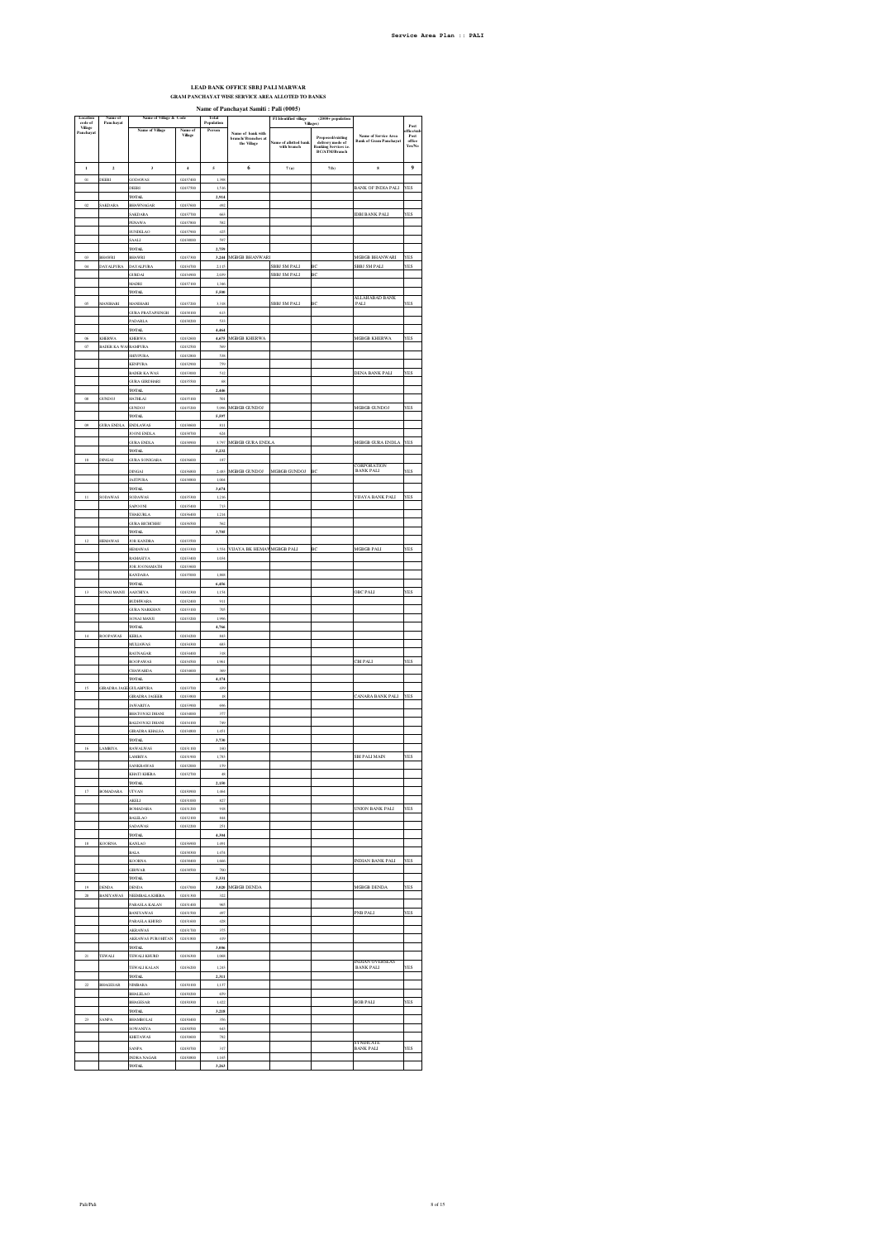## **LEAD BANK OFFICE SBBJ PALI MARWAR GRAM PANCHAYAT WISE SERVICE AREA ALLOTED TO BANKS**

|                                            |                                      |                                                 |                      |                               | Name of Panchayat Samiti: Pali (0005)                  |                                                                         |                                                                                                               |                                                       |                                              |
|--------------------------------------------|--------------------------------------|-------------------------------------------------|----------------------|-------------------------------|--------------------------------------------------------|-------------------------------------------------------------------------|---------------------------------------------------------------------------------------------------------------|-------------------------------------------------------|----------------------------------------------|
| Location<br>code of<br>Vilage<br>Panchayat | me of<br>Panchayat                   | Name of Village & Code<br>Name of Village       | Village              | Total<br>Population<br>Person | Name of bank with<br>branch/Branches at<br>the Village | FI Identified village (Villages)<br>ame of allotted bank<br>with branch | $(2000 + population$<br>Proposed/existing<br>delivery mode of<br><b>Banking Services Le.</b><br>BC/ATM/Branch | Name of Service Area<br><b>Bank of Gram Panchayat</b> | Post<br>ffice/st<br>Post<br>office<br>Yes/No |
| $\begin{array}{c} \textbf{1} \end{array}$  | $\overline{\phantom{a}}$             | 3                                               | $\ddot{\phantom{1}}$ | 5                             | 6                                                      | $7\,(\rm a)$                                                            | $7(b)$                                                                                                        | s                                                     | 9                                            |
| $_{01}$                                    | DEERI                                | GODAWAS                                         | 02437400             | 1,398                         |                                                        |                                                                         |                                                                                                               |                                                       |                                              |
|                                            |                                      | DEERI                                           | 02437500             | 1,516                         |                                                        |                                                                         |                                                                                                               | BANK OF INDIA PALI YES                                |                                              |
| $_{02}$                                    | <b>SAKDARA</b>                       | TOTAL<br>BHAWNAGAR                              | 02437600             | 2,914<br>492                  |                                                        |                                                                         |                                                                                                               |                                                       |                                              |
|                                            |                                      | <b>SAKDARA</b>                                  | 02437700             | 663                           |                                                        |                                                                         |                                                                                                               | <b>IDBI BANK PALI</b>                                 | YES                                          |
|                                            |                                      | PENAWA                                          | 02437800             | 582                           |                                                        |                                                                         |                                                                                                               |                                                       |                                              |
|                                            |                                      | SUNDELAO<br>SAALI                               | 02437900<br>02438000 | 425<br>597                    |                                                        |                                                                         |                                                                                                               |                                                       |                                              |
|                                            |                                      | TOTAL                                           |                      | 2,759                         |                                                        |                                                                         |                                                                                                               |                                                       |                                              |
| $^{0}$                                     | BHAWRI                               | BHAWRI                                          | 02437300             | 3,244                         | <b>MGBGB BHANWARI</b>                                  |                                                                         |                                                                                                               | MGBGB BHANWARI                                        | <b>YES</b>                                   |
| 04                                         | DAYALPURA                            | DAYALPURA<br>GURDAI                             | 02434700<br>02434900 | 2,115<br>2,039                |                                                        | <b>SBBJ SM PALI</b><br><b>SBBJ SM PALI</b>                              | BC<br>BC                                                                                                      | SBBJ SM PALI                                          | YES                                          |
|                                            |                                      | <b>MADRI</b>                                    | 02437100             | 1,346                         |                                                        |                                                                         |                                                                                                               |                                                       |                                              |
|                                            |                                      | TOTAL.                                          |                      | 5,500                         |                                                        |                                                                         |                                                                                                               | ALLAHABAD BANK<br>PALI                                |                                              |
| $\alpha$                                   | MANIHARI                             | MANIHARI                                        | 02437200<br>02438100 | 3,318                         |                                                        | <b>SBBJ SM PALI</b>                                                     | ВĊ                                                                                                            |                                                       | YES                                          |
|                                            |                                      | <b>GURA PRATAPSINGH</b><br><b>PADARLA</b>       | 02438200             | 613<br>533                    |                                                        |                                                                         |                                                                                                               |                                                       |                                              |
|                                            |                                      | TOTAL                                           |                      | 4,464                         |                                                        |                                                                         |                                                                                                               |                                                       |                                              |
| $\alpha$<br>$\sigma$                       | <b>KHERWA</b><br><b>BADER KA WAS</b> | <b>KHERWA</b><br>RAMPURA                        | 02432600<br>02432500 | 569                           | 4,675 MGBGB KHERWA                                     |                                                                         |                                                                                                               | MGBGB KHERWA                                          | YES                                          |
|                                            |                                      | SHIVPURA                                        | 02432800             | 538                           |                                                        |                                                                         |                                                                                                               |                                                       |                                              |
|                                            |                                      | KENPURA                                         | 02432900             | 759                           |                                                        |                                                                         |                                                                                                               |                                                       |                                              |
|                                            |                                      | <b>BADER KA WAS</b><br><b>GURA GIRDHARI</b>     | 02433000<br>02435500 | 512<br>68                     |                                                        |                                                                         |                                                                                                               | <b>DENA BANK PALI</b>                                 | YES                                          |
|                                            |                                      | TOTAL                                           |                      | 2,446                         |                                                        |                                                                         |                                                                                                               |                                                       |                                              |
|                                            | GUNDOJ                               | HATHLAI                                         | 02435100             | 501                           |                                                        |                                                                         |                                                                                                               |                                                       |                                              |
|                                            |                                      | <b>JUNDOJ</b><br><b>TOTAL</b>                   | 02435200             | 5,096<br>5,597                | <b>MGBGB GUNDOJ</b>                                    |                                                                         |                                                                                                               | <b>MGBGB GUNDOJ</b>                                   | YES                                          |
| 09                                         | <b>GURA ENDLA</b>                    | <b>ENDLAWAS</b>                                 | 02438600             | 811                           |                                                        |                                                                         |                                                                                                               |                                                       |                                              |
|                                            |                                      | <b>IOONI ENDLA</b><br><b>JURA ENDLA</b>         | 02438700<br>02438900 | 624                           |                                                        |                                                                         |                                                                                                               | MGBGB GURA ENDLA                                      | YES                                          |
|                                            |                                      | <b>FOTAL</b>                                    |                      | 3,797<br>5,232                | MGBGB GURA ENDLA                                       |                                                                         |                                                                                                               |                                                       |                                              |
| 10                                         | DINGAI                               | <b>JURA SONIGARA</b>                            | 02436600             | 187                           |                                                        |                                                                         |                                                                                                               | CORPORATION                                           |                                              |
|                                            |                                      | DINGAI                                          | 02436800             |                               | 2,483 MGBGB GUNDOJ                                     | MGBGB GUNDOJ                                                            | BO                                                                                                            | <b>BANK PALI</b>                                      | YES                                          |
|                                            |                                      | <b>JAITPURA</b><br>TOTAL                        | 02438800             | 1,004<br>3,674                |                                                        |                                                                         |                                                                                                               |                                                       |                                              |
| $\mathbf{11}%$                             | SODAWAS                              | SODAWAS                                         | 02435300             | 1,216                         |                                                        |                                                                         |                                                                                                               | <b>VIJAYA BANK PALI</b>                               | YES                                          |
|                                            |                                      | <b>SAPOONI</b>                                  | 02435400             | 713                           |                                                        |                                                                         |                                                                                                               |                                                       |                                              |
|                                            |                                      | THAKURLA<br><b>GURA BICHCHHU</b>                | 02436400<br>02436500 | 1,214<br>562                  |                                                        |                                                                         |                                                                                                               |                                                       |                                              |
|                                            |                                      | TOTAL                                           |                      | 3,705                         |                                                        |                                                                         |                                                                                                               |                                                       |                                              |
| $\overline{12}$                            | <b>HEMAWAS</b>                       | <b>JOR KANDRA</b>                               | 02433500             |                               |                                                        |                                                                         |                                                                                                               |                                                       |                                              |
|                                            |                                      | <b>HEMAWAS</b><br>RAMASIYA                      | 02433300<br>02433400 | 3,554<br>1,034                | VIJAYA BK HEMAWMGBGB PALI                              |                                                                         | BC                                                                                                            | <b>MGBGB PALI</b>                                     | YES                                          |
|                                            |                                      | JOR JOONAMATH                                   | 02433600             |                               |                                                        |                                                                         |                                                                                                               |                                                       |                                              |
|                                            |                                      | KANDARA                                         | 02435000             | 1,868                         |                                                        |                                                                         |                                                                                                               |                                                       |                                              |
|                                            | SONAI MANJI                          | TOTAL<br>AAICHIYA                               | 02432300             | 6,456<br>1,154                |                                                        |                                                                         |                                                                                                               | OBC PALI                                              | YES                                          |
|                                            |                                      | <b>BUDHWARA</b>                                 | 02432400             | 911                           |                                                        |                                                                         |                                                                                                               |                                                       |                                              |
|                                            |                                      | <b>URA NARKHAN</b><br>SONAL MANJI               | 02433100             | 705<br>1,996                  |                                                        |                                                                         |                                                                                                               |                                                       |                                              |
|                                            |                                      | TOTAL                                           | 02433200             | 4,766                         |                                                        |                                                                         |                                                                                                               |                                                       |                                              |
|                                            | ROOPAWAS                             | KERI                                            | 02434200             | 843                           |                                                        |                                                                         |                                                                                                               |                                                       |                                              |
|                                            |                                      | <b><i>ALLIAWAS</i></b><br>RAUNAGAR              | 02434300<br>02434400 | 683<br>318                    |                                                        |                                                                         |                                                                                                               |                                                       |                                              |
|                                            |                                      | ROOPAWAS                                        | 02434500             | 1.961                         |                                                        |                                                                         |                                                                                                               | CBI PALI                                              | YES                                          |
|                                            |                                      | CHAWARDA                                        | 02434600             |                               |                                                        |                                                                         |                                                                                                               |                                                       |                                              |
| 15                                         |                                      |                                                 |                      | 369                           |                                                        |                                                                         |                                                                                                               |                                                       |                                              |
|                                            |                                      | <b>TOTAL</b>                                    |                      | 4,174                         |                                                        |                                                                         |                                                                                                               |                                                       |                                              |
|                                            | <b>GIRADRA JAGE GULABPURA</b>        | <b>GIRADRA JAGEER</b>                           | 02433700<br>02433800 | 439<br>18                     |                                                        |                                                                         |                                                                                                               | CANARA BANK PALI                                      | YES                                          |
|                                            |                                      | <b>JAWARIYA</b>                                 | 02433900             | $696\,$                       |                                                        |                                                                         |                                                                                                               |                                                       |                                              |
|                                            |                                      | <b>BHATON KI DHANI</b>                          | 02434000             | 377                           |                                                        |                                                                         |                                                                                                               |                                                       |                                              |
|                                            |                                      | <b>BALDON KI DHANI</b><br><b>GIRADRA KHALSA</b> | 02434100<br>02434800 | 749<br>1,451                  |                                                        |                                                                         |                                                                                                               |                                                       |                                              |
|                                            |                                      | TOTAL                                           |                      | 3,730                         |                                                        |                                                                         |                                                                                                               |                                                       |                                              |
| 16                                         | LAMBIYA                              | RAWALWAS<br>LAMBIYA                             | 02431100<br>02431900 | 160<br>1,783                  |                                                        |                                                                         |                                                                                                               | SBI PALI MAIN                                         | <b>YES</b>                                   |
|                                            |                                      | <b>SANKRAWAS</b>                                | 02432000             | 159                           |                                                        |                                                                         |                                                                                                               |                                                       |                                              |
|                                            |                                      | KHATI KHERA                                     | 02432700             | 48                            |                                                        |                                                                         |                                                                                                               |                                                       |                                              |
| 17                                         | <b>BOMADARA</b>                      | TOTAL<br>UTVAN                                  | 02430900             | 2,150<br>1,464                |                                                        |                                                                         |                                                                                                               |                                                       |                                              |
|                                            |                                      | AKELI                                           | 02431000             | 827                           |                                                        |                                                                         |                                                                                                               |                                                       |                                              |
|                                            |                                      | <b>BOMADARA</b><br>BALELAO                      | 02431200<br>02432100 | 918<br>844                    |                                                        |                                                                         |                                                                                                               | <b>UNION BANK PALI</b>                                | YES                                          |
|                                            |                                      | ADAWAS                                          | 02432200             | 251                           |                                                        |                                                                         |                                                                                                               |                                                       |                                              |
|                                            |                                      | <b>TOTAL</b>                                    |                      | 4,304                         |                                                        |                                                                         |                                                                                                               |                                                       |                                              |
| $^{18}$                                    | KOORNA                               | KANLAO<br><b>BALA</b>                           | 02436900<br>02438300 | 1,491<br>1,474                |                                                        |                                                                         |                                                                                                               |                                                       |                                              |
|                                            |                                      | KOORN/                                          | 02438400             | 1,666                         |                                                        |                                                                         |                                                                                                               | <b>INDIAN BANK PALI</b>                               | YES                                          |
|                                            |                                      | <b>GIRWAR</b>                                   | 02438500             | 700<br>5.331                  |                                                        |                                                                         |                                                                                                               |                                                       |                                              |
| 19                                         | DENDA                                | TOTAL<br>DENDA                                  | 02437000             |                               | 3,020 MGBGB DENDA                                      |                                                                         |                                                                                                               | MGBGB DENDA                                           | YES                                          |
| 20                                         | <b>BANIYAWAS</b>                     | NEEMBALA KHERA                                  | 02431300             | 322                           |                                                        |                                                                         |                                                                                                               |                                                       |                                              |
|                                            |                                      | PARASLA KALAN<br><b>BANIYAWAS</b>               | 02431400<br>02431500 | 965<br>497                    |                                                        |                                                                         |                                                                                                               | PNB PALI                                              | YES                                          |
|                                            |                                      | PARASLA KHURD                                   | 02431600             | 428                           |                                                        |                                                                         |                                                                                                               |                                                       |                                              |
|                                            |                                      | <b>AKRAWAS</b>                                  | 02431700             | $375\,$                       |                                                        |                                                                         |                                                                                                               |                                                       |                                              |
|                                            |                                      | AKRAWAS PUROHITAN                               | 02431800             | 419                           |                                                        |                                                                         |                                                                                                               |                                                       |                                              |
| $_{\rm 21}$                                | TEWALI                               | <b>TOTAL</b><br>TEWALI KHURD                    | 02436300             | 3,006<br>1,068                |                                                        |                                                                         |                                                                                                               |                                                       |                                              |
|                                            |                                      | TEWALI KALAN                                    | 02436200             | 1,243                         |                                                        |                                                                         |                                                                                                               | <b>INDIAN OVERSEAS</b><br><b>BANK PALI</b>            | YES                                          |
|                                            |                                      | <b>TOTAL</b>                                    |                      | 2,311                         |                                                        |                                                                         |                                                                                                               |                                                       |                                              |
| $\overline{2}$                             | BHAGESAR                             | <b>NIMBARA</b><br>BHALELAO                      | 02430100<br>02430200 | 1,137<br>659                  |                                                        |                                                                         |                                                                                                               |                                                       |                                              |
|                                            |                                      | BHAGESAR                                        | 02430300             | 1,422                         |                                                        |                                                                         |                                                                                                               | <b>BOB PALI</b>                                       | YES                                          |
|                                            |                                      | <b>TOTAL</b>                                    |                      | , 218                         |                                                        |                                                                         |                                                                                                               |                                                       |                                              |
| $^{23}$                                    | SANPA                                | BHAMBOLAI<br>SOWANIYA                           | 02430400<br>02430500 | 356<br>643                    |                                                        |                                                                         |                                                                                                               |                                                       |                                              |
|                                            |                                      | KHETAWAS                                        | 02430600             | 782                           |                                                        |                                                                         |                                                                                                               |                                                       |                                              |
|                                            |                                      | SANPA                                           | 02430700             | 317                           |                                                        |                                                                         |                                                                                                               | SYNDICATE<br><b>BANK PALI</b>                         | YES                                          |
|                                            |                                      | <b>INDRA NAGAR</b><br>TOTAL                     | 02430800             | 1,165<br>3,263                |                                                        |                                                                         |                                                                                                               |                                                       |                                              |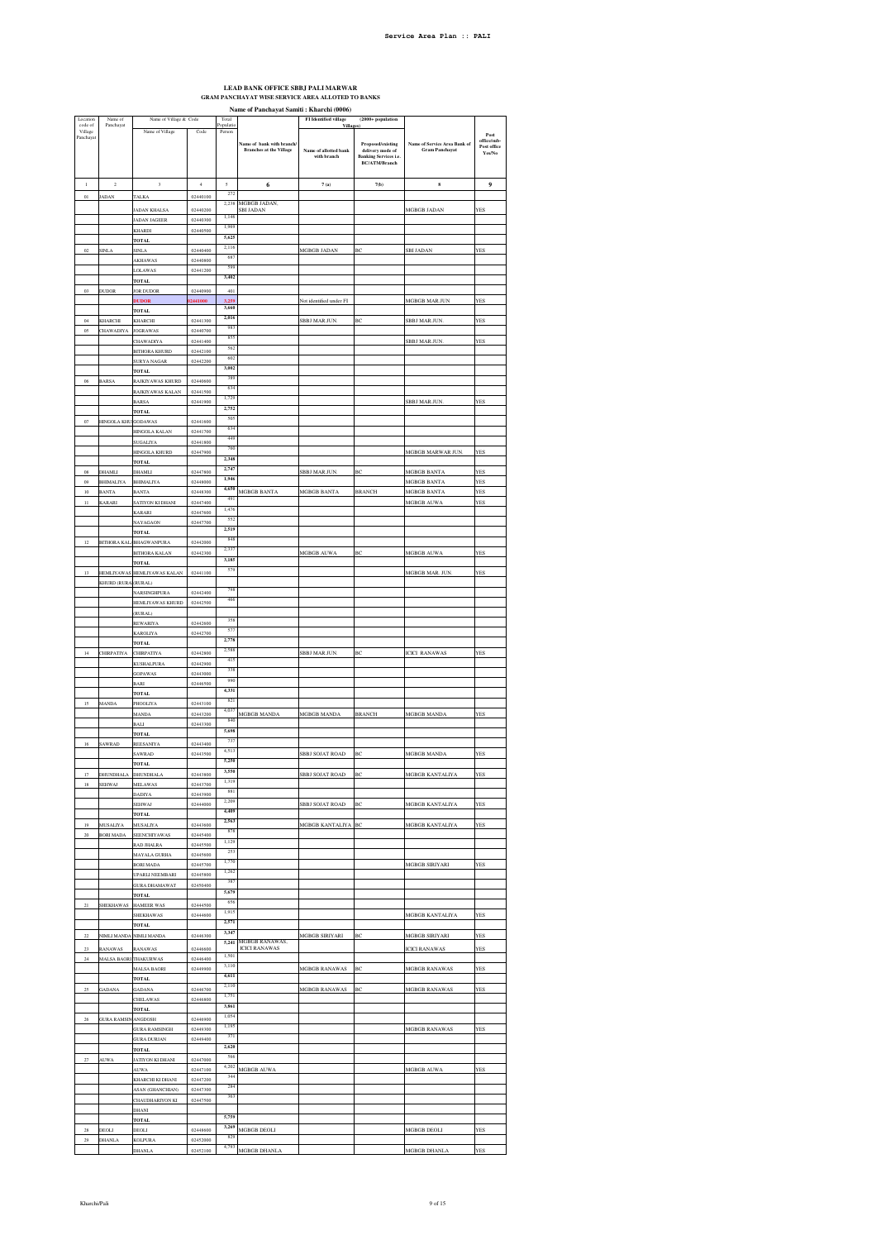$\overline{\phantom{0}}$ 

## **LEAD BANK OFFICE SBBJ PALI MARWAR GRAM PANCHAYAT WISE SERVICE AREA ALLOTED TO BANKS**

**Name of Panchayat Samiti : Kharchi (0006)**<br> **FI Identified village** (2000+ population **FI** Identified village (2000+ population

 $\overline{\mathbf{L}}$ 

| Location<br>code of  | Name of<br>Panchayat                     | Name of Village & Code                          |                      | Total<br>Populatic |                                                            | FI Identified village<br>Village     | $(2000 + population$                                                                   |                                                       |                                              |
|----------------------|------------------------------------------|-------------------------------------------------|----------------------|--------------------|------------------------------------------------------------|--------------------------------------|----------------------------------------------------------------------------------------|-------------------------------------------------------|----------------------------------------------|
| Village<br>Panchayat |                                          | Name of Village                                 | Code                 | Person             | Name of bank with branch<br><b>Branches at the Village</b> | Name of allotted bank<br>with branch | Proposed/existing<br>delivery mode of<br><b>Banking Services i.e.</b><br>BC/ATM/Branch | Name of Service Area Bank of<br><b>Gram Panchayat</b> | Post<br>office/sub-<br>Post office<br>Yes/No |
| $\,$ $\,$            | $\,2\,$                                  | $\overline{\mathbf{3}}$                         | $\,4\,$              | $\sqrt{5}$<br>272  | 6                                                          | 7(a)                                 | 7(b)                                                                                   | ${\bf s}$                                             | 9                                            |
| $_{01}$              | <b>ADAN</b>                              | <b>TALKA</b>                                    | 02440100             | 2,238              | MGBGB JADAN.                                               |                                      |                                                                                        |                                                       |                                              |
|                      |                                          | <b>JADAN KHALSA</b><br><b>JADAN JAGEER</b>      | 02440200<br>02440300 | 1,146              | <b>SBI JADAN</b>                                           |                                      |                                                                                        | MGBGB JADAN                                           | YES                                          |
|                      |                                          | KHARDI                                          | 02440500             | 1,969<br>5,625     |                                                            |                                      |                                                                                        |                                                       |                                              |
| 02                   | SINLA                                    | <b>TOTAL</b><br><b>SINLA</b>                    | 02440400             | 2,116              |                                                            | MGBGB JADAN                          | ВĊ                                                                                     | <b>SBI JADAN</b>                                      | <b>ES</b>                                    |
|                      |                                          | <b>AKHAWAS</b>                                  | 02440800             | 687<br>599         |                                                            |                                      |                                                                                        |                                                       |                                              |
|                      |                                          | LOLAWAS<br><b>TOTAL</b>                         | 02441200             | 3,402              |                                                            |                                      |                                                                                        |                                                       |                                              |
| 03                   | <b>DUDOR</b>                             | <b>JOR DUDOR</b>                                | 02440900             | 401                |                                                            |                                      |                                                                                        |                                                       |                                              |
|                      |                                          | <b>DUDOR</b><br><b>TOTAL</b>                    | 02441000             | 3,259<br>3,660     |                                                            | Not identified under FI              |                                                                                        | <b>MGBGB MARJUN</b>                                   | YES                                          |
| 04                   | KHARCHI                                  | <b>KHARCHI</b>                                  | 02441300             | 2,016              |                                                            | SBBJ MAR.JUN.                        | ВĊ                                                                                     | SBBJ MAR.JUN.                                         | <b>ES</b>                                    |
| $05\,$               | <b>CHAWADIYA</b>                         | <b>JOGRAWAS</b>                                 | 02440700             | 983<br>855         |                                                            |                                      |                                                                                        |                                                       | <b>YES</b>                                   |
|                      |                                          | CHAWADIYA<br><b>BITHORA KHURD</b>               | 02441400<br>02442100 | 562                |                                                            |                                      |                                                                                        | <b>SBBJ MARJUN</b>                                    |                                              |
|                      |                                          | <b>SURYA NAGAR</b>                              | 02442200             | 602<br>3,002       |                                                            |                                      |                                                                                        |                                                       |                                              |
| 06                   | <b>BARSA</b>                             | TOTAL<br>RAJKIYAWAS KHURD                       | 02440600             | 389                |                                                            |                                      |                                                                                        |                                                       |                                              |
|                      |                                          | RAJKIYAWAS KALAN                                | 02441500             | 634<br>1,729       |                                                            |                                      |                                                                                        |                                                       |                                              |
|                      |                                          | <b>BARSA</b><br><b>TOTAL</b>                    | 02441900             | 2,752              |                                                            |                                      |                                                                                        | SBBJ MAR.JUN.                                         | YES                                          |
| 07                   | <b>HINGOLA KHL</b>                       | GODAWAS                                         | 02441600             | 505                |                                                            |                                      |                                                                                        |                                                       |                                              |
|                      |                                          | HINGOLA KALAN                                   | 02441700             | 634<br>449         |                                                            |                                      |                                                                                        |                                                       |                                              |
|                      |                                          | SUGALIYA<br>HINGOLA KHURD                       | 02441800<br>02447900 | 760                |                                                            |                                      |                                                                                        | MGBGB MARWAR JUN                                      | <b>YES</b>                                   |
|                      |                                          | TOTAI                                           |                      | 2,348<br>2,747     |                                                            |                                      |                                                                                        |                                                       |                                              |
| 08<br>09             | DHAMLI<br><b>BHIMALIYA</b>               | <b>DHAMLI</b><br>BHIMALIYA                      | 02447800<br>02448000 | 1,946              |                                                            | SBBJ MAR.JUN.                        | BC                                                                                     | MGBGB BANTA<br>MGBGB BANTA                            | <b>YES</b><br>YES                            |
| 10                   | <b>BANTA</b>                             | <b>BANTA</b>                                    | 02448300             | 4,650              | MGBGB BANTA                                                | MGBGB BANTA                          | <b>BRANCH</b>                                                                          | MGBGB BANTA                                           | YES                                          |
| $\mathbf{11}$        | <b>KARARI</b>                            | <b>SATIYON KI DHANI</b>                         | 02447400             | 491<br>1,476       |                                                            |                                      |                                                                                        | <b>MGBGB AUWA</b>                                     | <b>YES</b>                                   |
|                      |                                          | <b>KARARI</b><br><b>NAYAGAON</b>                | 02447600<br>02447700 | 552                |                                                            |                                      |                                                                                        |                                                       |                                              |
|                      |                                          | <b>TOTAL</b>                                    |                      | 2,519<br>848       |                                                            |                                      |                                                                                        |                                                       |                                              |
| 12                   |                                          | BITHORA KAL BHAGWANPURA<br><b>BITHORA KALAN</b> | 02442000<br>02442300 | 2,337              |                                                            | MGBGB AUWA                           | BC                                                                                     | MGBGB AUWA                                            | YES                                          |
|                      |                                          | <b>TOTAL</b>                                    |                      | 3,185<br>579       |                                                            |                                      |                                                                                        |                                                       |                                              |
| 13                   | <b>HEMLIYAWAS</b><br>KHURD (RURA (RURAL) | HEMLIYAWAS KALAN                                | 02441100             |                    |                                                            |                                      |                                                                                        | MGBGB MAR. JUN.                                       | <b>ES</b>                                    |
|                      |                                          | <b>NARSINGHPURA</b>                             | 02442400             | 798                |                                                            |                                      |                                                                                        |                                                       |                                              |
|                      |                                          | HEMLIYAWAS KHURD                                | 02442500             | 466                |                                                            |                                      |                                                                                        |                                                       |                                              |
|                      |                                          | (RURAL)<br>REWARIYA                             | 02442600             | 358                |                                                            |                                      |                                                                                        |                                                       |                                              |
|                      |                                          | KAROLIYA                                        | 02442700             | 577<br>2,778       |                                                            |                                      |                                                                                        |                                                       |                                              |
| $14\,$               | <b>CHIRPATIYA</b>                        | <b>TOTAL</b><br>CHIRPATIYA                      | 02442800             | 2,588              |                                                            | SBBJ MAR.JUN.                        | BC                                                                                     | <b>ICICI RANAWAS</b>                                  | <b>YES</b>                                   |
|                      |                                          | <b>KUSHALPURA</b>                               | 02442900             | 415<br>338         |                                                            |                                      |                                                                                        |                                                       |                                              |
|                      |                                          | <b>GOPAWAS</b><br><b>BARI</b>                   | 02443000<br>02446500 | 990                |                                                            |                                      |                                                                                        |                                                       |                                              |
|                      |                                          | <b>TOTAL</b>                                    |                      | 4,331              |                                                            |                                      |                                                                                        |                                                       |                                              |
| 15                   | <b>MANDA</b>                             | PHOOLIYA<br><b>MANDA</b>                        | 02443100<br>02443200 | 821<br>4,037       | MGBGB MANDA                                                |                                      |                                                                                        | <b>MGBGB MANDA</b>                                    | <b>ES</b>                                    |
|                      |                                          | <b>BALI</b>                                     | 02443300             | 840                |                                                            | MGBGB MANDA                          | <b>BRANCH</b>                                                                          |                                                       |                                              |
|                      |                                          | <b>TOTAL</b>                                    |                      | 5,698<br>737       |                                                            |                                      |                                                                                        |                                                       |                                              |
| 16                   | SAWRAD                                   | REESANIYA<br><b>SAWRAD</b>                      | 02443400<br>02443500 | 4,513              |                                                            | SBBJ SOJAT ROAD                      | BC                                                                                     | MGBGB MANDA                                           | YES                                          |
|                      |                                          | <b>TOTAL</b>                                    |                      | 5,250<br>3,550     |                                                            |                                      |                                                                                        |                                                       |                                              |
| 17<br>$18\,$         | <b>DHUNDHALA</b><br>SEHWAJ               | <b>DHUNDHALA</b><br>MELAWAS                     | 02443800<br>02443700 | 1,319              |                                                            | SBBJ SOJAT ROAD                      | BC                                                                                     | MGBGB KANTALIYA                                       | <b>YES</b>                                   |
|                      |                                          | <b>DADIYA</b>                                   | 02443900             | 881                |                                                            |                                      |                                                                                        |                                                       |                                              |
|                      |                                          | SEHWAJ<br><b>TOTAL</b>                          | 02444000             | 2,209<br>4,409     |                                                            | SBBJ SOJAT ROAD                      | BC                                                                                     | MGBGB KANTALIYA                                       | YES                                          |
| 19                   | MUSALIYA                                 | <b>MUSALIYA</b>                                 | 02443600             | 2,563              |                                                            | MGBGB KANTALIYA                      | BC                                                                                     | MGBGB KANTALIYA                                       | <b>ES</b>                                    |
| $20\,$               | <b>BORI MADA</b>                         | SEENCHIYAWAS                                    | 02445400             | 878<br>1,129       |                                                            |                                      |                                                                                        |                                                       |                                              |
|                      |                                          | RAD JHALRA<br>MAYALA GURHA                      | 02445500<br>02445600 | 253                |                                                            |                                      |                                                                                        |                                                       |                                              |
|                      |                                          | <b>BORI MADA</b>                                | 02445700             | 1,770<br>1,262     |                                                            |                                      |                                                                                        | MGBGB SIRIYARI                                        | <b>YES</b>                                   |
|                      |                                          | UPARLI NEEMBARI<br><b>GURA DHAMAWAT</b>         | 02445800<br>02450400 | 387                |                                                            |                                      |                                                                                        |                                                       |                                              |
|                      |                                          | <b>TOTAL</b>                                    |                      | 5,679<br>656       |                                                            |                                      |                                                                                        |                                                       |                                              |
| $21\,$               | SHEKHAWAS                                | <b>HAMEER WAS</b><br>SHEKHAWAS                  | 02444500<br>02444600 | 1,915              |                                                            |                                      |                                                                                        | MGBGB KANTALIYA                                       | <b>YES</b>                                   |
|                      |                                          | <b>TOTAL</b>                                    |                      | 2.571              |                                                            |                                      |                                                                                        |                                                       |                                              |
| 22                   |                                          | NIMLI MANDA NIMLI MANDA                         | 02446300             | 3,347<br>5,241     | MGBGB RANAWAS,                                             | <b>MGBGB SIRIYARI</b>                | BC                                                                                     | <b>MGBGB SIRIYARI</b>                                 | <b>YES</b>                                   |
| $^{23}$              | RANAWAS                                  | <b>RANAWAS</b>                                  | 02446600             | 1,501              | <b>ICICI RANAWAS</b>                                       |                                      |                                                                                        | <b>ICICI RANAWAS</b>                                  | <b>YES</b>                                   |
| $\mathbf{24}$        |                                          | MALSA BAORI THAKURWAS<br>MALSA BAORI            | 02446400<br>02449900 | 3,110              |                                                            | MGBGB RANAWAS                        | BC                                                                                     | MGBGB RANAWAS                                         | YES                                          |
|                      |                                          | TOTAL                                           |                      | 4,611<br>2,110     |                                                            |                                      |                                                                                        |                                                       |                                              |
| $25\,$               | <b>GADANA</b>                            | <b>GADANA</b><br>CHELAWAS                       | 02446700<br>02446800 | 1,751              |                                                            | MGBGB RANAWAS                        | BC                                                                                     | MGBGB RANAWAS                                         | <b>YES</b>                                   |
|                      |                                          | <b>TOTAL</b>                                    |                      | 3,861              |                                                            |                                      |                                                                                        |                                                       |                                              |
| $26\,$               | <b>GURA RAMSIN</b>                       | ANGDOSH<br><b>GURA RAMSINGH</b>                 | 02446900<br>02449300 | 1,054<br>1,195     |                                                            |                                      |                                                                                        | MGBGB RANAWAS                                         | YES                                          |
|                      |                                          | <b>GURA DURJAN</b>                              | 02449400             | 371                |                                                            |                                      |                                                                                        |                                                       |                                              |
|                      |                                          | <b>TOTAL</b>                                    |                      | 2,620<br>566       |                                                            |                                      |                                                                                        |                                                       |                                              |
| $\sqrt{27}$          | AUWA                                     | JATIYON KI DHANI<br><b>AUWA</b>                 | 02447000<br>02447100 | 4,202              | MGBGB AUWA                                                 |                                      |                                                                                        | MGBGB AUWA                                            | YES                                          |
|                      |                                          | KHARCHI KI DHANI                                | 02447200             | 344<br>284         |                                                            |                                      |                                                                                        |                                                       |                                              |
|                      |                                          | ASAN (GHANCHIAN)<br>CHAUDHARIYON KI             | 02447300<br>02447500 | 363                |                                                            |                                      |                                                                                        |                                                       |                                              |
|                      |                                          | DHANI                                           |                      |                    |                                                            |                                      |                                                                                        |                                                       |                                              |
| 28                   | DEOLI                                    | TOTAI<br>DEOLI                                  | 02448600             | 5,759<br>3,269     | MGBGB DEOLI                                                |                                      |                                                                                        | MGBGB DEOLI                                           | <b>YES</b>                                   |
| 29                   | DHANLA                                   | <b>KOLPURA</b>                                  | 02452000             | 829                |                                                            |                                      |                                                                                        |                                                       |                                              |
|                      |                                          | <b>DHANLA</b>                                   | 02452100             | 4,793              | MGBGB DHANLA                                               |                                      |                                                                                        | MGBGB DHANLA                                          | YES                                          |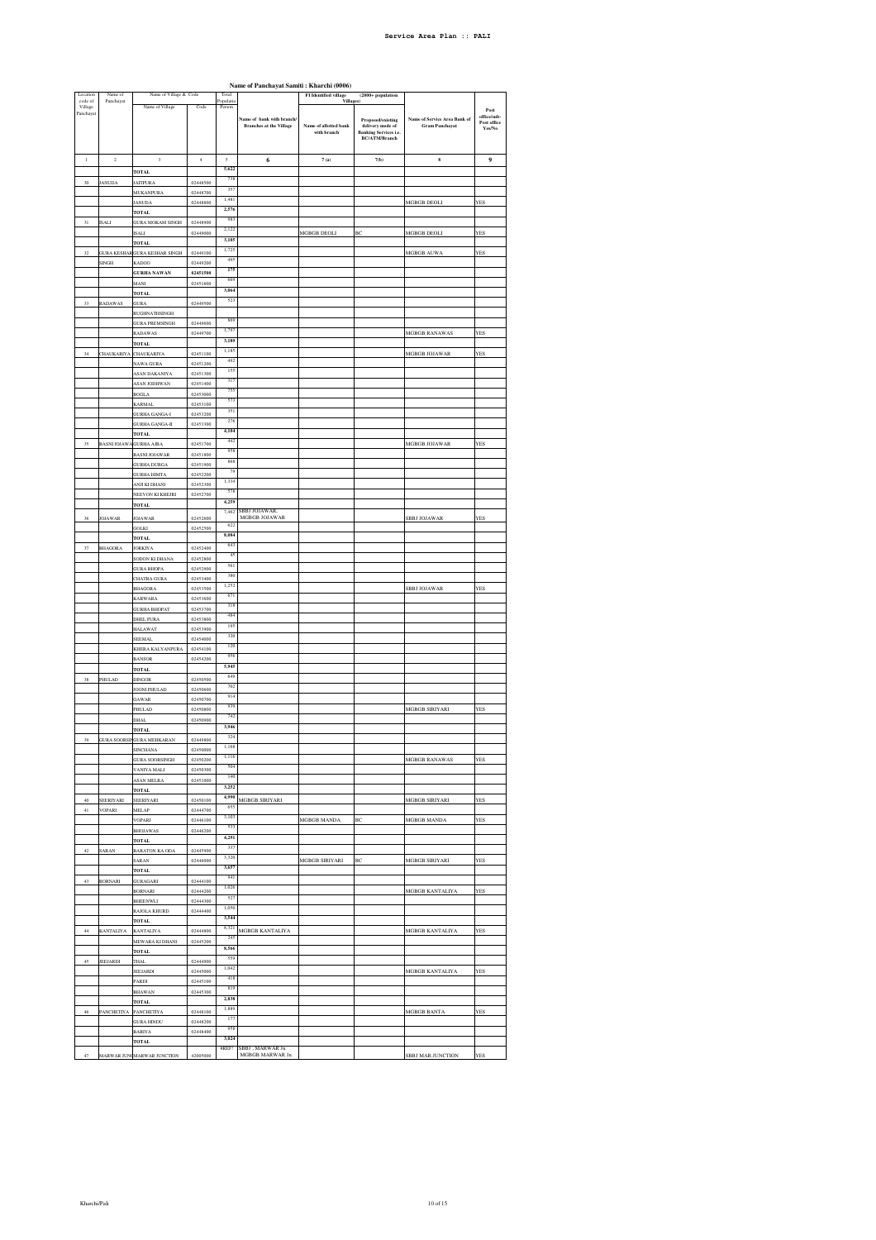| Location                        | Name of                    | Name of Village & Code                |                      | Total               |                                                            | <b>FI</b> Identified village                            | $(2000+$ population                                                                    |                                                       |                                                      |
|---------------------------------|----------------------------|---------------------------------------|----------------------|---------------------|------------------------------------------------------------|---------------------------------------------------------|----------------------------------------------------------------------------------------|-------------------------------------------------------|------------------------------------------------------|
| code of<br>Village<br>Panchayat | Panchayat                  | Name of Village                       | Code                 | Populatio<br>Person | Name of bank with branch<br><b>Branches at the Village</b> | <b>Villages</b><br>Name of allotted bank<br>with branch | Proposed/existing<br>delivery mode of<br><b>Banking Services i.e.</b><br>BC/ATM/Branch | Name of Service Area Bank of<br><b>Gram Panchavat</b> | Post<br>office/sub-<br>Post office<br>${\rm Yes/No}$ |
|                                 |                            |                                       |                      |                     |                                                            |                                                         |                                                                                        |                                                       |                                                      |
| $\,$ $\,$                       | $\overline{2}$             | $\overline{\mathbf{3}}$               | $\ddot{4}$           | $\sqrt{2}$          | 6                                                          | 7(a)                                                    | 7(b)                                                                                   | $\bf{s}$                                              | 9                                                    |
|                                 |                            | <b>TOTAL</b>                          |                      | 5,622               |                                                            |                                                         |                                                                                        |                                                       |                                                      |
| 30                              | <b>JANUDA</b>              | <b>JAITPURA</b>                       | 02448500             | 738                 |                                                            |                                                         |                                                                                        |                                                       |                                                      |
|                                 |                            | MUKANPURA                             | 02448700             | 357                 |                                                            |                                                         |                                                                                        |                                                       |                                                      |
|                                 |                            | <b>JANUDA</b>                         | 02448800             | 1,481               |                                                            |                                                         |                                                                                        | MGBGB DEOLI                                           | YES                                                  |
|                                 |                            | <b>TOTAL</b>                          |                      | 2.576               |                                                            |                                                         |                                                                                        |                                                       |                                                      |
| 31                              | <b>ISALI</b>               | <b>GURA MOKAM SINGH</b>               | 02448900             | 983<br>2,122        |                                                            |                                                         |                                                                                        |                                                       |                                                      |
|                                 |                            | ISALI                                 | 02449000             | 3,105               |                                                            | MGBGB DEOLI                                             | ВC                                                                                     | MGBGB DEOLI                                           | YES                                                  |
|                                 |                            | <b>TOTAL</b>                          |                      | 1,725               |                                                            |                                                         |                                                                                        |                                                       |                                                      |
| 32                              |                            | <b>GURA KESHAR GURA KESHAR SINGH</b>  | 02449100             | 495                 |                                                            |                                                         |                                                                                        | MGBGB AUWA                                            | YES                                                  |
|                                 | SINGH                      | KADOO                                 | 02449200<br>02451500 | 175                 |                                                            |                                                         |                                                                                        |                                                       |                                                      |
|                                 |                            | <b>GURHA NAWAN</b>                    | 02451600             | 669                 |                                                            |                                                         |                                                                                        |                                                       |                                                      |
|                                 |                            | MANI<br><b>TOTAL</b>                  |                      | 3,064               |                                                            |                                                         |                                                                                        |                                                       |                                                      |
| 33                              | RADAWAS                    | GURA                                  | 02449500             | 523                 |                                                            |                                                         |                                                                                        |                                                       |                                                      |
|                                 |                            | RUGHNATHSINGH                         |                      |                     |                                                            |                                                         |                                                                                        |                                                       |                                                      |
|                                 |                            | <b>GURA PREMSINGH</b>                 | 02449600             | 869                 |                                                            |                                                         |                                                                                        |                                                       |                                                      |
|                                 |                            | RADAWAS                               | 02449700             | 1,79                |                                                            |                                                         |                                                                                        | MGBGB RANAWAS                                         | YES                                                  |
|                                 |                            | <b>TOTAL</b>                          |                      | 3,189               |                                                            |                                                         |                                                                                        |                                                       |                                                      |
| $_{\rm 34}$                     | CHAUKARIYA                 | <b>CHAUKARIYA</b>                     | 02451100             | 1,185               |                                                            |                                                         |                                                                                        | MGBGB JOJAWAR                                         | <b>YES</b>                                           |
|                                 |                            | NAWA GURA                             | 02451200             | 492<br>155          |                                                            |                                                         |                                                                                        |                                                       |                                                      |
|                                 |                            | ASAN DAKANIYA                         | 02451300             | 317                 |                                                            |                                                         |                                                                                        |                                                       |                                                      |
|                                 |                            | <b>ASAN JODHWAN</b>                   | 02451400             | 755                 |                                                            |                                                         |                                                                                        |                                                       |                                                      |
|                                 |                            | <b>BOGLA</b>                          | 02453000             | 573                 |                                                            |                                                         |                                                                                        |                                                       |                                                      |
|                                 |                            | <b>KARMAL</b>                         | 02453100             | 351                 |                                                            |                                                         |                                                                                        |                                                       |                                                      |
|                                 |                            | <b>GURHA GANGA-I</b>                  | 02453200             | 276                 |                                                            |                                                         |                                                                                        |                                                       |                                                      |
|                                 |                            | <b>GURHA GANGA-II</b><br><b>TOTAL</b> | 02453300             | 4,104               |                                                            |                                                         |                                                                                        |                                                       |                                                      |
| 35                              | <b>BASNI JOJAW</b>         | <b>GURHA AJBA</b>                     | 02451700             | 442                 |                                                            |                                                         |                                                                                        | <b>MGBGB JOJAWAR</b>                                  | YES                                                  |
|                                 |                            | <b>BASNI JOJAWAR</b>                  | 02451800             | 958                 |                                                            |                                                         |                                                                                        |                                                       |                                                      |
|                                 |                            | <b>GURHA DURGA</b>                    | 02451900             | 868                 |                                                            |                                                         |                                                                                        |                                                       |                                                      |
|                                 |                            | <b>GURHA HIMTA</b>                    | 02452200             | 79                  |                                                            |                                                         |                                                                                        |                                                       |                                                      |
|                                 |                            | ANJI KI DHANI                         | 02452300             | 1,334               |                                                            |                                                         |                                                                                        |                                                       |                                                      |
|                                 |                            | NEEVON KI KHEJRI                      | 02452700             | 578                 |                                                            |                                                         |                                                                                        |                                                       |                                                      |
|                                 |                            | <b>TOTAL</b>                          |                      | 4,259               |                                                            |                                                         |                                                                                        |                                                       |                                                      |
| 36                              | <b>JOJAWAR</b>             | <b>JOJAWAR</b>                        | 02452600             | 7,462               | SBBJ JOJAWAR,<br>MGBGB JOJAWAR                             |                                                         |                                                                                        | <b>SBBJ JOJAWAR</b>                                   | YES                                                  |
|                                 |                            | GOLKI                                 | 02452500             | 622                 |                                                            |                                                         |                                                                                        |                                                       |                                                      |
|                                 |                            | <b>TOTAL</b>                          |                      | 8,084               |                                                            |                                                         |                                                                                        |                                                       |                                                      |
| 37                              | <b>BHAGORA</b>             | <b>JORKIYA</b>                        | 02452400             | 643                 |                                                            |                                                         |                                                                                        |                                                       |                                                      |
|                                 |                            | SODON KI DHANA                        | 02452800             | 45                  |                                                            |                                                         |                                                                                        |                                                       |                                                      |
|                                 |                            | <b>GURA BHOPA</b>                     | 02452900             | 561                 |                                                            |                                                         |                                                                                        |                                                       |                                                      |
|                                 |                            | CHATRA GURA                           | 02453400             | 380                 |                                                            |                                                         |                                                                                        |                                                       |                                                      |
|                                 |                            | <b>BHAGORA</b>                        | 02453500             | 1,252               |                                                            |                                                         |                                                                                        | <b>SBBJ JOJAWAR</b>                                   | YES                                                  |
|                                 |                            | KARWARA                               | 02453600             | 671                 |                                                            |                                                         |                                                                                        |                                                       |                                                      |
|                                 |                            | <b>GURHA BHOPAT</b>                   | 02453700             | 318<br>484          |                                                            |                                                         |                                                                                        |                                                       |                                                      |
|                                 |                            | DHEL PURA                             | 02453800             | 195                 |                                                            |                                                         |                                                                                        |                                                       |                                                      |
|                                 |                            | <b>HALAWAT</b>                        | 02453900             | 320                 |                                                            |                                                         |                                                                                        |                                                       |                                                      |
|                                 |                            | SEEMAL                                | 02454000             | 120                 |                                                            |                                                         |                                                                                        |                                                       |                                                      |
|                                 |                            | KHERA KALYANPURA                      | 02454100<br>02454200 | 956                 |                                                            |                                                         |                                                                                        |                                                       |                                                      |
|                                 |                            | <b>BANSOR</b><br><b>TOTAL</b>         |                      | 5,945               |                                                            |                                                         |                                                                                        |                                                       |                                                      |
| 38                              | PHULAD                     | <b>DINGOR</b>                         | 02450500             | 649                 |                                                            |                                                         |                                                                                        |                                                       |                                                      |
|                                 |                            | JOONI PHULAD                          | 02450600             | 702                 |                                                            |                                                         |                                                                                        |                                                       |                                                      |
|                                 |                            | <b>GAWAR</b>                          | 02450700             | 914                 |                                                            |                                                         |                                                                                        |                                                       |                                                      |
|                                 |                            | PHULAD                                | 02450800             | 939                 |                                                            |                                                         |                                                                                        | MGBGB SIRIYARI                                        | YES                                                  |
|                                 |                            | DHAL                                  | 02450900             | 742                 |                                                            |                                                         |                                                                                        |                                                       |                                                      |
|                                 |                            | <b>TOTAL</b>                          |                      | 3,946               |                                                            |                                                         |                                                                                        |                                                       |                                                      |
| 39                              |                            | GURA SOORSINGURA MEHKARAN             | 02449800             | 324                 |                                                            |                                                         |                                                                                        |                                                       |                                                      |
|                                 |                            | SINCHA                                | 150000               | 1,168               |                                                            |                                                         |                                                                                        |                                                       |                                                      |
|                                 |                            | <b>GURA SOORSINGH</b>                 | 02450200             | 1,116               |                                                            |                                                         |                                                                                        | MGBGB RANAWAS                                         | YES                                                  |
|                                 |                            | VANIYA MALI                           | 02450300             | 504<br>140          |                                                            |                                                         |                                                                                        |                                                       |                                                      |
|                                 |                            | ASAN MELRA                            | 02451000             | 3,252               |                                                            |                                                         |                                                                                        |                                                       |                                                      |
|                                 |                            | <b>TOTAL</b>                          |                      | 4,990               |                                                            |                                                         |                                                                                        |                                                       |                                                      |
| $40\,$<br>41                    | SEERIYARI<br><b>VOPARI</b> | SEERIYARI                             | 02450100<br>02444700 | 655                 | MGBGB SIRIYARI                                             |                                                         |                                                                                        | MGBGB SIRIYARI                                        | <b>YES</b>                                           |
|                                 |                            | MELAP<br>VOPARI                       | 02446100             | 3,103               |                                                            |                                                         | ВC                                                                                     | MGBGB MANDA                                           | YES                                                  |
|                                 |                            | <b>BHOJAWAS</b>                       | 02446200             | 533                 |                                                            | MGBGB MANDA                                             |                                                                                        |                                                       |                                                      |
|                                 |                            | <b>TOTAL</b>                          |                      | 4,291               |                                                            |                                                         |                                                                                        |                                                       |                                                      |
| 42                              | SARAN                      | BARATON KA ODA                        | 02445900             | 337                 |                                                            |                                                         |                                                                                        |                                                       |                                                      |
|                                 |                            | SARAN                                 | 02446000             | 3,320               |                                                            | MGBGB SIRIYARI                                          | ВC                                                                                     | MGBGB SIRIYARI                                        | YES                                                  |
|                                 |                            | <b>TOTAL</b>                          |                      | 3,657               |                                                            |                                                         |                                                                                        |                                                       |                                                      |
| 43                              | <b>BORNARI</b>             | GURAGARI                              | 02444100             | 941                 |                                                            |                                                         |                                                                                        |                                                       |                                                      |
|                                 |                            | BORNARI                               | 02444200             | 1,026               |                                                            |                                                         |                                                                                        | MGBGB KANTALIYA                                       | YES                                                  |
|                                 |                            | BHEENWLI                              | 02444300             | 527                 |                                                            |                                                         |                                                                                        |                                                       |                                                      |
|                                 |                            | RAJOLA KHURD                          | 02444400             | 1,050<br>3,544      |                                                            |                                                         |                                                                                        |                                                       |                                                      |
|                                 |                            | <b>TOTAL</b>                          |                      | 8,321               |                                                            |                                                         |                                                                                        |                                                       |                                                      |
| 44                              | <b>KANTALIYA</b>           | <b>KANTALIYA</b>                      | 02444800             | 245                 | MGBGB KANTALIYA                                            |                                                         |                                                                                        | MGBGB KANTALIYA                                       | YES                                                  |
|                                 |                            | MEWARA KI DHANI                       | 02445200             | 8,566               |                                                            |                                                         |                                                                                        |                                                       |                                                      |
|                                 |                            | <b>TOTAL</b>                          |                      | 559                 |                                                            |                                                         |                                                                                        |                                                       |                                                      |
| 45                              | JEEJARDI                   | THAL<br><b>JEEJARDI</b>               | 02444900<br>02445000 | 1,042               |                                                            |                                                         |                                                                                        | MGBGB KANTALIYA                                       | <b>YES</b>                                           |
|                                 |                            | PARDI                                 | 02445100             | 418                 |                                                            |                                                         |                                                                                        |                                                       |                                                      |
|                                 |                            | <b>BHAWAN</b>                         | 02445300             | 819                 |                                                            |                                                         |                                                                                        |                                                       |                                                      |
|                                 |                            | <b>TOTAL</b>                          |                      | 2,838               |                                                            |                                                         |                                                                                        |                                                       |                                                      |
| $46\,$                          | PANCHETIYA                 | PANCHETIYA                            | 02448100             | 1,889               |                                                            |                                                         |                                                                                        | MGBGB BANTA                                           | YES                                                  |
|                                 |                            | <b>GURA HINDU</b>                     | 02448200             | 177                 |                                                            |                                                         |                                                                                        |                                                       |                                                      |
|                                 |                            | BARIYA                                | 02448400             | 958                 |                                                            |                                                         |                                                                                        |                                                       |                                                      |
|                                 |                            | <b>TOTAL</b>                          |                      | 3,024               |                                                            |                                                         |                                                                                        |                                                       |                                                      |
| 47                              |                            | MARWAR JUNCMARWAR JUNCTION            | 42005000             | #REF!               | SBBJ . MARWAR Jn.<br>MGBGB MARWAR Jn.                      |                                                         |                                                                                        | <b>SBBJ MAR.JUNCTION</b>                              | <b>YES</b>                                           |
|                                 |                            |                                       |                      |                     |                                                            |                                                         |                                                                                        |                                                       |                                                      |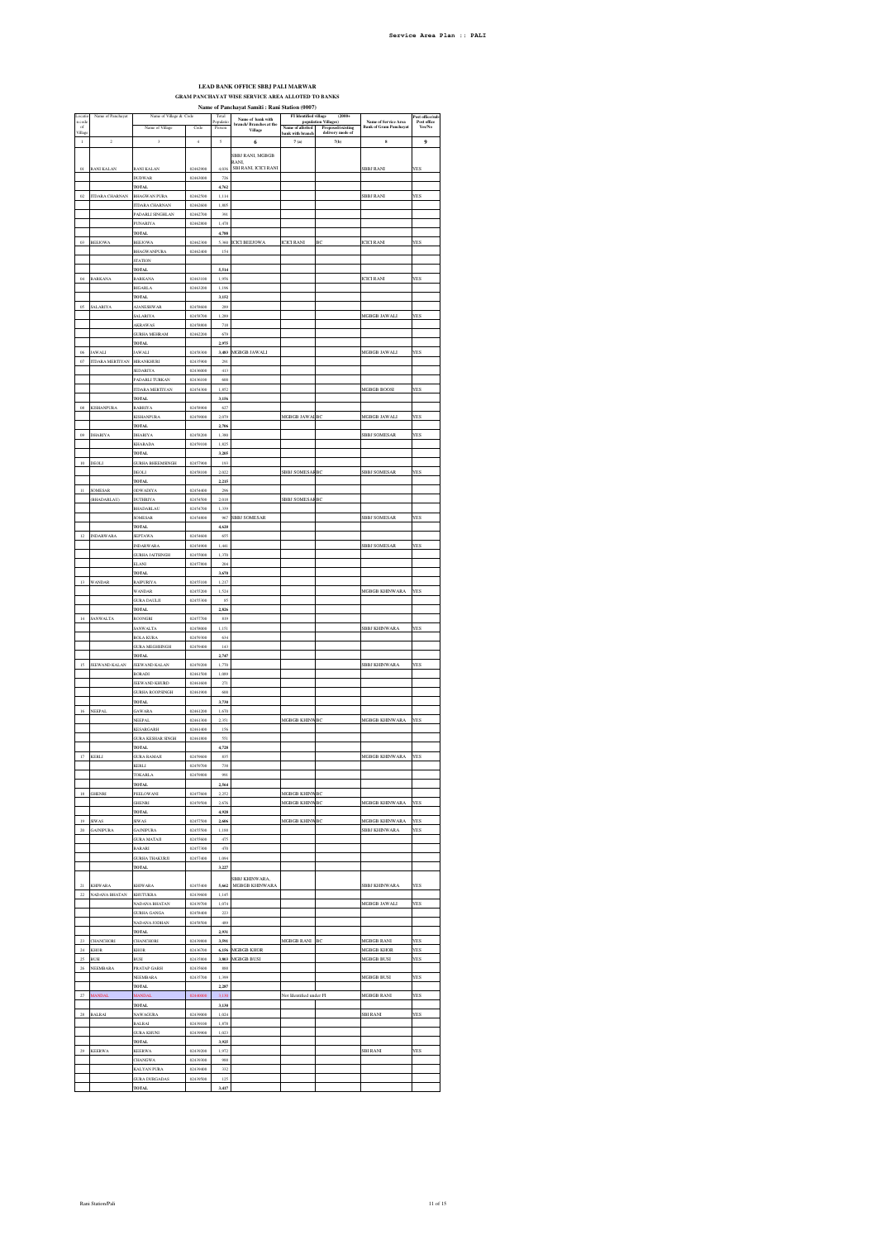## **LEAD BANK OFFICE SBBJ PALI MARWAR GRAM PANCHAYAT WISE SERVICE AREA ALLOTED TO BANKS Name of Panchayat Samiti : Rani Station (0007)**

| Locati<br>n code     | Name of Panchayat                       | Name of Village & Code              |                      | Total<br>Populatio       | Name of bank with                 | am ətatıon (vov)<br>FI Identified village (population Villages) | (2000)                             |                                                              | Post office/sul       |
|----------------------|-----------------------------------------|-------------------------------------|----------------------|--------------------------|-----------------------------------|-----------------------------------------------------------------|------------------------------------|--------------------------------------------------------------|-----------------------|
| of<br>Village        |                                         | Name of Village                     | Code                 | Person                   | branch/Branches at the<br>Village |                                                                 | Name of allotted Proposed/existing | <b>Name of Service Area</b><br><b>Bank of Gram Panchayat</b> | Post office<br>Yes/No |
| $\mathbf 1$          | $\,2\,$                                 | $_{\rm 3}$                          | $\ddot{4}$           | $\overline{\phantom{a}}$ | 6                                 | bank with branch<br>7(a)                                        | delivery mode of<br>7(b)           | $\bf{s}$                                                     | 9                     |
|                      |                                         |                                     |                      |                          |                                   |                                                                 |                                    |                                                              |                       |
|                      |                                         |                                     |                      |                          | SBBJ RANI, MGBGB<br>RANL          |                                                                 |                                    |                                                              |                       |
| $_{01}$              | <b>RANI KALAN</b>                       | <b>RANI KALAN</b><br><b>DUDWAR</b>  | 02462900<br>02463000 | 4.036<br>726             | SBI RANI, ICICI RANI              |                                                                 |                                    | <b>SBBJ RANI</b>                                             | YES                   |
|                      |                                         | <b>TOTAL</b>                        |                      | 4,762                    |                                   |                                                                 |                                    |                                                              |                       |
| $_{02}$              | <b>ITDARA CHARNAN</b>                   | <b>BHAGWAN PURA</b>                 | 02462500             | 1,114                    |                                   |                                                                 |                                    | SBBJ RANI                                                    | YES                   |
|                      |                                         | <b>ITDARA CHARNAN</b>               | 02462600             | 1,805                    |                                   |                                                                 |                                    |                                                              |                       |
|                      |                                         | PADARLI SINGHLAN<br>PUNARIYA        | 02462700<br>02462800 | 391<br>1.478             |                                   |                                                                 |                                    |                                                              |                       |
|                      |                                         | <b>TOTAL</b>                        |                      | 4,788                    |                                   |                                                                 |                                    |                                                              |                       |
| $03\,$               | <b>BEEJOWA</b>                          | <b>BEEJOWA</b>                      | 02462300             |                          | 5,360 ICICI BEEJOWA               | ICICI RANI                                                      | BC                                 | <b>ICICI RANI</b>                                            | YES                   |
|                      |                                         | <b>BHAGWANPURA</b>                  | 02462400             | 154                      |                                   |                                                                 |                                    |                                                              |                       |
|                      |                                         | <b>STATION</b><br><b>TOTAL</b>      |                      | 5,514                    |                                   |                                                                 |                                    |                                                              |                       |
| 04                   | BARKANA                                 | <b>BARKANA</b>                      | 02463100             | 1.956                    |                                   |                                                                 |                                    | ICICI RANI                                                   | YES                   |
|                      |                                         | <b>BIGARLA</b>                      | 02463200             | 1.196                    |                                   |                                                                 |                                    |                                                              |                       |
|                      |                                         | TOTAL                               |                      | 3,152                    |                                   |                                                                 |                                    |                                                              |                       |
| $_{05}$              | <b>ALARIYA</b>                          | <b>MANESHWAR</b><br><b>SALARIYA</b> | 02458600<br>02458700 | 289<br>1,289             |                                   |                                                                 |                                    | MGBGB JAWALI                                                 | YES                   |
|                      |                                         | <b>AKRAWAS</b>                      | 02458800             | 718                      |                                   |                                                                 |                                    |                                                              |                       |
|                      |                                         | <b>GURHA MEHRAM</b>                 | 02462200             | 679                      |                                   |                                                                 |                                    |                                                              |                       |
|                      |                                         | <b>TOTAL</b>                        |                      | 2,975                    |                                   |                                                                 |                                    |                                                              |                       |
| 06<br>$_{07}$        | <b>JAWALI</b><br><b>ITDARA MERTIYAN</b> | <b>JAWALI</b><br><b>HIRANKHURI</b>  | 02458300<br>02435900 | 3,483<br>291             | MGBGB JAWALI                      |                                                                 |                                    | MGBGB JAWALI                                                 | YES                   |
|                      |                                         | SEDARIYA                            | 02436000             | 413                      |                                   |                                                                 |                                    |                                                              |                       |
|                      |                                         | PADARLI TURKAN                      | 02436100             | 600                      |                                   |                                                                 |                                    |                                                              |                       |
|                      |                                         | <b>ITDARA MERTIYAN</b>              | 02454300             | 1,852                    |                                   |                                                                 |                                    | MGBGB BOOSI                                                  | YES                   |
| os                   | KISHANPURA                              | <b>TOTAL</b><br>RABRIY/             | 02458900             | 3,156<br>627             |                                   |                                                                 |                                    |                                                              |                       |
|                      |                                         | KISHANPURA                          | 02459000             | 2,079                    |                                   | MGBGB JAWAI                                                     | ВC                                 | MGBGB JAWALI                                                 | YES                   |
|                      |                                         | <b>TOTAL</b>                        |                      | 2,706                    |                                   |                                                                 |                                    |                                                              |                       |
| 09                   | DHARIYA                                 | DHARIYA                             | 02458200             | 1,380                    |                                   |                                                                 |                                    | <b>SBBJ SOMESAF</b>                                          | YES                   |
|                      |                                         | <b>KHARADA</b><br><b>TOTAL</b>      | 02459100             | 1,825<br>3,205           |                                   |                                                                 |                                    |                                                              |                       |
| $10\,$               | DEOLI                                   | <b>GURHA BHEEMSINGH</b>             | 02457900             | 193                      |                                   |                                                                 |                                    |                                                              |                       |
|                      |                                         | DEOLI                               | 02458100             | 2,022                    |                                   | SBBJ SOMESARBC                                                  |                                    | SBBJ SOMESAR                                                 | YES                   |
| $\mathbb{H}$         | SOMESAR                                 | <b>TOTAL</b><br>ODWADIYA            | 02454400             | 2,215<br>296             |                                   |                                                                 |                                    |                                                              |                       |
|                      | (BHADARLAU)                             | DUTHRIYA                            | 02454500             | 2,018                    |                                   | <b>SBBJ SOMESARBC</b>                                           |                                    |                                                              |                       |
|                      |                                         | <b>BHADARLAU</b>                    | 02454700             | 1.339                    |                                   |                                                                 |                                    |                                                              |                       |
|                      |                                         | SOMESAR                             | 02454800             | 967                      | <b>SBBJ SOMESAR</b>               |                                                                 |                                    | <b>SBBJ SOMESAR</b>                                          | <b>YES</b>            |
| 12                   |                                         | TOTAL                               |                      | 4,620                    |                                   |                                                                 |                                    |                                                              |                       |
|                      | <b>INDARWARA</b>                        | SEPTAWA<br><b>INDARWARA</b>         | 02454600<br>02454900 | 655<br>1,441             |                                   |                                                                 |                                    | SBBJ SOMESAR                                                 | YES                   |
|                      |                                         | <b>GURHA JAITSINGH</b>              | 02455000             | 1,370                    |                                   |                                                                 |                                    |                                                              |                       |
|                      |                                         | ELANI                               | 02457800             | 204                      |                                   |                                                                 |                                    |                                                              |                       |
|                      |                                         | <b>TOTAL</b>                        |                      | 3,670                    |                                   |                                                                 |                                    |                                                              |                       |
| $13\,$               | WANDAR                                  | RAIPURIYA<br>WANDAR                 | 02455100<br>02455200 | 1,217<br>1,524           |                                   |                                                                 |                                    | <b>MGBGB KHINWARA</b>                                        | YES                   |
|                      |                                         | $\rm GURA$ DAULJI                   | 02455300             | 85                       |                                   |                                                                 |                                    |                                                              |                       |
|                      |                                         | TOTAL                               |                      | 2,826                    |                                   |                                                                 |                                    |                                                              |                       |
| $14\,$               | SANWALTA                                | <b>ROONGRI</b><br><b>SANWALTA</b>   | 02457700<br>02458000 | 819<br>1.151             |                                   |                                                                 |                                    |                                                              |                       |
|                      |                                         | <b>BOLA KURA</b>                    | 02459300             | 634                      |                                   |                                                                 |                                    | SBBJ KHINWARA                                                | YES                   |
|                      |                                         | <b>JURA MEGHSINGH</b>               | 02459400             | 143                      |                                   |                                                                 |                                    |                                                              |                       |
|                      |                                         | <b>TOTAL</b>                        |                      | 2,747                    |                                   |                                                                 |                                    |                                                              |                       |
| 15                   | JEEWAND KALAN                           | JEEWAND KALAN                       | 02459200             | 1,770<br>1,089           |                                   |                                                                 |                                    | SBBJ KHINWARA                                                | YES                   |
|                      |                                         | <b>BORADI</b><br>JEEWAND KHURD      | 02461500<br>02461600 | 271                      |                                   |                                                                 |                                    |                                                              |                       |
|                      |                                         | <b>JURHA ROOPSINGH</b>              | 02461900             | 600                      |                                   |                                                                 |                                    |                                                              |                       |
|                      |                                         | <b>TOTAL</b>                        |                      | 3,730                    |                                   |                                                                 |                                    |                                                              |                       |
| $16\,$               | NEEPAL                                  | GAWARA                              | 02461200             | 1,670<br>2,351           |                                   | MGBGB KHINWBC                                                   |                                    | MGBGB KHINWARA                                               | <b>YES</b>            |
|                      |                                         | NEEPAI<br>KESARGARH                 | 02461300<br>02461400 | 156                      |                                   |                                                                 |                                    |                                                              |                       |
|                      |                                         | <b>GURA KESHAR SINGH</b>            | 02461800             | 551                      |                                   |                                                                 |                                    |                                                              |                       |
|                      |                                         | TOTA                                |                      | 4,728                    |                                   |                                                                 |                                    |                                                              |                       |
|                      | KERLI                                   | <b>GURA RAMAJI</b><br>KERLI         | 02459600<br>02459700 | 835<br>738               |                                   |                                                                 |                                    | MGBGB KHINWARA                                               | YES                   |
|                      |                                         | TOKARLA                             | 02459800             | 991                      |                                   |                                                                 |                                    |                                                              |                       |
|                      |                                         | <b>TOTAL</b>                        |                      | 2,564                    |                                   |                                                                 |                                    |                                                              |                       |
| 18                   | GHENRI                                  | PEELOWANI                           | 02457600<br>02459500 | 2.252                    |                                   | <b>MGBGB KHINW</b>                                              | BC                                 |                                                              |                       |
|                      |                                         | <b>GHENRI</b><br><b>TOTAL</b>       |                      | 2.676<br>4,928           |                                   | <b>MGBGB KHINWBC</b>                                            |                                    | <b>MGBGB KHINWARA</b>                                        | <b>YES</b>            |
| 19                   | <b>SIWAS</b>                            | <b>SIWAS</b>                        | 02457500             | 2,606                    |                                   | MGBGB KHINWBC                                                   |                                    | MGBGB KHINWARA                                               | <b>YES</b>            |
| $_{\rm 20}$          | $\operatorname{GAINIPURA}$              | <b>GAJNIPURA</b>                    | 02455500             | 1,188                    |                                   |                                                                 |                                    | SBBJ KHINWARA                                                | YES                   |
|                      |                                         | <b>GURA MATAJI</b>                  | 02455600             | 475                      |                                   |                                                                 |                                    |                                                              |                       |
|                      |                                         | BARARI<br><b>GURHA THAKURJI</b>     | 02457300<br>02457400 | 470<br>1.094             |                                   |                                                                 |                                    |                                                              |                       |
|                      |                                         | <b>TOTAL</b>                        |                      | 3,227                    |                                   |                                                                 |                                    |                                                              |                       |
|                      |                                         |                                     |                      |                          | SBBJ KHINWARA,                    |                                                                 |                                    |                                                              |                       |
| 21                   | <b>KHIWARA</b>                          | <b>KHIWARA</b>                      | 02455400             | 5,662                    | MGBGB KHINWARA                    |                                                                 |                                    | <b>SBBJ KHINWARA</b>                                         | YES                   |
| $22\,$               | NADANA BHATAN                           | <b>KHUTUKRA</b><br>NADANA BHATAN    | 02439600<br>02439700 | 1,145<br>1.074           |                                   |                                                                 |                                    | MGBGB JAWALI                                                 | <b>YES</b>            |
|                      |                                         | <b>GURHA GANGA</b>                  | 02458400             | 223                      |                                   |                                                                 |                                    |                                                              |                       |
|                      |                                         | NADANA JODHAN                       | 02458500             | 489                      |                                   |                                                                 |                                    |                                                              |                       |
|                      |                                         | <b>TOTAL</b>                        |                      | 2,931                    |                                   |                                                                 |                                    |                                                              |                       |
| $\bf 23$<br>$24\,$   | <b>CHANCHORI</b><br>KHOR                | CHANCHORI<br>KHOR                   | 02439800<br>02436700 | 3,591                    | 6,156 MGBGB KHOR                  | MGBGB RANI BC                                                   |                                    | MGBGB RANI<br>MGBGB KHOR                                     | YES<br>YES            |
| 25                   | <b>BUSI</b>                             | <b>BUSI</b>                         | 02435800             | 3,803                    | <b>MGBGB BUSI</b>                 |                                                                 |                                    | <b>MGBGB BUSI</b>                                            | <b>YES</b>            |
| 26                   | NEEMBARA                                | <b>PRATAP GARH</b>                  | 02435600             | 888                      |                                   |                                                                 |                                    |                                                              |                       |
|                      |                                         | NEEMBARA                            | 02435700             | 1,399                    |                                   |                                                                 |                                    | MGBGB BUSI                                                   | YES                   |
| $27\,$               | <b>MANDAI</b>                           | <b>TOTAL</b><br><b>JANDAI</b>       | 02440000             | 2,287<br>3,130           |                                   | Not Identified under FI                                         |                                    | MGBGB RANI                                                   | YES                   |
|                      |                                         | <b>TOTAL</b>                        |                      | 3,130                    |                                   |                                                                 |                                    |                                                              |                       |
| $_{\rm 28}$          | <b>BALRAI</b>                           | NAWAGURA                            | 02439000             | 1.024                    |                                   |                                                                 |                                    | SBIRANI                                                      | <b>YES</b>            |
|                      |                                         | <b>BALRAI</b>                       | 02439100             | 1.878                    |                                   |                                                                 |                                    |                                                              |                       |
|                      |                                         | <b>GURA KHUNI</b>                   | 02439900             | 1,023                    |                                   |                                                                 |                                    |                                                              |                       |
| $\boldsymbol{^{29}}$ | <b>KEERWA</b>                           | <b>TOTAL</b><br><b>KEERWA</b>       | 02439200             | 3,925<br>1,972           |                                   |                                                                 |                                    | <b>SBI RANI</b>                                              | YES                   |
|                      |                                         | CHANGWA                             | 02439300             | 988                      |                                   |                                                                 |                                    |                                                              |                       |
|                      |                                         | <b>KALYAN PURA</b>                  | 02439400             | 332                      |                                   |                                                                 |                                    |                                                              |                       |
|                      |                                         | <b>GURA DURGADAS</b>                | 02439500             | 125                      |                                   |                                                                 |                                    |                                                              |                       |
|                      |                                         | <b>TOTAL</b>                        |                      | 3,417                    |                                   |                                                                 |                                    |                                                              |                       |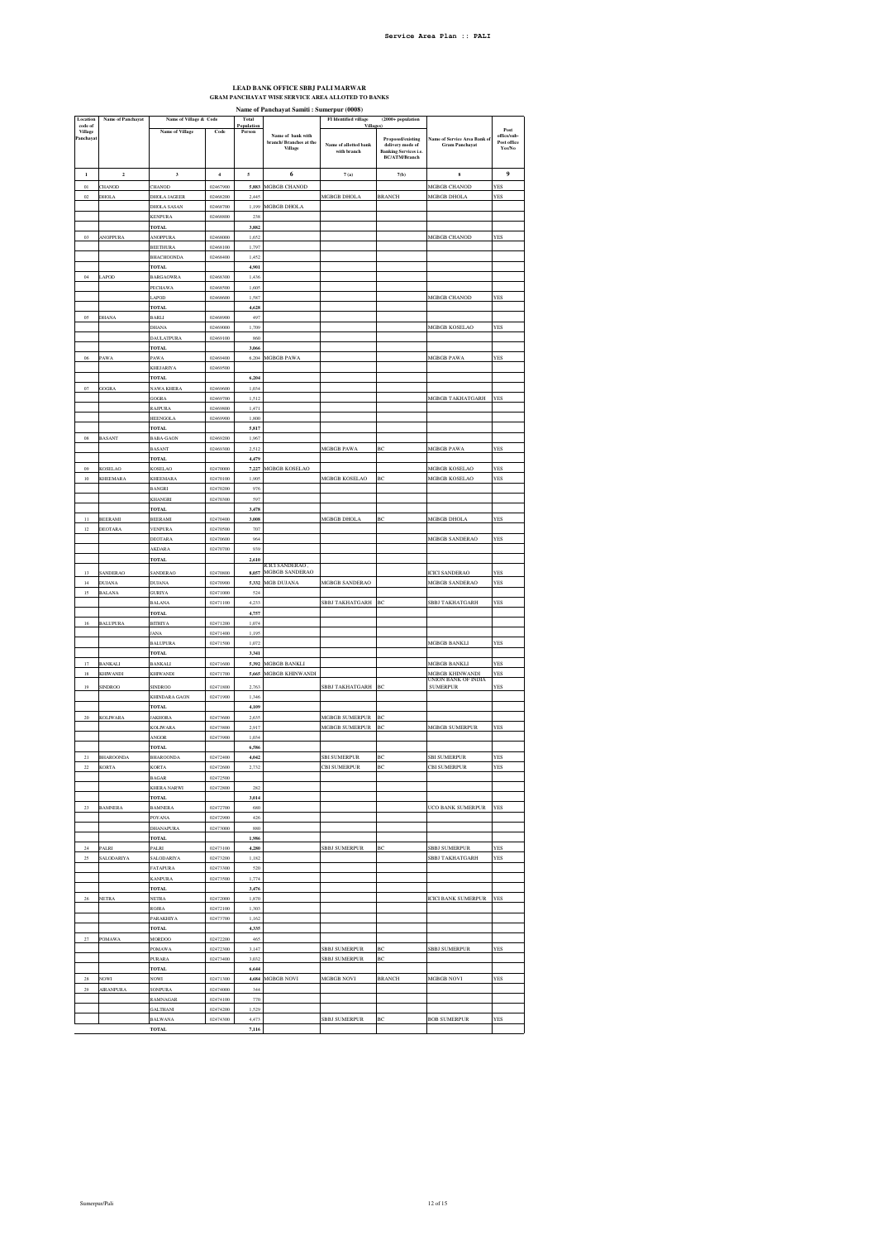## **LEAD BANK OFFICE SBBJ PALI MARWAR GRAM PANCHAYAT WISE SERVICE AREA ALLOTED TO BANKS**

**Name of Panchayat Samiti : Sumerpur (0008)**

| Location                       | Name of Panchayat          | Name of Village & Code           |                      | Total                |                                                         | FI Identified village                                   | $(2000 + population$                                                                          |                                                      |                                                                      |
|--------------------------------|----------------------------|----------------------------------|----------------------|----------------------|---------------------------------------------------------|---------------------------------------------------------|-----------------------------------------------------------------------------------------------|------------------------------------------------------|----------------------------------------------------------------------|
| code of<br>Village<br>Panchaya |                            | <b>Name of Village</b>           | $\mathbf{Code}$      | Population<br>Person | Name of bank with<br>branch/ Branches at the<br>Village | <b>Villages</b><br>Name of allotted bank<br>with branch | Proposed/existing<br>delivery mode of<br><b>Banking Services i.e.</b><br><b>BC/ATM/Branch</b> | Name of Service Area Bank o<br><b>Gram Panchayat</b> | $\boldsymbol{\mathsf{Post}}$<br>office/sub-<br>Post office<br>Yes/No |
| $\,$ 1                         | $\overline{\mathbf{c}}$    | $\boldsymbol{\mathsf{3}}$        | $\,$ 4 $\,$          | $\mathfrak s$        | 6                                                       | 7(a)                                                    | 7(b)                                                                                          | $\bf{s}$                                             | 9                                                                    |
| 01                             | <b>HANOD</b>               | CHANOD                           | 02467900             | 5,883                | MGBGB CHANOD                                            |                                                         |                                                                                               | MGBGB CHANOD                                         | YES                                                                  |
| 02                             | DHOLA                      | <b>DHOLA JAGEER</b>              | 02468200             | 2,445                |                                                         | MGBGB DHOLA                                             | <b>BRANCH</b>                                                                                 | MGBGB DHOLA                                          | YES                                                                  |
|                                |                            | DHOLA SASAN                      | 02468700             | 1,199                | MGBGB DHOLA                                             |                                                         |                                                                                               |                                                      |                                                                      |
|                                |                            | <b>KENPURA</b>                   | 02468800             | 238                  |                                                         |                                                         |                                                                                               |                                                      |                                                                      |
|                                |                            | TOTAL                            |                      | 3,882                |                                                         |                                                         |                                                                                               |                                                      |                                                                      |
| 0 <sup>3</sup>                 | <b><i>NOPPURA</i></b>      | <b>ANOPPURA</b>                  | 02468000             | 1.652                |                                                         |                                                         |                                                                                               | MGBGB CHANOD                                         | <b>YES</b>                                                           |
|                                |                            | <b>BEETHURA</b><br>BHACHOONDA    | 02468100<br>02468400 | 1,797<br>1,452       |                                                         |                                                         |                                                                                               |                                                      |                                                                      |
|                                |                            | TOTAL                            |                      | 4,901                |                                                         |                                                         |                                                                                               |                                                      |                                                                      |
| 04                             | APOD                       | <b>BARGAOWRA</b>                 | 02468300             | 1,436                |                                                         |                                                         |                                                                                               |                                                      |                                                                      |
|                                |                            | PECHAWA                          | 02468500             | 1,605                |                                                         |                                                         |                                                                                               |                                                      |                                                                      |
|                                |                            | LAPOD<br><b>TOTAL</b>            | 02468600             | 1,587<br>4,628       |                                                         |                                                         |                                                                                               | <b>MGBGB CHANOD</b>                                  | YES                                                                  |
| 05                             | DHANA                      | <b>BARLI</b>                     | 02468900             | 497                  |                                                         |                                                         |                                                                                               |                                                      |                                                                      |
|                                |                            | DHANA                            | 02469000             | 1,709                |                                                         |                                                         |                                                                                               | MGBGB KOSELAO                                        | YES                                                                  |
|                                |                            | DAULATPUR/                       | 02469100             | 860                  |                                                         |                                                         |                                                                                               |                                                      |                                                                      |
|                                |                            | <b>TOTAL</b>                     |                      | 3,066                |                                                         |                                                         |                                                                                               |                                                      |                                                                      |
| 06                             | PAWA                       | PAWA<br>KHEJARIYA                | 02469400<br>02469500 | 6,204                | MGBGB PAWA                                              |                                                         |                                                                                               | MGBGB PAWA                                           | YES                                                                  |
|                                |                            | TOTAL                            |                      | 6,204                |                                                         |                                                         |                                                                                               |                                                      |                                                                      |
| 07                             | GOGRA                      | NAWA KHERA                       | 02469600             | 1,034                |                                                         |                                                         |                                                                                               |                                                      |                                                                      |
|                                |                            | <b>GOGRA</b>                     | 02469700             | 1.512                |                                                         |                                                         |                                                                                               | MGBGB TAKHATGARH                                     | YES                                                                  |
|                                |                            | RAJPURA                          | 02469800             | 1,471                |                                                         |                                                         |                                                                                               |                                                      |                                                                      |
|                                |                            | HEENGOL/<br><b>TOTAL</b>         | 02469900             | 1,800<br>5,817       |                                                         |                                                         |                                                                                               |                                                      |                                                                      |
| $08\,$                         | BASANT                     | <b>BABA-GAON</b>                 | 02469200             | 1,967                |                                                         |                                                         |                                                                                               |                                                      |                                                                      |
|                                |                            | <b>BASANT</b>                    | 02469300             | 2,512                |                                                         | MGBGB PAWA                                              | ВC                                                                                            | <b>MGBGB PAWA</b>                                    | YES                                                                  |
|                                |                            | <b>TOTAL</b>                     |                      | 4,479                |                                                         |                                                         |                                                                                               |                                                      |                                                                      |
| 09<br>10                       | <b>KOSELAO</b><br>KHEEMARA | KOSEL AO<br>KHEEMARA             | 02470000<br>02470100 | 7,227<br>1,905       | MGBGB KOSELAO                                           | MGBGB KOSELAO                                           | BC                                                                                            | MGBGB KOSELAO<br>MGBGB KOSELAO                       | YES<br>YES                                                           |
|                                |                            | <b>BANGRI</b>                    | 02470200             | 976                  |                                                         |                                                         |                                                                                               |                                                      |                                                                      |
|                                |                            | KHANGRI                          | 02470300             | 597                  |                                                         |                                                         |                                                                                               |                                                      |                                                                      |
|                                |                            | <b>TOTAL</b>                     |                      | 3,478                |                                                         |                                                         |                                                                                               |                                                      |                                                                      |
| $^{11}$                        | <b>BEERAMI</b>             | <b>BEERAMI</b>                   | 02470400             | 3,008                |                                                         | MGBGB DHOLA                                             | ВC                                                                                            | MGBGB DHOLA                                          | YES                                                                  |
| 12                             | DEOTARA                    | VENPURA<br>DEOTARA               | 02470500<br>02470600 | 707<br>964           |                                                         |                                                         |                                                                                               | MGBGB SANDERAO                                       | YES                                                                  |
|                                |                            | AKDARA                           | 02470700             | 939                  |                                                         |                                                         |                                                                                               |                                                      |                                                                      |
|                                |                            | TOTAL                            |                      | 2,610                |                                                         |                                                         |                                                                                               |                                                      |                                                                      |
| 13                             | SANDERAO                   | <b>SANDERAO</b>                  | 02470800             | 8.057                | CICI SANDERAO .<br><b>MGBGB SANDERAO</b>                |                                                         |                                                                                               | <b>ICICI SANDERAO</b>                                | YES                                                                  |
| 14                             | DUJAN/                     | <b>DUJANA</b>                    | 02470900             | 5,332                | MGB DUJANA                                              | <b>MGBGB SANDERAC</b>                                   |                                                                                               | <b>MGBGB SANDERAO</b>                                | YES                                                                  |
| 15                             | BALANA                     | GURIYA                           | 02471000             | 524                  |                                                         |                                                         |                                                                                               |                                                      |                                                                      |
|                                |                            | <b>BALANA</b>                    | 02471100             | 4,233                |                                                         | SBBJ TAKHATGARH                                         | BC                                                                                            | SBBJ TAKHATGARH                                      | YES                                                                  |
| 16                             | <b>BALUPURA</b>            | <b>TOTAL</b><br><b>BITHIYA</b>   | 02471200             | 4,757<br>1,074       |                                                         |                                                         |                                                                                               |                                                      |                                                                      |
|                                |                            | <b>JANA</b>                      | 02471400             | 1,195                |                                                         |                                                         |                                                                                               |                                                      |                                                                      |
|                                |                            | <b>BALUPURA</b>                  | 02471500             | 1.072                |                                                         |                                                         |                                                                                               | <b>MGBGB BANKLI</b>                                  | <b>YES</b>                                                           |
|                                |                            | <b>TOTAL</b>                     |                      | 3,341                |                                                         |                                                         |                                                                                               |                                                      |                                                                      |
| 17                             | <b>BANKALI</b>             | <b>BANKALI</b>                   | 02471600             | 5,392                | <b>MGBGB BANKLI</b>                                     |                                                         |                                                                                               | <b>MGBGB BANKLI</b>                                  | YES                                                                  |
| 18                             | <b>KHIWANDI</b>            | KHIWANDI                         | 02471700             | 5,665                | MGBGB KHINWANDI                                         |                                                         |                                                                                               | MGBGB KHINWANDI<br>JNION BANK OF INDIA               | YES                                                                  |
| 19                             | SINDROO                    | <b>SINDROO</b><br>KHINDARA GAON  | 02471800             | 2,763                |                                                         | SBBJ TAKHATGARH                                         | ВC                                                                                            | <b>SUMERPUR</b>                                      | YES                                                                  |
|                                |                            | <b>TOTAL</b>                     | 02471900             | 1,346<br>4,109       |                                                         |                                                         |                                                                                               |                                                      |                                                                      |
| $20\,$                         | <b>KOLIWARA</b>            | <b>JAKHORA</b>                   | 02473600             | 2,635                |                                                         | MGBGB SUMERPUR                                          | ВC                                                                                            |                                                      |                                                                      |
|                                |                            | KOLIWAR/                         | 02473800             | 2.917                |                                                         | <b>MGRGR SUMERPUR</b>                                   | ВĊ                                                                                            | <b>MGBGB SUMERPUR</b>                                | <b>YES</b>                                                           |
|                                |                            | ANGOR                            | 02473900             | 1,034                |                                                         |                                                         |                                                                                               |                                                      |                                                                      |
| 21                             | <b>BHAROONDA</b>           | <b>TOTAL</b><br><b>BHAROONDA</b> | 02472400             | 6,586<br>4,042       |                                                         | <b>SBI SUMERPUR</b>                                     | ВC                                                                                            | <b>SBI SUMERPUR</b>                                  | YES                                                                  |
| 22                             | <b>KORTA</b>               | KORTA                            | 02472600             | 2,732                |                                                         | CBI SUMERPUR                                            | ВC                                                                                            | <b>CBI SUMERPUR</b>                                  | YES                                                                  |
|                                |                            | ١А                               | 02                   |                      |                                                         |                                                         |                                                                                               |                                                      |                                                                      |
|                                |                            | <b>KHERA NARWI</b>               | 02472800             | 282                  |                                                         |                                                         |                                                                                               |                                                      |                                                                      |
|                                |                            | <b>TOTAL</b>                     | 02472700             | 3,014                |                                                         |                                                         |                                                                                               | UCO BANK SUMERPUR                                    | YES                                                                  |
| 23                             | <b>BAMNERA</b>             | <b>BAMNERA</b><br>POYANA         | 02472900             | 680<br>426           |                                                         |                                                         |                                                                                               |                                                      |                                                                      |
|                                |                            | DHANAPURA                        | 02473000             | 880                  |                                                         |                                                         |                                                                                               |                                                      |                                                                      |
|                                |                            | <b>TOTAL</b>                     |                      | 1,986                |                                                         |                                                         |                                                                                               |                                                      |                                                                      |
| $^{24}$                        | PALRI                      | PALRI                            | 02473100             | 4,280                |                                                         | SBBJ SUMERPUR                                           | ВĊ                                                                                            | SBBJ SUMERPUR                                        | <b>FES</b>                                                           |
| 25                             | SALODARIYA                 | <b>SALODARIYA</b><br>FATAPURA    | 02473200<br>02473300 | 1,182<br>520         |                                                         |                                                         |                                                                                               | SBBJ TAKHATGARH                                      | YES                                                                  |
|                                |                            | KANPURA                          | 02473500             | 1,774                |                                                         |                                                         |                                                                                               |                                                      |                                                                      |
|                                |                            | <b>TOTAL</b>                     |                      | 3,476                |                                                         |                                                         |                                                                                               |                                                      |                                                                      |
| $\sqrt{26}$                    | NETRA                      | <b>NETRA</b>                     | 02472000             | 1,870                |                                                         |                                                         |                                                                                               | <b>ICICI BANK SUMERPUR</b>                           | <b>YES</b>                                                           |
|                                |                            | <b>ROJRA</b>                     | 02472100             | 1.303                |                                                         |                                                         |                                                                                               |                                                      |                                                                      |
|                                |                            | PARAKHIYA<br><b>TOTAL</b>        | 02473700             | 1,162<br>4,335       |                                                         |                                                         |                                                                                               |                                                      |                                                                      |
| $27\,$                         | POMAWA                     | <b>MORDOO</b>                    | 02472200             | 465                  |                                                         |                                                         |                                                                                               |                                                      |                                                                      |
|                                |                            | POMAWA                           | 02472300             | 3,147                |                                                         | SBBJ SUMERPUR                                           | ВC                                                                                            | <b>SBBJ SUMERPUR</b>                                 | YES                                                                  |
|                                |                            | <b>PURARA</b>                    | 02473400             | 3,032                |                                                         | <b>SBBJ SUMERPUR</b>                                    | ВĊ                                                                                            |                                                      |                                                                      |
|                                |                            | <b>TOTAL</b>                     |                      | 6,644                |                                                         |                                                         |                                                                                               |                                                      |                                                                      |
| 28<br>29                       | VOWI<br><b>AIRANPURA</b>   | NOW <sub>1</sub><br>SONPURA      | 02471300<br>02474000 | 4,684<br>344         | MGBGB NOVI                                              | MGBGB NOVI                                              | <b>BRANCH</b>                                                                                 | MGBGB NOVI                                           | YES                                                                  |
|                                |                            | RAMNAGAR                         | 02474100             | 770                  |                                                         |                                                         |                                                                                               |                                                      |                                                                      |
|                                |                            | <b>GALTHANI</b>                  | 02474200             | 1,529                |                                                         |                                                         |                                                                                               |                                                      |                                                                      |
|                                |                            | <b>BALWANA</b>                   | 02474300             | 4,473                |                                                         | SBBJ SUMERPUR                                           | ВC                                                                                            | <b>BOB SUMERPUR</b>                                  | YES                                                                  |
|                                |                            | <b>TOTAL</b>                     |                      | 7,116                |                                                         |                                                         |                                                                                               |                                                      |                                                                      |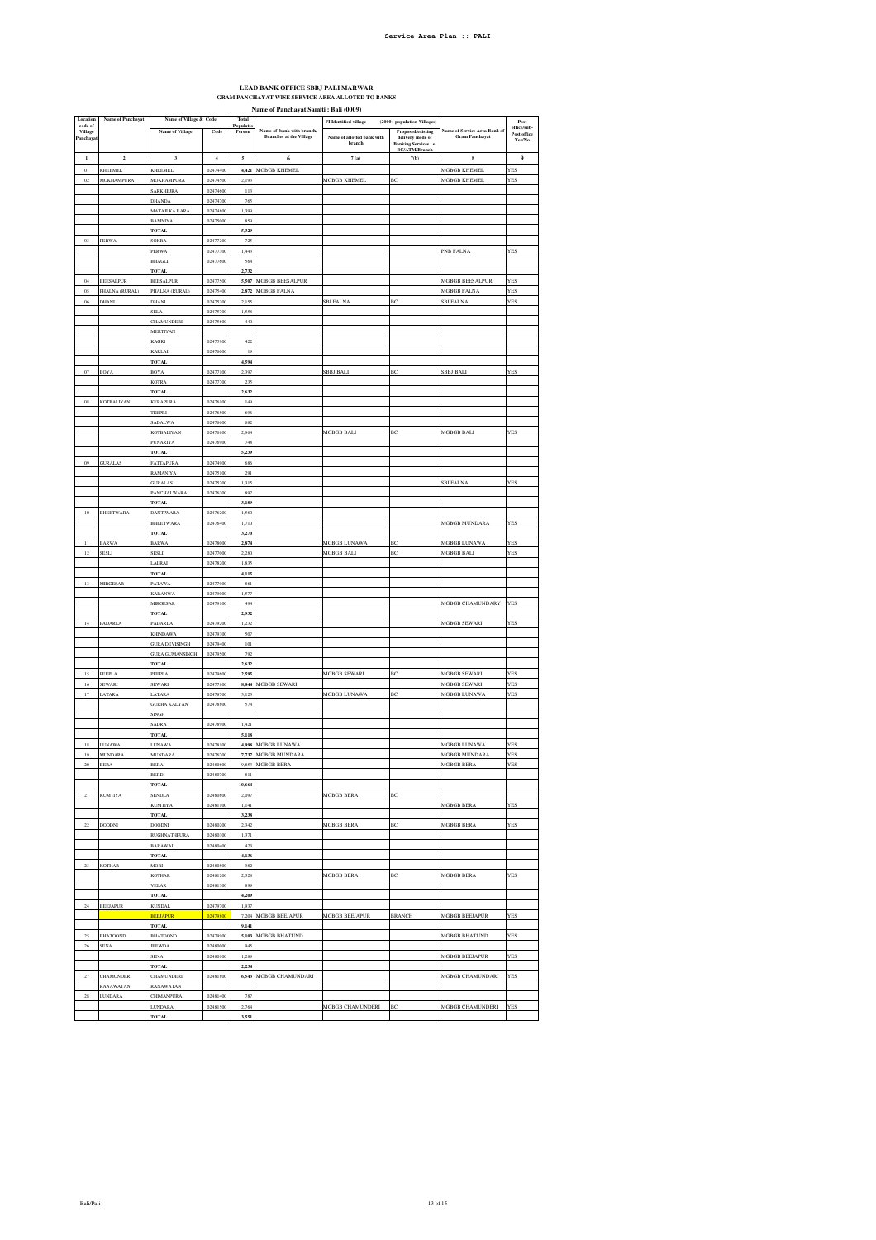## **LEAD BANK OFFICE SBBJ PALI MARWAR GRAM PANCHAYAT WISE SERVICE AREA ALLOTED TO BANKS**

|                       | Name of Panchayat Samiti : Bali (0009) |                                   |                      |                    |                                                             |                                      |                                                                       |                                                       |                                      |
|-----------------------|----------------------------------------|-----------------------------------|----------------------|--------------------|-------------------------------------------------------------|--------------------------------------|-----------------------------------------------------------------------|-------------------------------------------------------|--------------------------------------|
| Location<br>code of   | Name of Panchayat                      | Name of Village & Code            |                      | Total<br>Populatio |                                                             | <b>FI</b> Identified village         | (2000+ population Villages)                                           |                                                       | Post                                 |
| Village<br>Panchaya   |                                        | <b>Name of Village</b>            | Code                 | Person             | Name of bank with branch/<br><b>Branches at the Village</b> | Name of allotted bank with<br>branch | Proposed/existing<br>delivery mode of<br><b>Banking Services i.e.</b> | Name of Service Area Bank of<br><b>Gram Panchayat</b> | office/sub-<br>Post office<br>Yes/No |
| $\,$ 1                | $\mathbf 2$                            | $\overline{\mathbf{3}}$           | $\overline{4}$       | 5                  | 6                                                           | 7(a)                                 | <b>BC/ATM/Branch</b><br>7(b)                                          | $\bf{s}$                                              | 9                                    |
| $0\,l$                | KHEEMEL                                | KHEEMEL                           | 02474400             | 4,421              | <b>MGBGB KHEMEL</b>                                         |                                      |                                                                       | <b>MGBGB KHEMEL</b>                                   | YES                                  |
| $02\,$                | MOKHAMPURA                             | <b>MOKHAMPURA</b>                 | 02474500             | 2,193              |                                                             | MGBGB KHEMEL                         | ВC                                                                    | MGBGB KHEMEL                                          | YES                                  |
|                       |                                        | SARKHEJRA                         | 02474600             | 113                |                                                             |                                      |                                                                       |                                                       |                                      |
|                       |                                        | DHANDA                            | 02474700             | 765                |                                                             |                                      |                                                                       |                                                       |                                      |
|                       |                                        | MATAJI KA BARA                    | 02474800             | 1.399              |                                                             |                                      |                                                                       |                                                       |                                      |
|                       |                                        | <b>BAMNIY/</b>                    | 02475000             | 859                |                                                             |                                      |                                                                       |                                                       |                                      |
|                       |                                        | <b>TOTAL</b>                      |                      | 5,329              |                                                             |                                      |                                                                       |                                                       |                                      |
| 03                    | PERWA                                  | <b>SOKRA</b>                      | 02477200             | 725                |                                                             |                                      |                                                                       |                                                       |                                      |
|                       |                                        | PERWA<br><b>BHAGLI</b>            | 02477300<br>02477600 | 1,443<br>564       |                                                             |                                      |                                                                       | PNB FALNA                                             | YES                                  |
|                       |                                        | <b>TOTAL</b>                      |                      | 2,732              |                                                             |                                      |                                                                       |                                                       |                                      |
| 04                    | <b>BEESALPUR</b>                       | <b>BEESALPUR</b>                  | 02477500             | 5.507              | <b>MGBGB BEESALPUR</b>                                      |                                      |                                                                       | MGBGB BEESALPUR                                       | <b>YES</b>                           |
| 05                    | PHALNA (RURAL)                         | PHALNA (RURAL)                    | 02475400             | 2,872              | MGBGB FALNA                                                 |                                      |                                                                       | MGBGB FALNA                                           | <b>YES</b>                           |
| $06\,$                | DHANI                                  | DHANI                             | 02475300             | 2,155              |                                                             | <b>SBI FALNA</b>                     | BC                                                                    | <b>SBI FALNA</b>                                      | <b>YES</b>                           |
|                       |                                        | <b>SELA</b>                       | 02475700             | 1,558              |                                                             |                                      |                                                                       |                                                       |                                      |
|                       |                                        | CHAMUNDERI                        | 02475800             | 440                |                                                             |                                      |                                                                       |                                                       |                                      |
|                       |                                        | MERTIYAN                          |                      | 422                |                                                             |                                      |                                                                       |                                                       |                                      |
|                       |                                        | KAGRI<br>KARLAI                   | 02475900<br>02476000 | 19                 |                                                             |                                      |                                                                       |                                                       |                                      |
|                       |                                        | <b>TOTAL</b>                      |                      | 4,594              |                                                             |                                      |                                                                       |                                                       |                                      |
| 07                    | BOYA                                   | <b>BOYA</b>                       | 02477100             | 2.397              |                                                             | <b>SBBJ BALI</b>                     | BC                                                                    | <b>SBBJ BALI</b>                                      | <b>YES</b>                           |
|                       |                                        | KOTR/                             | 02477700             | 235                |                                                             |                                      |                                                                       |                                                       |                                      |
|                       |                                        | TOTAL                             |                      | 2,632              |                                                             |                                      |                                                                       |                                                       |                                      |
| $08\,$                | KOTBALIYAN                             | <b>KERAPURA</b>                   | 02476100             | 149                |                                                             |                                      |                                                                       |                                                       |                                      |
|                       |                                        | TEEPRI                            | 02476500<br>02476600 | 696<br>682         |                                                             |                                      |                                                                       |                                                       |                                      |
|                       |                                        | <b>SADALWA</b><br>KOTBALIYAN      | 02476800             | 2,964              |                                                             | MGBGB BALI                           | ВC                                                                    | MGBGB BALI                                            | YES                                  |
|                       |                                        | <b>PUNARIYA</b>                   | 02476900             | 748                |                                                             |                                      |                                                                       |                                                       |                                      |
|                       |                                        | TOTAL                             |                      | 5,239              |                                                             |                                      |                                                                       |                                                       |                                      |
| 09                    | <b>GURALAS</b>                         | <b>ATTAPURA</b>                   | 02474900             | 686                |                                                             |                                      |                                                                       |                                                       |                                      |
|                       |                                        | RAMANIYA                          | 02475100             | 291                |                                                             |                                      |                                                                       |                                                       |                                      |
|                       |                                        | GURALAS                           | 02475200             | 1,315              |                                                             |                                      |                                                                       | SBI FALNA                                             | YES                                  |
|                       |                                        | PANCHALWARA                       | 02476300             | 897                |                                                             |                                      |                                                                       |                                                       |                                      |
| 10                    | BHEETWARA                              | <b>TOTAL</b><br><b>DANTIWARA</b>  | 02476200             | 3,189<br>1.560     |                                                             |                                      |                                                                       |                                                       |                                      |
|                       |                                        | <b>BHEETWARA</b>                  | 02476400             | 1,710              |                                                             |                                      |                                                                       | <b>MGBGB MUNDARA</b>                                  | <b>YES</b>                           |
|                       |                                        | TOTAL                             |                      | 3,270              |                                                             |                                      |                                                                       |                                                       |                                      |
| П                     | <b>BARWA</b>                           | <b>BARWA</b>                      | 02478000             | 2,874              |                                                             | MGBGB LUNAWA                         | ВC                                                                    | MGBGB LUNAWA                                          | YES                                  |
| $^{\rm 12}$           | SESLI                                  | SESLI                             | 02477000             | 2,280              |                                                             | MGBGB BALI                           | BC                                                                    | MGBGB BALI                                            | YES                                  |
|                       |                                        | <b>LALRAI</b>                     | 02478200             | 1,835              |                                                             |                                      |                                                                       |                                                       |                                      |
|                       |                                        | <b>TOTAL</b>                      |                      | 4,115              |                                                             |                                      |                                                                       |                                                       |                                      |
| 13                    | MIRGESAR                               | <b>PATAWA</b>                     | 02477900<br>02479000 | 861<br>1,577       |                                                             |                                      |                                                                       |                                                       |                                      |
|                       |                                        | <b>KARANWA</b><br><b>MIRGESAR</b> | 02479100             | 494                |                                                             |                                      |                                                                       | <b>MGBGB CHAMUNDARY</b>                               | <b>YES</b>                           |
|                       |                                        | TOTAL                             |                      | 2,932              |                                                             |                                      |                                                                       |                                                       |                                      |
| 14                    | <b>PADARLA</b>                         | <b>PADARLA</b>                    | 02479200             | 1,232              |                                                             |                                      |                                                                       | <b>MGBGB SEWARI</b>                                   | <b>YES</b>                           |
|                       |                                        | <b>KHINDAWA</b>                   | 02479300             | 507                |                                                             |                                      |                                                                       |                                                       |                                      |
|                       |                                        | <b>GURA DEVISINGH</b>             | 02479400             | 101                |                                                             |                                      |                                                                       |                                                       |                                      |
|                       |                                        | <b>GURA GUMANSINGH</b>            | 02479500             | 792                |                                                             |                                      |                                                                       |                                                       |                                      |
| 15                    | PEEPLA                                 | <b>TOTAL</b><br>PEEPLA            | 02479600             | 2,632<br>2.595     |                                                             | <b>MGBGB SEWARI</b>                  | BC                                                                    | <b>MGBGB SEWARI</b>                                   | <b>YES</b>                           |
| lć                    | SEWARI                                 | SEWARI                            | 02477800             | 8,844              | MGBGB SEWARI                                                |                                      |                                                                       | MGBGB SEWARI                                          | YES                                  |
| 17                    | LATARA                                 | LATARA                            | 02478700             | 3,123              |                                                             | <b>MGRGR LINAWA</b>                  | вc                                                                    | <b>MGBGB LUNAWA</b>                                   | <b>YES</b>                           |
|                       |                                        | <b>GURHA KALYAN</b>               | 02478800             | 574                |                                                             |                                      |                                                                       |                                                       |                                      |
|                       |                                        | SINGH                             |                      |                    |                                                             |                                      |                                                                       |                                                       |                                      |
|                       |                                        | <b>SADRA</b>                      | 02478900             | 1,421              |                                                             |                                      |                                                                       |                                                       |                                      |
|                       |                                        | TOTAL                             |                      | 5,118              |                                                             |                                      |                                                                       |                                                       |                                      |
| $1\,\mathrm{s}$<br>19 | <b>LUNAWA</b><br><b>MUNDARA</b>        | <b>LUNAWA</b>                     | 02478100<br>02476700 | 4,998              | MGBGB LUNAWA<br>MGBGB MUNDARA                               |                                      |                                                                       | MGBGB LUNAWA<br>MGBGB MUNDARA                         | <b>YES</b><br>YES                    |
| 20                    | <b>BERA</b>                            | <b>MUNDARA</b><br><b>BERA</b>     | 02480600             | 7,737              | 9,853 MGBGB BERA                                            |                                      |                                                                       | MGBGB BERA                                            | YES                                  |
|                       |                                        | <b>BERDI</b>                      | 02480700             | $811\,$            |                                                             |                                      |                                                                       |                                                       |                                      |
|                       |                                        | <b>TOTAL</b>                      |                      | 10,664             |                                                             |                                      |                                                                       |                                                       |                                      |
| $^{21}$               | <b>KUMTIYA</b>                         | SENDL/                            | 02480800             | 2,097              |                                                             | MGBGB BERA                           | BC                                                                    |                                                       |                                      |
|                       |                                        | KUMTIYA                           | 02481100             | 1,141              |                                                             |                                      |                                                                       | MGBGB BERA                                            | <b>YES</b>                           |
|                       |                                        | TOTAL                             |                      | 3,238              |                                                             |                                      |                                                                       |                                                       |                                      |
| $\bf{22}$             | <b>DOODNI</b>                          | DOODNI                            | 02480200<br>02480300 | 2,342<br>1,371     |                                                             | MGBGB BERA                           | ВC                                                                    | MGBGB BERA                                            | YES                                  |
|                       |                                        | RUGHNATHPURA<br><b>BARAWAL</b>    | 02480400             | $423\,$            |                                                             |                                      |                                                                       |                                                       |                                      |
|                       |                                        | <b>TOTAL</b>                      |                      | 4.136              |                                                             |                                      |                                                                       |                                                       |                                      |
| 23                    | KOTHAR                                 | MORI                              | 02480500             | 982                |                                                             |                                      |                                                                       |                                                       |                                      |
|                       |                                        | KOTHAR                            | 02481200             | 2,328              |                                                             | MGBGB BERA                           | ВC                                                                    | <b>MGBGB BERA</b>                                     | <b>YES</b>                           |
|                       |                                        | <b>VELAR</b>                      | 02481300             | 899                |                                                             |                                      |                                                                       |                                                       |                                      |
|                       |                                        | <b>TOTAL</b>                      |                      | 4,209              |                                                             |                                      |                                                                       |                                                       |                                      |
| $\bf 24$              | BEEJAPUR                               | KUNDAL<br><b>BEEJAPUR</b>         | 02479700<br>02479800 | 1,937              | 7,204 MGBGB BEEJAPUR                                        | MGBGB BEEJAPUR                       | <b>BRANCH</b>                                                         | <b>MGBGB BEEJAPUR</b>                                 | YES                                  |
|                       |                                        | <b>TOTAL</b>                      |                      | 9,141              |                                                             |                                      |                                                                       |                                                       |                                      |
| 25                    | <b>BHATOOND</b>                        | <b>BHATOOND</b>                   | 02479900             | 5,103              | <b>MGBGB BHATUND</b>                                        |                                      |                                                                       | MGBGB BHATUND                                         | YES                                  |
| 26                    | <b>SENA</b>                            | <b>JEEWDA</b>                     | 02480000             | 945                |                                                             |                                      |                                                                       |                                                       |                                      |
|                       |                                        | <b>SENA</b>                       | 02480100             | 1,289              |                                                             |                                      |                                                                       | <b>MGBGB BEEJAPUR</b>                                 | <b>YES</b>                           |
| 27                    |                                        | <b>TOTAL</b>                      | 02481800             | 2,234              |                                                             |                                      |                                                                       | MGBGB CHAMUNDARI                                      | YES                                  |
|                       | CHAMUNDERI<br>RANAWATAN                | CHAMUNDERI<br>RANAWATAN           |                      |                    | 6,543 MGBGB CHAMUNDARI                                      |                                      |                                                                       |                                                       |                                      |
| 28                    | <b>LUNDARA</b>                         | CHIMANPURA                        | 02481400             | 787                |                                                             |                                      |                                                                       |                                                       |                                      |
|                       |                                        | LUNDARA                           | 02481500             | 2,764              |                                                             | MGBGB CHAMUNDERI                     | ВC                                                                    | MGBGB CHAMUNDERI                                      | YES                                  |
|                       |                                        | TOTAL                             |                      | 3,551              |                                                             |                                      |                                                                       |                                                       |                                      |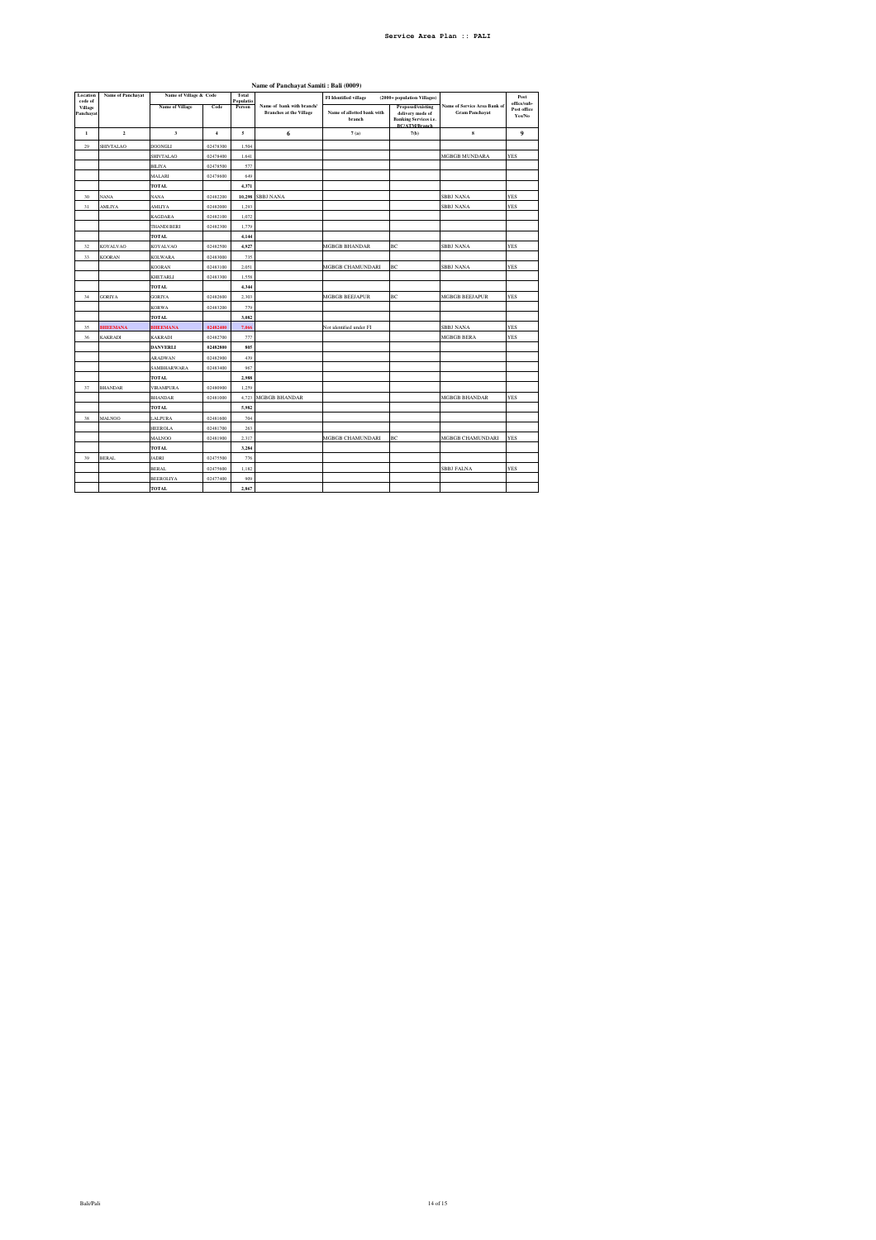| Location<br>code of  | Name of Panchayat | Name of Village & Code |                         | Total<br>Populatio | --- -- - <i>--------------</i>                              | <b>FI</b> Identified village<br>(2000+ population Villages) |                                                                                               |                                                       | Post                                 |
|----------------------|-------------------|------------------------|-------------------------|--------------------|-------------------------------------------------------------|-------------------------------------------------------------|-----------------------------------------------------------------------------------------------|-------------------------------------------------------|--------------------------------------|
| Village<br>Panchayat |                   | Name of Village        | Code                    | Person             | Name of bank with branch/<br><b>Branches at the Village</b> | Name of allotted bank with<br>branch                        | Proposed/existing<br>delivery mode of<br><b>Banking Services i.e.</b><br><b>BC/ATM/Branch</b> | Name of Service Area Bank of<br><b>Gram Panchayat</b> | office/sub-<br>Post office<br>Yes/No |
| $\,$ 1               | $\mathbf 2$       | $\mathbf{3}$           | $\overline{\mathbf{4}}$ | 5                  | 6                                                           | 7(a)                                                        | 7(b)                                                                                          | ${\bf s}$                                             | 9                                    |
| 29                   | <b>SHIVTALAO</b>  | <b>DOONGLI</b>         | 02478300                | 1,504              |                                                             |                                                             |                                                                                               |                                                       |                                      |
|                      |                   | <b>SHIVTALAO</b>       | 02478400                | 1,641              |                                                             |                                                             |                                                                                               | <b>MGBGB MUNDARA</b>                                  | <b>YES</b>                           |
|                      |                   | <b>BILIYA</b>          | 02478500                | 577                |                                                             |                                                             |                                                                                               |                                                       |                                      |
|                      |                   | MALARI                 | 02478600                | 649                |                                                             |                                                             |                                                                                               |                                                       |                                      |
|                      |                   | TOTAL                  |                         | 4,371              |                                                             |                                                             |                                                                                               |                                                       |                                      |
| 30                   | NANA              | NANA                   | 02482200                | 10,298             | <b>SBBJ NANA</b>                                            |                                                             |                                                                                               | <b>SBBJ NANA</b>                                      | <b>YES</b>                           |
| 31                   | <b>AMLIYA</b>     | <b>AMLIYA</b>          | 02482000                | 1,293              |                                                             |                                                             |                                                                                               | <b>SBBJ NANA</b>                                      | <b>YES</b>                           |
|                      |                   | <b>KAGDARA</b>         | 02482100                | 1.072              |                                                             |                                                             |                                                                                               |                                                       |                                      |
|                      |                   | <b>THANDI BERI</b>     | 02482300                | 1,779              |                                                             |                                                             |                                                                                               |                                                       |                                      |
|                      |                   | <b>TOTAL</b>           |                         | 4,144              |                                                             |                                                             |                                                                                               |                                                       |                                      |
| 32                   | KOYALVAO          | <b>KOYALVAO</b>        | 02482500                | 4,927              |                                                             | <b>MGBGB BHANDAR</b>                                        | ВC                                                                                            | <b>SBBJ NANA</b>                                      | <b>YES</b>                           |
| 33                   | <b>KOORAN</b>     | <b>KOLWARA</b>         | 02483000                | 735                |                                                             |                                                             |                                                                                               |                                                       |                                      |
|                      |                   | <b>KOORAN</b>          | 02483100                | 2,051              |                                                             | <b>MGBGB CHAMUNDARI</b>                                     | BC                                                                                            | <b>SBBJ NANA</b>                                      | <b>YES</b>                           |
|                      |                   | <b>KHETARLI</b>        | 02483300                | 1,558              |                                                             |                                                             |                                                                                               |                                                       |                                      |
|                      |                   | <b>TOTAL</b>           |                         | 4,344              |                                                             |                                                             |                                                                                               |                                                       |                                      |
| 34                   | <b>GORIYA</b>     | <b>GORIYA</b>          | 02482600                | 2,303              |                                                             | <b>MGBGB BEEJAPUR</b>                                       | ВC                                                                                            | <b>MGBGB BEEJAPUR</b>                                 | <b>YES</b>                           |
|                      |                   | <b>KORWA</b>           | 02483200                | 779                |                                                             |                                                             |                                                                                               |                                                       |                                      |
|                      |                   | TOTAL                  |                         | 3,082              |                                                             |                                                             |                                                                                               |                                                       |                                      |
| 35                   | <b>BHEEMANA</b>   | <b>BHEEMANA</b>        | 02482400                | 7,066              |                                                             | Not identified under FI                                     |                                                                                               | <b>SBBJ NANA</b>                                      | <b>YES</b>                           |
| 36                   | <b>KAKRADI</b>    | <b>KAKRADI</b>         | 02482700                | 777                |                                                             |                                                             |                                                                                               | <b>MGBGB BERA</b>                                     | <b>YES</b>                           |
|                      |                   | <b>DANVERLI</b>        | 02482800                | 805                |                                                             |                                                             |                                                                                               |                                                       |                                      |
|                      |                   | <b>ARADWAN</b>         | 02482900                | 439                |                                                             |                                                             |                                                                                               |                                                       |                                      |
|                      |                   | SAMBHARWARA            | 02483400                | 967                |                                                             |                                                             |                                                                                               |                                                       |                                      |
|                      |                   | <b>TOTAL</b>           |                         | 2,988              |                                                             |                                                             |                                                                                               |                                                       |                                      |
| 37                   | <b>BHANDAR</b>    | <b>VIRAMPURA</b>       | 02480900                | 1,259              |                                                             |                                                             |                                                                                               |                                                       |                                      |
|                      |                   | <b>BHANDAR</b>         | 02481000                | 4,723              | <b>MGBGB BHANDAR</b>                                        |                                                             |                                                                                               | <b>MGBGB BHANDAR</b>                                  | <b>YES</b>                           |
|                      |                   | <b>TOTAL</b>           |                         | 5,982              |                                                             |                                                             |                                                                                               |                                                       |                                      |
| 38                   | <b>MALNOO</b>     | LALPURA                | 02481600                | 704                |                                                             |                                                             |                                                                                               |                                                       |                                      |
|                      |                   | <b>HEEROLA</b>         | 02481700                | 263                |                                                             |                                                             |                                                                                               |                                                       |                                      |
|                      |                   | <b>MALNOO</b>          | 02481900                | 2,317              |                                                             | <b>MGBGB CHAMUNDARI</b>                                     | ВC                                                                                            | <b>MGBGB CHAMUNDARI</b>                               | <b>YES</b>                           |
|                      |                   | <b>TOTAL</b>           |                         | 3,284              |                                                             |                                                             |                                                                                               |                                                       |                                      |
| 39                   | <b>BERAL</b>      | <b>JADRI</b>           | 02475500                | 776                |                                                             |                                                             |                                                                                               |                                                       |                                      |
|                      |                   | <b>BERAL</b>           | 02475600                | 1,182              |                                                             |                                                             |                                                                                               | <b>SBBJ FALNA</b>                                     | <b>YES</b>                           |
|                      |                   | <b>BEEROLIYA</b>       | 02477400                | 909                |                                                             |                                                             |                                                                                               |                                                       |                                      |
|                      |                   | <b>TOTAL</b>           |                         | 2,867              |                                                             |                                                             |                                                                                               |                                                       |                                      |

**Name of Panchayat Samiti : Bali (0009)**